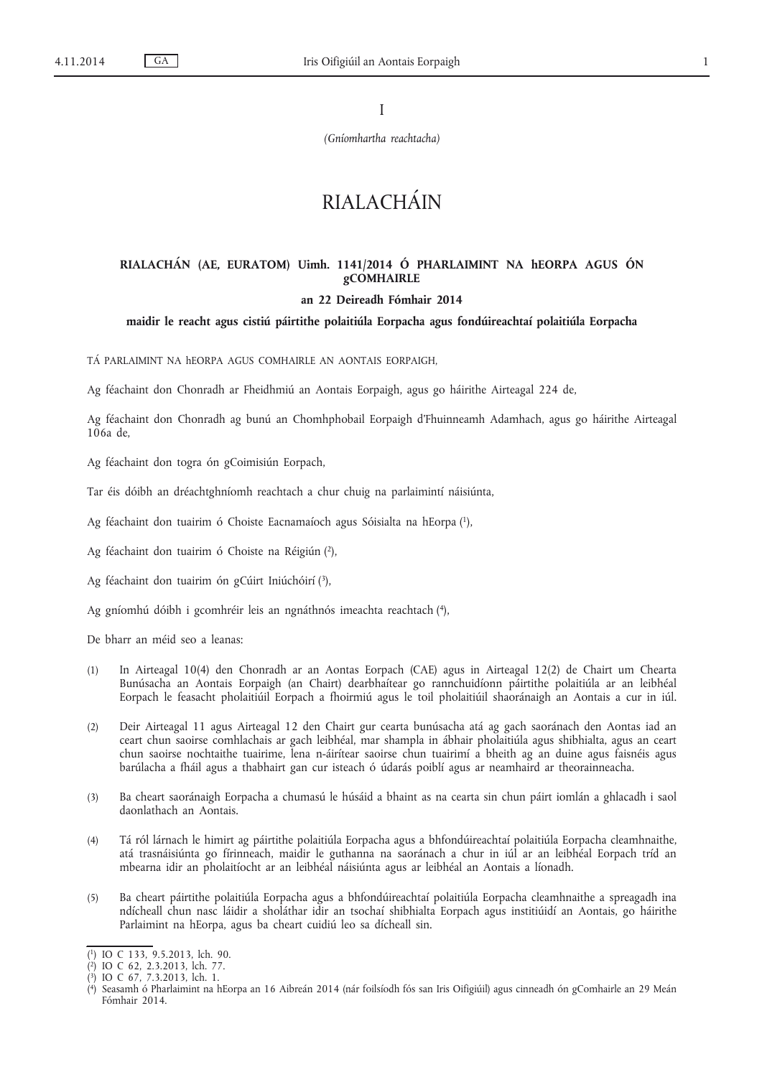I

*(Gníomhartha reachtacha)*

# RIALACHÁIN

# **RIALACHÁN (AE, EURATOM) Uimh. 1141/2014 Ó PHARLAIMINT NA hEORPA AGUS ÓN gCOMHAIRLE**

## **an 22 Deireadh Fómhair 2014**

## **maidir le reacht agus cistiú páirtithe polaitiúla Eorpacha agus fondúireachtaí polaitiúla Eorpacha**

TÁ PARLAIMINT NA hEORPA AGUS COMHAIRLE AN AONTAIS EORPAIGH,

Ag féachaint don Chonradh ar Fheidhmiú an Aontais Eorpaigh, agus go háirithe Airteagal 224 de,

Ag féachaint don Chonradh ag bunú an Chomhphobail Eorpaigh d'Fhuinneamh Adamhach, agus go háirithe Airteagal 106a de,

Ag féachaint don togra ón gCoimisiún Eorpach,

Tar éis dóibh an dréachtghníomh reachtach a chur chuig na parlaimintí náisiúnta,

Ag féachaint don tuairim ó Choiste Eacnamaíoch agus Sóisialta na hEorpa (1),

Ag féachaint don tuairim ó Choiste na Réigiún (2),

Ag féachaint don tuairim ón gCúirt Iniúchóirí (3),

Ag gníomhú dóibh i gcomhréir leis an ngnáthnós imeachta reachtach (4),

De bharr an méid seo a leanas:

- (1) In Airteagal 10(4) den Chonradh ar an Aontas Eorpach (CAE) agus in Airteagal 12(2) de Chairt um Chearta Bunúsacha an Aontais Eorpaigh (an Chairt) dearbhaítear go rannchuidíonn páirtithe polaitiúla ar an leibhéal Eorpach le feasacht pholaitiúil Eorpach a fhoirmiú agus le toil pholaitiúil shaoránaigh an Aontais a cur in iúl.
- (2) Deir Airteagal 11 agus Airteagal 12 den Chairt gur cearta bunúsacha atá ag gach saoránach den Aontas iad an ceart chun saoirse comhlachais ar gach leibhéal, mar shampla in ábhair pholaitiúla agus shibhialta, agus an ceart chun saoirse nochtaithe tuairime, lena n-áirítear saoirse chun tuairimí a bheith ag an duine agus faisnéis agus barúlacha a fháil agus a thabhairt gan cur isteach ó údarás poiblí agus ar neamhaird ar theorainneacha.
- (3) Ba cheart saoránaigh Eorpacha a chumasú le húsáid a bhaint as na cearta sin chun páirt iomlán a ghlacadh i saol daonlathach an Aontais.
- (4) Tá ról lárnach le himirt ag páirtithe polaitiúla Eorpacha agus a bhfondúireachtaí polaitiúla Eorpacha cleamhnaithe, atá trasnáisiúnta go fírinneach, maidir le guthanna na saoránach a chur in iúl ar an leibhéal Eorpach tríd an mbearna idir an pholaitíocht ar an leibhéal náisiúnta agus ar leibhéal an Aontais a líonadh.
- (5) Ba cheart páirtithe polaitiúla Eorpacha agus a bhfondúireachtaí polaitiúla Eorpacha cleamhnaithe a spreagadh ina ndícheall chun nasc láidir a sholáthar idir an tsochaí shibhialta Eorpach agus institiúidí an Aontais, go háirithe Parlaimint na hEorpa, agus ba cheart cuidiú leo sa dícheall sin.

<sup>(</sup> 1) IO C 133, 9.5.2013, lch. 90.

<sup>(</sup> 2) IO C 62, 2.3.2013, lch. 77.

<sup>(</sup> 3) IO C 67, 7.3.2013, lch. 1.

<sup>(</sup> 4) Seasamh ó Pharlaimint na hEorpa an 16 Aibreán 2014 (nár foilsíodh fós san Iris Oifigiúil) agus cinneadh ón gComhairle an 29 Meán Fómhair 2014.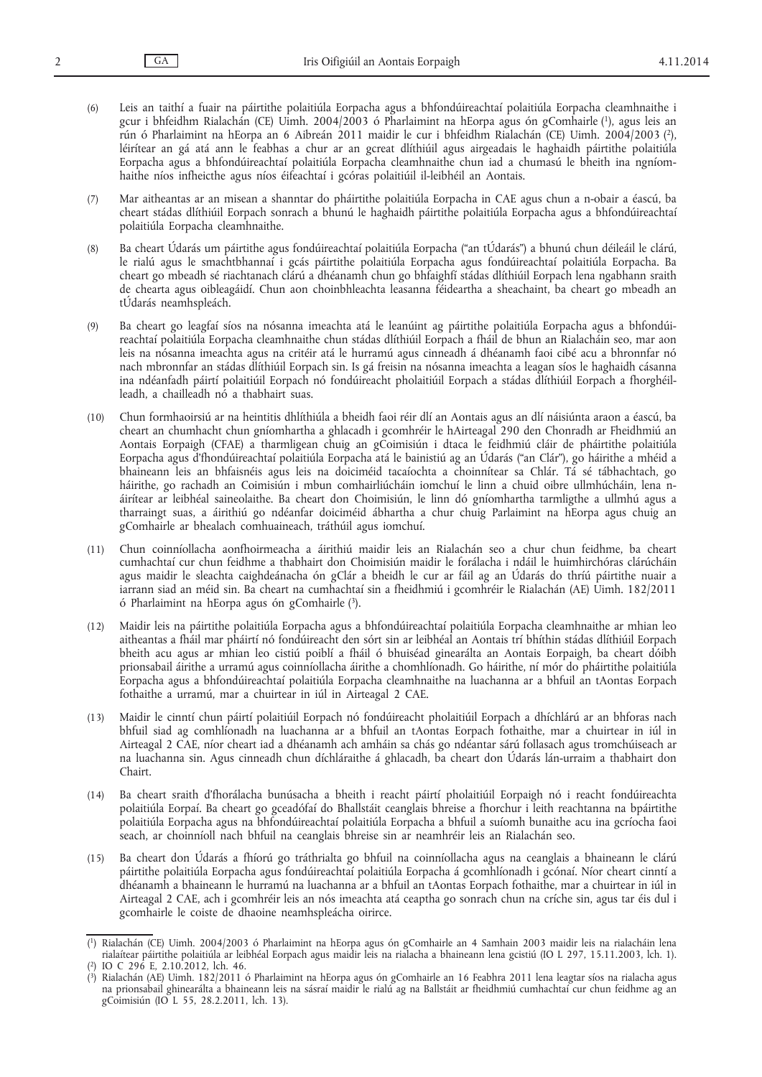(6) Leis an taithí a fuair na páirtithe polaitiúla Eorpacha agus a bhfondúireachtaí polaitiúla Eorpacha cleamhnaithe i gcur i bhfeidhm Rialachán (CE) Uimh. 2004/2003 ó Pharlaimint na hEorpa agus ón gComhairle (1), agus leis an rún ó Pharlaimint na hEorpa an 6 Aibreán 2011 maidir le cur i bhfeidhm Rialachán (CE) Uimh. 2004/2003 (2), léirítear an gá atá ann le feabhas a chur ar an gcreat dlíthiúil agus airgeadais le haghaidh páirtithe polaitiúla Eorpacha agus a bhfondúireachtaí polaitiúla Eorpacha cleamhnaithe chun iad a chumasú le bheith ina ngníomhaithe níos infheicthe agus níos éifeachtaí i gcóras polaitiúil il-leibhéil an Aontais.

(7) Mar aitheantas ar an misean a shanntar do pháirtithe polaitiúla Eorpacha in CAE agus chun a n-obair a éascú, ba cheart stádas dlíthiúil Eorpach sonrach a bhunú le haghaidh páirtithe polaitiúla Eorpacha agus a bhfondúireachtaí polaitiúla Eorpacha cleamhnaithe.

- (8) Ba cheart Údarás um páirtithe agus fondúireachtaí polaitiúla Eorpacha ("an tÚdarás") a bhunú chun déileáil le clárú, le rialú agus le smachtbhannaí i gcás páirtithe polaitiúla Eorpacha agus fondúireachtaí polaitiúla Eorpacha. Ba cheart go mbeadh sé riachtanach clárú a dhéanamh chun go bhfaighfí stádas dlíthiúil Eorpach lena ngabhann sraith de chearta agus oibleagáidí. Chun aon choinbhleachta leasanna féideartha a sheachaint, ba cheart go mbeadh an tÚdarás neamhspleách.
- (9) Ba cheart go leagfaí síos na nósanna imeachta atá le leanúint ag páirtithe polaitiúla Eorpacha agus a bhfondúireachtaí polaitiúla Eorpacha cleamhnaithe chun stádas dlíthiúil Eorpach a fháil de bhun an Rialacháin seo, mar aon leis na nósanna imeachta agus na critéir atá le hurramú agus cinneadh á dhéanamh faoi cibé acu a bhronnfar nó nach mbronnfar an stádas dlíthiúil Eorpach sin. Is gá freisin na nósanna imeachta a leagan síos le haghaidh cásanna ina ndéanfadh páirtí polaitiúil Eorpach nó fondúireacht pholaitiúil Eorpach a stádas dlíthiúil Eorpach a fhorghéilleadh, a chailleadh nó a thabhairt suas.
- (10) Chun formhaoirsiú ar na heintitis dhlíthiúla a bheidh faoi réir dlí an Aontais agus an dlí náisiúnta araon a éascú, ba cheart an chumhacht chun gníomhartha a ghlacadh i gcomhréir le hAirteagal 290 den Chonradh ar Fheidhmiú an Aontais Eorpaigh (CFAE) a tharmligean chuig an gCoimisiún i dtaca le feidhmiú cláir de pháirtithe polaitiúla Eorpacha agus d'fhondúireachtaí polaitiúla Eorpacha atá le bainistiú ag an Údarás ("an Clár"), go háirithe a mhéid a bhaineann leis an bhfaisnéis agus leis na doiciméid tacaíochta a choinnítear sa Chlár. Tá sé tábhachtach, go háirithe, go rachadh an Coimisiún i mbun comhairliúcháin iomchuí le linn a chuid oibre ullmhúcháin, lena náirítear ar leibhéal saineolaithe. Ba cheart don Choimisiún, le linn dó gníomhartha tarmligthe a ullmhú agus a tharraingt suas, a áirithiú go ndéanfar doiciméid ábhartha a chur chuig Parlaimint na hEorpa agus chuig an gComhairle ar bhealach comhuaineach, tráthúil agus iomchuí.
- (11) Chun coinníollacha aonfhoirmeacha a áirithiú maidir leis an Rialachán seo a chur chun feidhme, ba cheart cumhachtaí cur chun feidhme a thabhairt don Choimisiún maidir le forálacha i ndáil le huimhirchóras clárúcháin agus maidir le sleachta caighdeánacha ón gClár a bheidh le cur ar fáil ag an Údarás do thríú páirtithe nuair a iarrann siad an méid sin. Ba cheart na cumhachtaí sin a fheidhmiú i gcomhréir le Rialachán (AE) Uimh. 182/2011 ó Pharlaimint na hEorpa agus ón gComhairle (3).
- (12) Maidir leis na páirtithe polaitiúla Eorpacha agus a bhfondúireachtaí polaitiúla Eorpacha cleamhnaithe ar mhian leo aitheantas a fháil mar pháirtí nó fondúireacht den sórt sin ar leibhéal an Aontais trí bhíthin stádas dlíthiúil Eorpach bheith acu agus ar mhian leo cistiú poiblí a fháil ó bhuiséad ginearálta an Aontais Eorpaigh, ba cheart dóibh prionsabail áirithe a urramú agus coinníollacha áirithe a chomhlíonadh. Go háirithe, ní mór do pháirtithe polaitiúla Eorpacha agus a bhfondúireachtaí polaitiúla Eorpacha cleamhnaithe na luachanna ar a bhfuil an tAontas Eorpach fothaithe a urramú, mar a chuirtear in iúl in Airteagal 2 CAE.
- (13) Maidir le cinntí chun páirtí polaitiúil Eorpach nó fondúireacht pholaitiúil Eorpach a dhíchlárú ar an bhforas nach bhfuil siad ag comhlíonadh na luachanna ar a bhfuil an tAontas Eorpach fothaithe, mar a chuirtear in iúl in Airteagal 2 CAE, níor cheart iad a dhéanamh ach amháin sa chás go ndéantar sárú follasach agus tromchúiseach ar na luachanna sin. Agus cinneadh chun díchláraithe á ghlacadh, ba cheart don Údarás lán-urraim a thabhairt don Chairt.
- (14) Ba cheart sraith d'fhorálacha bunúsacha a bheith i reacht páirtí pholaitiúil Eorpaigh nó i reacht fondúireachta polaitiúla Eorpaí. Ba cheart go gceadófaí do Bhallstáit ceanglais bhreise a fhorchur i leith reachtanna na bpáirtithe polaitiúla Eorpacha agus na bhfondúireachtaí polaitiúla Eorpacha a bhfuil a suíomh bunaithe acu ina gcríocha faoi seach, ar choinníoll nach bhfuil na ceanglais bhreise sin ar neamhréir leis an Rialachán seo.
- (15) Ba cheart don Údarás a fhíorú go tráthrialta go bhfuil na coinníollacha agus na ceanglais a bhaineann le clárú páirtithe polaitiúla Eorpacha agus fondúireachtaí polaitiúla Eorpacha á gcomhlíonadh i gcónaí. Níor cheart cinntí a dhéanamh a bhaineann le hurramú na luachanna ar a bhfuil an tAontas Eorpach fothaithe, mar a chuirtear in iúl in Airteagal 2 CAE, ach i gcomhréir leis an nós imeachta atá ceaptha go sonrach chun na críche sin, agus tar éis dul i gcomhairle le coiste de dhaoine neamhspleácha oirirce.

<sup>(</sup> 1) Rialachán (CE) Uimh. 2004/2003 ó Pharlaimint na hEorpa agus ón gComhairle an 4 Samhain 2003 maidir leis na rialacháin lena rialaítear páirtithe polaitiúla ar leibhéal Eorpach agus maidir leis na rialacha a bhaineann lena gcistiú (IO L 297, 15.11.2003, lch. 1). ( 2) IO C 296 E, 2.10.2012, lch. 46.

<sup>(</sup> 3) Rialachán (AE) Uimh. 182/2011 ó Pharlaimint na hEorpa agus ón gComhairle an 16 Feabhra 2011 lena leagtar síos na rialacha agus na prionsabail ghinearálta a bhaineann leis na sásraí maidir le rialú ag na Ballstáit ar fheidhmiú cumhachtaí cur chun feidhme ag an gCoimisiún (IO L 55, 28.2.2011, lch. 13).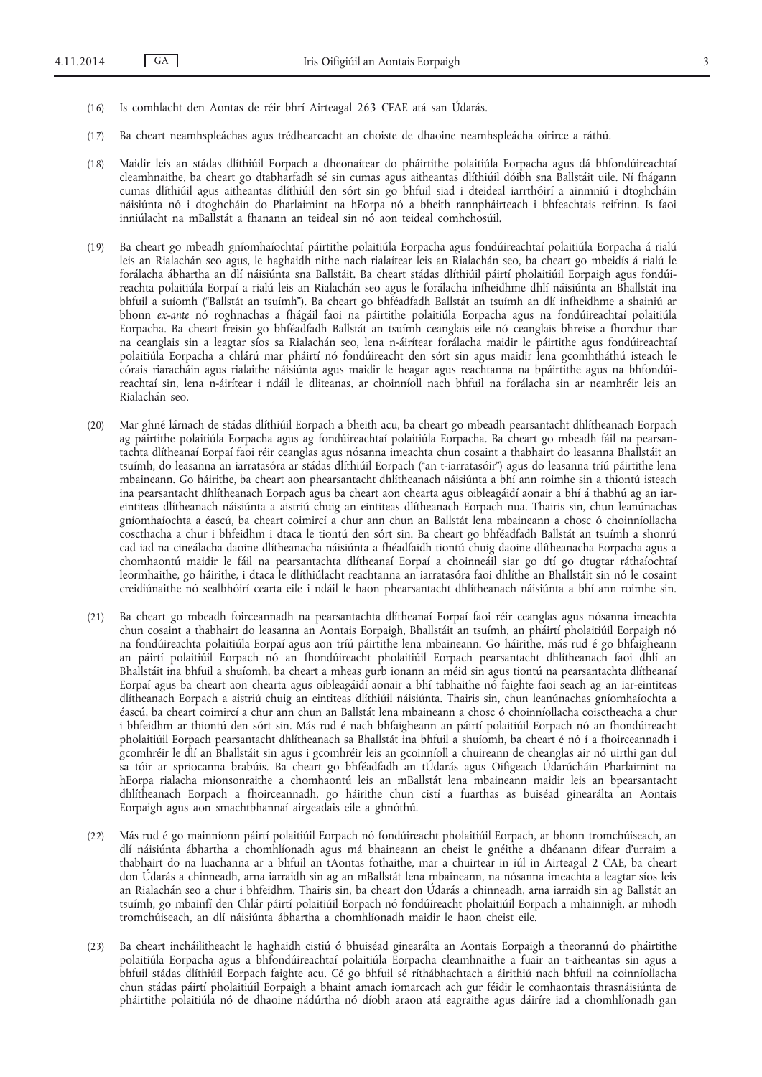- (16) Is comhlacht den Aontas de réir bhrí Airteagal 263 CFAE atá san Údarás.
- (17) Ba cheart neamhspleáchas agus trédhearcacht an choiste de dhaoine neamhspleácha oirirce a ráthú.
- (18) Maidir leis an stádas dlíthiúil Eorpach a dheonaítear do pháirtithe polaitiúla Eorpacha agus dá bhfondúireachtaí cleamhnaithe, ba cheart go dtabharfadh sé sin cumas agus aitheantas dlíthiúil dóibh sna Ballstáit uile. Ní fhágann cumas dlíthiúil agus aitheantas dlíthiúil den sórt sin go bhfuil siad i dteideal iarrthóirí a ainmniú i dtoghcháin náisiúnta nó i dtoghcháin do Pharlaimint na hEorpa nó a bheith rannpháirteach i bhfeachtais reifrinn. Is faoi inniúlacht na mBallstát a fhanann an teideal sin nó aon teideal comhchosúil.
- (19) Ba cheart go mbeadh gníomhaíochtaí páirtithe polaitiúla Eorpacha agus fondúireachtaí polaitiúla Eorpacha á rialú leis an Rialachán seo agus, le haghaidh nithe nach rialaítear leis an Rialachán seo, ba cheart go mbeidís á rialú le forálacha ábhartha an dlí náisiúnta sna Ballstáit. Ba cheart stádas dlíthiúil páirtí pholaitiúil Eorpaigh agus fondúireachta polaitiúla Eorpaí a rialú leis an Rialachán seo agus le forálacha infheidhme dhlí náisiúnta an Bhallstát ina bhfuil a suíomh ("Ballstát an tsuímh"). Ba cheart go bhféadfadh Ballstát an tsuímh an dlí infheidhme a shainiú ar bhonn *ex-ante* nó roghnachas a fhágáil faoi na páirtithe polaitiúla Eorpacha agus na fondúireachtaí polaitiúla Eorpacha. Ba cheart freisin go bhféadfadh Ballstát an tsuímh ceanglais eile nó ceanglais bhreise a fhorchur thar na ceanglais sin a leagtar síos sa Rialachán seo, lena n-áirítear forálacha maidir le páirtithe agus fondúireachtaí polaitiúla Eorpacha a chlárú mar pháirtí nó fondúireacht den sórt sin agus maidir lena gcomhtháthú isteach le córais riaracháin agus rialaithe náisiúnta agus maidir le heagar agus reachtanna na bpáirtithe agus na bhfondúireachtaí sin, lena n-áirítear i ndáil le dliteanas, ar choinníoll nach bhfuil na forálacha sin ar neamhréir leis an Rialachán seo.
- (20) Mar ghné lárnach de stádas dlíthiúil Eorpach a bheith acu, ba cheart go mbeadh pearsantacht dhlítheanach Eorpach ag páirtithe polaitiúla Eorpacha agus ag fondúireachtaí polaitiúla Eorpacha. Ba cheart go mbeadh fáil na pearsantachta dlítheanaí Eorpaí faoi réir ceanglas agus nósanna imeachta chun cosaint a thabhairt do leasanna Bhallstáit an tsuímh, do leasanna an iarratasóra ar stádas dlíthiúil Eorpach ("an t-iarratasóir") agus do leasanna tríú páirtithe lena mbaineann. Go háirithe, ba cheart aon phearsantacht dhlítheanach náisiúnta a bhí ann roimhe sin a thiontú isteach ina pearsantacht dhlítheanach Eorpach agus ba cheart aon chearta agus oibleagáidí aonair a bhí á thabhú ag an iareintiteas dlítheanach náisiúnta a aistriú chuig an eintiteas dlítheanach Eorpach nua. Thairis sin, chun leanúnachas gníomhaíochta a éascú, ba cheart coimircí a chur ann chun an Ballstát lena mbaineann a chosc ó choinníollacha coscthacha a chur i bhfeidhm i dtaca le tiontú den sórt sin. Ba cheart go bhféadfadh Ballstát an tsuímh a shonrú cad iad na cineálacha daoine dlítheanacha náisiúnta a fhéadfaidh tiontú chuig daoine dlítheanacha Eorpacha agus a chomhaontú maidir le fáil na pearsantachta dlítheanaí Eorpaí a choinneáil siar go dtí go dtugtar ráthaíochtaí leormhaithe, go háirithe, i dtaca le dlíthiúlacht reachtanna an iarratasóra faoi dhlíthe an Bhallstáit sin nó le cosaint creidiúnaithe nó sealbhóirí cearta eile i ndáil le haon phearsantacht dhlítheanach náisiúnta a bhí ann roimhe sin.
- (21) Ba cheart go mbeadh foirceannadh na pearsantachta dlítheanaí Eorpaí faoi réir ceanglas agus nósanna imeachta chun cosaint a thabhairt do leasanna an Aontais Eorpaigh, Bhallstáit an tsuímh, an pháirtí pholaitiúil Eorpaigh nó na fondúireachta polaitiúla Eorpaí agus aon tríú páirtithe lena mbaineann. Go háirithe, más rud é go bhfaigheann an páirtí polaitiúil Eorpach nó an fhondúireacht pholaitiúil Eorpach pearsantacht dhlítheanach faoi dhlí an Bhallstáit ina bhfuil a shuíomh, ba cheart a mheas gurb ionann an méid sin agus tiontú na pearsantachta dlítheanaí Eorpaí agus ba cheart aon chearta agus oibleagáidí aonair a bhí tabhaithe nó faighte faoi seach ag an iar-eintiteas dlítheanach Eorpach a aistriú chuig an eintiteas dlíthiúil náisiúnta. Thairis sin, chun leanúnachas gníomhaíochta a éascú, ba cheart coimircí a chur ann chun an Ballstát lena mbaineann a chosc ó choinníollacha coisctheacha a chur i bhfeidhm ar thiontú den sórt sin. Más rud é nach bhfaigheann an páirtí polaitiúil Eorpach nó an fhondúireacht pholaitiúil Eorpach pearsantacht dhlítheanach sa Bhallstát ina bhfuil a shuíomh, ba cheart é nó í a fhoirceannadh i gcomhréir le dlí an Bhallstáit sin agus i gcomhréir leis an gcoinníoll a chuireann de cheanglas air nó uirthi gan dul sa tóir ar spriocanna brabúis. Ba cheart go bhféadfadh an tÚdarás agus Oifigeach Údarúcháin Pharlaimint na hEorpa rialacha mionsonraithe a chomhaontú leis an mBallstát lena mbaineann maidir leis an bpearsantacht dhlítheanach Eorpach a fhoirceannadh, go háirithe chun cistí a fuarthas as buiséad ginearálta an Aontais Eorpaigh agus aon smachtbhannaí airgeadais eile a ghnóthú.
- (22) Más rud é go mainníonn páirtí polaitiúil Eorpach nó fondúireacht pholaitiúil Eorpach, ar bhonn tromchúiseach, an dlí náisiúnta ábhartha a chomhlíonadh agus má bhaineann an cheist le gnéithe a dhéanann difear d'urraim a thabhairt do na luachanna ar a bhfuil an tAontas fothaithe, mar a chuirtear in iúl in Airteagal 2 CAE, ba cheart don Údarás a chinneadh, arna iarraidh sin ag an mBallstát lena mbaineann, na nósanna imeachta a leagtar síos leis an Rialachán seo a chur i bhfeidhm. Thairis sin, ba cheart don Údarás a chinneadh, arna iarraidh sin ag Ballstát an tsuímh, go mbainfí den Chlár páirtí polaitiúil Eorpach nó fondúireacht pholaitiúil Eorpach a mhainnigh, ar mhodh tromchúiseach, an dlí náisiúnta ábhartha a chomhlíonadh maidir le haon cheist eile.
- (23) Ba cheart incháilitheacht le haghaidh cistiú ó bhuiséad ginearálta an Aontais Eorpaigh a theorannú do pháirtithe polaitiúla Eorpacha agus a bhfondúireachtaí polaitiúla Eorpacha cleamhnaithe a fuair an t-aitheantas sin agus a bhfuil stádas dlíthiúil Eorpach faighte acu. Cé go bhfuil sé ríthábhachtach a áirithiú nach bhfuil na coinníollacha chun stádas páirtí pholaitiúil Eorpaigh a bhaint amach iomarcach ach gur féidir le comhaontais thrasnáisiúnta de pháirtithe polaitiúla nó de dhaoine nádúrtha nó díobh araon atá eagraithe agus dáiríre iad a chomhlíonadh gan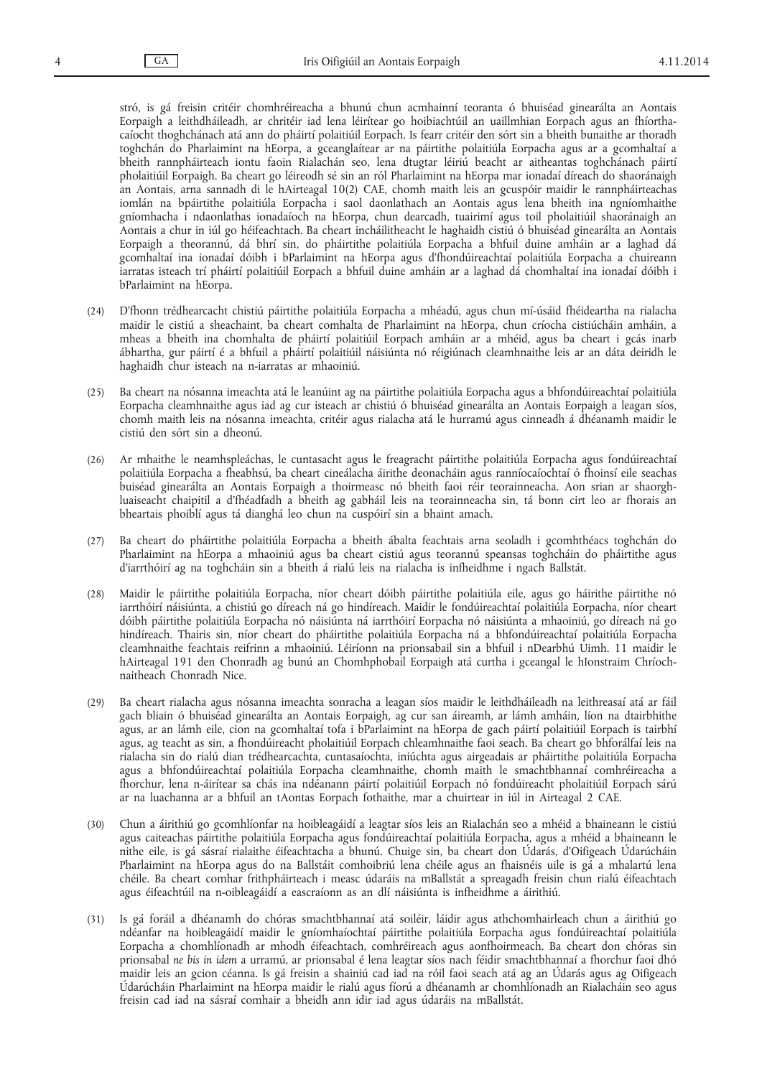stró, is gá freisin critéir chomhréireacha a bhunú chun acmhainní teoranta ó bhuiséad ginearálta an Aontais Eorpaigh a leithdháileadh, ar chritéir iad lena léirítear go hoibiachtúil an uaillmhian Eorpach agus an fhíorthacaíocht thoghchánach atá ann do pháirtí polaitiúil Eorpach. Is fearr critéir den sórt sin a bheith bunaithe ar thoradh toghchán do Pharlaimint na hEorpa, a gceanglaítear ar na páirtithe polaitiúla Eorpacha agus ar a gcomhaltaí a bheith rannpháirteach iontu faoin Rialachán seo, lena dtugtar léiriú beacht ar aitheantas toghchánach páirtí pholaitiúil Eorpaigh. Ba cheart go léireodh sé sin an ról Pharlaimint na hEorpa mar ionadaí díreach do shaoránaigh an Aontais, arna sannadh di le hAirteagal 10(2) CAE, chomh maith leis an gcuspóir maidir le rannpháirteachas iomlán na bpáirtithe polaitiúla Eorpacha i saol daonlathach an Aontais agus lena bheith ina ngníomhaithe gníomhacha i ndaonlathas ionadaíoch na hEorpa, chun dearcadh, tuairimí agus toil pholaitiúil shaoránaigh an Aontais a chur in iúl go héifeachtach. Ba cheart incháilitheacht le haghaidh cistiú ó bhuiséad ginearálta an Aontais Eorpaigh a theorannú, dá bhrí sin, do pháirtithe polaitiúla Eorpacha a bhfuil duine amháin ar a laghad dá gcomhaltaí ina ionadaí dóibh i bParlaimint na hEorpa agus d'fhondúireachtaí polaitiúla Eorpacha a chuireann iarratas isteach trí pháirtí polaitiúil Eorpach a bhfuil duine amháin ar a laghad dá chomhaltaí ina ionadaí dóibh i bParlaimint na hEorpa.

- (24) D'fhonn trédhearcacht chistiú páirtithe polaitiúla Eorpacha a mhéadú, agus chun mí-úsáid fhéideartha na rialacha maidir le cistiú a sheachaint, ba cheart comhalta de Pharlaimint na hEorpa, chun críocha cistiúcháin amháin, a mheas a bheith ina chomhalta de pháirtí polaitiúil Eorpach amháin ar a mhéid, agus ba cheart i gcás inarb ábhartha, gur páirtí é a bhfuil a pháirtí polaitiúil náisiúnta nó réigiúnach cleamhnaithe leis ar an dáta deiridh le haghaidh chur isteach na n-iarratas ar mhaoiniú.
- (25) Ba cheart na nósanna imeachta atá le leanúint ag na páirtithe polaitiúla Eorpacha agus a bhfondúireachtaí polaitiúla Eorpacha cleamhnaithe agus iad ag cur isteach ar chistiú ó bhuiséad ginearálta an Aontais Eorpaigh a leagan síos, chomh maith leis na nósanna imeachta, critéir agus rialacha atá le hurramú agus cinneadh á dhéanamh maidir le cistiú den sórt sin a dheonú.
- (26) Ar mhaithe le neamhspleáchas, le cuntasacht agus le freagracht páirtithe polaitiúla Eorpacha agus fondúireachtaí polaitiúla Eorpacha a fheabhsú, ba cheart cineálacha áirithe deonacháin agus ranníocaíochtaí ó fhoinsí eile seachas buiséad ginearálta an Aontais Eorpaigh a thoirmeasc nó bheith faoi réir teorainneacha. Aon srian ar shaorghluaiseacht chaipitil a d'fhéadfadh a bheith ag gabháil leis na teorainneacha sin, tá bonn cirt leo ar fhorais an bheartais phoiblí agus tá dianghá leo chun na cuspóirí sin a bhaint amach.
- (27) Ba cheart do pháirtithe polaitiúla Eorpacha a bheith ábalta feachtais arna seoladh i gcomhthéacs toghchán do Pharlaimint na hEorpa a mhaoiniú agus ba cheart cistiú agus teorannú speansas toghcháin do pháirtithe agus d'iarrthóirí ag na toghcháin sin a bheith á rialú leis na rialacha is infheidhme i ngach Ballstát.
- (28) Maidir le páirtithe polaitiúla Eorpacha, níor cheart dóibh páirtithe polaitiúla eile, agus go háirithe páirtithe nó iarrthóirí náisiúnta, a chistiú go díreach ná go hindíreach. Maidir le fondúireachtaí polaitiúla Eorpacha, níor cheart dóibh páirtithe polaitiúla Eorpacha nó náisiúnta ná iarrthóirí Eorpacha nó náisiúnta a mhaoiniú, go díreach ná go hindíreach. Thairis sin, níor cheart do pháirtithe polaitiúla Eorpacha ná a bhfondúireachtaí polaitiúla Eorpacha cleamhnaithe feachtais reifrinn a mhaoiniú. Léiríonn na prionsabail sin a bhfuil i nDearbhú Uimh. 11 maidir le hAirteagal 191 den Chonradh ag bunú an Chomhphobail Eorpaigh atá curtha i gceangal le hIonstraim Chríochnaitheach Chonradh Nice.
- (29) Ba cheart rialacha agus nósanna imeachta sonracha a leagan síos maidir le leithdháileadh na leithreasaí atá ar fáil gach bliain ó bhuiséad ginearálta an Aontais Eorpaigh, ag cur san áireamh, ar lámh amháin, líon na dtairbhithe agus, ar an lámh eile, cion na gcomhaltaí tofa i bParlaimint na hEorpa de gach páirtí polaitiúil Eorpach is tairbhí agus, ag teacht as sin, a fhondúireacht pholaitiúil Eorpach chleamhnaithe faoi seach. Ba cheart go bhforálfaí leis na rialacha sin do rialú dian trédhearcachta, cuntasaíochta, iniúchta agus airgeadais ar pháirtithe polaitiúla Eorpacha agus a bhfondúireachtaí polaitiúla Eorpacha cleamhnaithe, chomh maith le smachtbhannaí comhréireacha a fhorchur, lena n-áirítear sa chás ina ndéanann páirtí polaitiúil Eorpach nó fondúireacht pholaitiúil Eorpach sárú ar na luachanna ar a bhfuil an tAontas Eorpach fothaithe, mar a chuirtear in iúl in Airteagal 2 CAE.
- (30) Chun a áirithiú go gcomhlíonfar na hoibleagáidí a leagtar síos leis an Rialachán seo a mhéid a bhaineann le cistiú agus caiteachas páirtithe polaitiúla Eorpacha agus fondúireachtaí polaitiúla Eorpacha, agus a mhéid a bhaineann le nithe eile, is gá sásraí rialaithe éifeachtacha a bhunú. Chuige sin, ba cheart don Údarás, d'Oifigeach Údarúcháin Pharlaimint na hEorpa agus do na Ballstáit comhoibriú lena chéile agus an fhaisnéis uile is gá a mhalartú lena chéile. Ba cheart comhar frithpháirteach i measc údaráis na mBallstát a spreagadh freisin chun rialú éifeachtach agus éifeachtúil na n-oibleagáidí a eascraíonn as an dlí náisiúnta is infheidhme a áirithiú.
- (31) Is gá foráil a dhéanamh do chóras smachtbhannaí atá soiléir, láidir agus athchomhairleach chun a áirithiú go ndéanfar na hoibleagáidí maidir le gníomhaíochtaí páirtithe polaitiúla Eorpacha agus fondúireachtaí polaitiúla Eorpacha a chomhlíonadh ar mhodh éifeachtach, comhréireach agus aonfhoirmeach. Ba cheart don chóras sin prionsabal *ne bis in idem* a urramú, ar prionsabal é lena leagtar síos nach féidir smachtbhannaí a fhorchur faoi dhó maidir leis an gcion céanna. Is gá freisin a shainiú cad iad na róil faoi seach atá ag an Údarás agus ag Oifigeach Údarúcháin Pharlaimint na hEorpa maidir le rialú agus fíorú a dhéanamh ar chomhlíonadh an Rialacháin seo agus freisin cad iad na sásraí comhair a bheidh ann idir iad agus údaráis na mBallstát.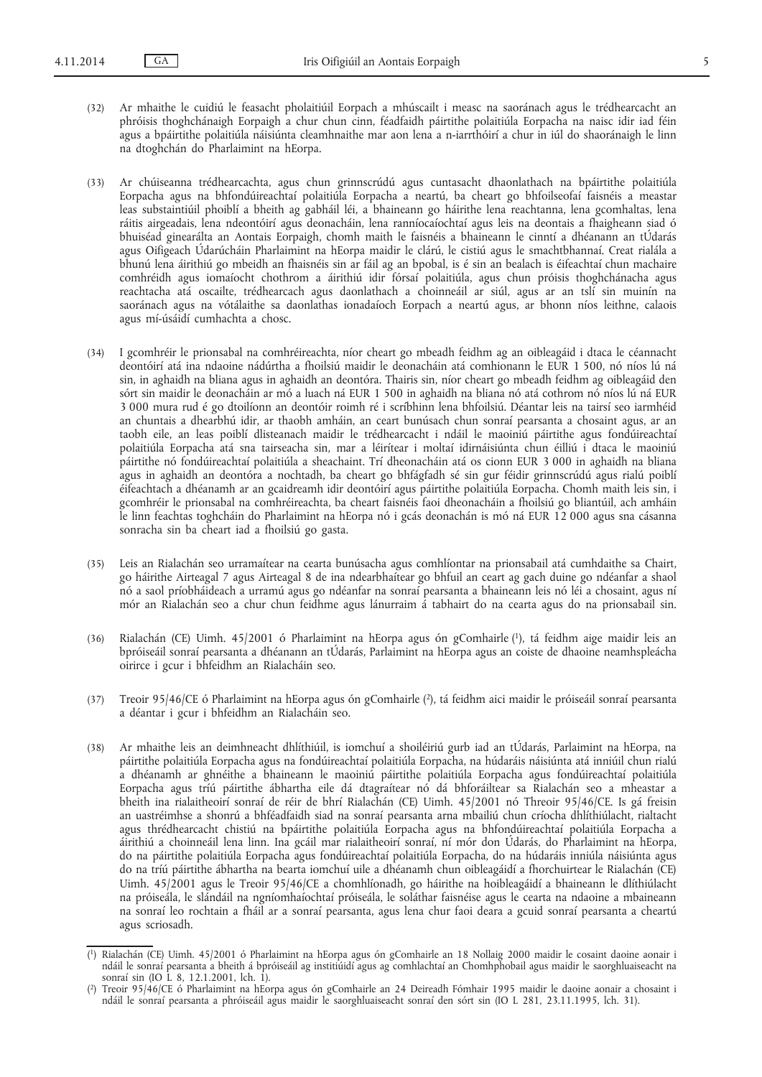(32) Ar mhaithe le cuidiú le feasacht pholaitiúil Eorpach a mhúscailt i measc na saoránach agus le trédhearcacht an phróisis thoghchánaigh Eorpaigh a chur chun cinn, féadfaidh páirtithe polaitiúla Eorpacha na naisc idir iad féin agus a bpáirtithe polaitiúla náisiúnta cleamhnaithe mar aon lena a n-iarrthóirí a chur in iúl do shaoránaigh le linn na dtoghchán do Pharlaimint na hEorpa.

(33) Ar chúiseanna trédhearcachta, agus chun grinnscrúdú agus cuntasacht dhaonlathach na bpáirtithe polaitiúla Eorpacha agus na bhfondúireachtaí polaitiúla Eorpacha a neartú, ba cheart go bhfoilseofaí faisnéis a meastar leas substaintiúil phoiblí a bheith ag gabháil léi, a bhaineann go háirithe lena reachtanna, lena gcomhaltas, lena ráitis airgeadais, lena ndeontóirí agus deonacháin, lena ranníocaíochtaí agus leis na deontais a fhaigheann siad ó bhuiséad ginearálta an Aontais Eorpaigh, chomh maith le faisnéis a bhaineann le cinntí a dhéanann an tÚdarás agus Oifigeach Údarúcháin Pharlaimint na hEorpa maidir le clárú, le cistiú agus le smachtbhannaí. Creat rialála a bhunú lena áirithiú go mbeidh an fhaisnéis sin ar fáil ag an bpobal, is é sin an bealach is éifeachtaí chun machaire comhréidh agus iomaíocht chothrom a áirithiú idir fórsaí polaitiúla, agus chun próisis thoghchánacha agus reachtacha atá oscailte, trédhearcach agus daonlathach a choinneáil ar siúl, agus ar an tslí sin muinín na saoránach agus na vótálaithe sa daonlathas ionadaíoch Eorpach a neartú agus, ar bhonn níos leithne, calaois agus mí-úsáidí cumhachta a chosc.

- (34) I gcomhréir le prionsabal na comhréireachta, níor cheart go mbeadh feidhm ag an oibleagáid i dtaca le céannacht deontóirí atá ina ndaoine nádúrtha a fhoilsiú maidir le deonacháin atá comhionann le EUR 1 500, nó níos lú ná sin, in aghaidh na bliana agus in aghaidh an deontóra. Thairis sin, níor cheart go mbeadh feidhm ag oibleagáid den sórt sin maidir le deonacháin ar mó a luach ná EUR 1 500 in aghaidh na bliana nó atá cothrom nó níos lú ná EUR 3 000 mura rud é go dtoilíonn an deontóir roimh ré i scríbhinn lena bhfoilsiú. Déantar leis na tairsí seo iarmhéid an chuntais a dhearbhú idir, ar thaobh amháin, an ceart bunúsach chun sonraí pearsanta a chosaint agus, ar an taobh eile, an leas poiblí dlisteanach maidir le trédhearcacht i ndáil le maoiniú páirtithe agus fondúireachtaí polaitiúla Eorpacha atá sna tairseacha sin, mar a léirítear i moltaí idirnáisiúnta chun éilliú i dtaca le maoiniú páirtithe nó fondúireachtaí polaitiúla a sheachaint. Trí dheonacháin atá os cionn EUR 3 000 in aghaidh na bliana agus in aghaidh an deontóra a nochtadh, ba cheart go bhfágfadh sé sin gur féidir grinnscrúdú agus rialú poiblí éifeachtach a dhéanamh ar an gcaidreamh idir deontóirí agus páirtithe polaitiúla Eorpacha. Chomh maith leis sin, i gcomhréir le prionsabal na comhréireachta, ba cheart faisnéis faoi dheonacháin a fhoilsiú go bliantúil, ach amháin le linn feachtas toghcháin do Pharlaimint na hEorpa nó i gcás deonachán is mó ná EUR 12 000 agus sna cásanna sonracha sin ba cheart iad a fhoilsiú go gasta.
- (35) Leis an Rialachán seo urramaítear na cearta bunúsacha agus comhlíontar na prionsabail atá cumhdaithe sa Chairt, go háirithe Airteagal 7 agus Airteagal 8 de ina ndearbhaítear go bhfuil an ceart ag gach duine go ndéanfar a shaol nó a saol príobháideach a urramú agus go ndéanfar na sonraí pearsanta a bhaineann leis nó léi a chosaint, agus ní mór an Rialachán seo a chur chun feidhme agus lánurraim á tabhairt do na cearta agus do na prionsabail sin.
- (36) Rialachán (CE) Uimh. 45/2001 ó Pharlaimint na hEorpa agus ón gComhairle (1), tá feidhm aige maidir leis an bpróiseáil sonraí pearsanta a dhéanann an tÚdarás, Parlaimint na hEorpa agus an coiste de dhaoine neamhspleácha oirirce i gcur i bhfeidhm an Rialacháin seo.
- (37) Treoir 95/46/CE ó Pharlaimint na hEorpa agus ón gComhairle (2), tá feidhm aici maidir le próiseáil sonraí pearsanta a déantar i gcur i bhfeidhm an Rialacháin seo.
- (38) Ar mhaithe leis an deimhneacht dhlíthiúil, is iomchuí a shoiléiriú gurb iad an tÚdarás, Parlaimint na hEorpa, na páirtithe polaitiúla Eorpacha agus na fondúireachtaí polaitiúla Eorpacha, na húdaráis náisiúnta atá inniúil chun rialú a dhéanamh ar ghnéithe a bhaineann le maoiniú páirtithe polaitiúla Eorpacha agus fondúireachtaí polaitiúla Eorpacha agus tríú páirtithe ábhartha eile dá dtagraítear nó dá bhforáiltear sa Rialachán seo a mheastar a bheith ina rialaitheoirí sonraí de réir de bhrí Rialachán (CE) Uimh. 45/2001 nó Threoir 95/46/CE. Is gá freisin an uastréimhse a shonrú a bhféadfaidh siad na sonraí pearsanta arna mbailiú chun críocha dhlíthiúlacht, rialtacht agus thrédhearcacht chistiú na bpáirtithe polaitiúla Eorpacha agus na bhfondúireachtaí polaitiúla Eorpacha a áirithiú a choinneáil lena linn. Ina gcáil mar rialaitheoirí sonraí, ní mór don Údarás, do Pharlaimint na hEorpa, do na páirtithe polaitiúla Eorpacha agus fondúireachtaí polaitiúla Eorpacha, do na húdaráis inniúla náisiúnta agus do na tríú páirtithe ábhartha na bearta iomchuí uile a dhéanamh chun oibleagáidí a fhorchuirtear le Rialachán (CE) Uimh. 45/2001 agus le Treoir 95/46/CE a chomhlíonadh, go háirithe na hoibleagáidí a bhaineann le dlíthiúlacht na próiseála, le slándáil na ngníomhaíochtaí próiseála, le soláthar faisnéise agus le cearta na ndaoine a mbaineann na sonraí leo rochtain a fháil ar a sonraí pearsanta, agus lena chur faoi deara a gcuid sonraí pearsanta a cheartú agus scriosadh.

<sup>(</sup> 1) Rialachán (CE) Uimh. 45/2001 ó Pharlaimint na hEorpa agus ón gComhairle an 18 Nollaig 2000 maidir le cosaint daoine aonair i ndáil le sonraí pearsanta a bheith á bpróiseáil ag institiúidí agus ag comhlachtaí an Chomhphobail agus maidir le saorghluaiseacht na sonraí sin (IO L 8, 12.1.2001, lch. 1).

<sup>(</sup> 2) Treoir 95/46/CE ó Pharlaimint na hEorpa agus ón gComhairle an 24 Deireadh Fómhair 1995 maidir le daoine aonair a chosaint i ndáil le sonraí pearsanta a phróiseáil agus maidir le saorghluaiseacht sonraí den sórt sin (IO L 281, 23.11.1995, lch. 31).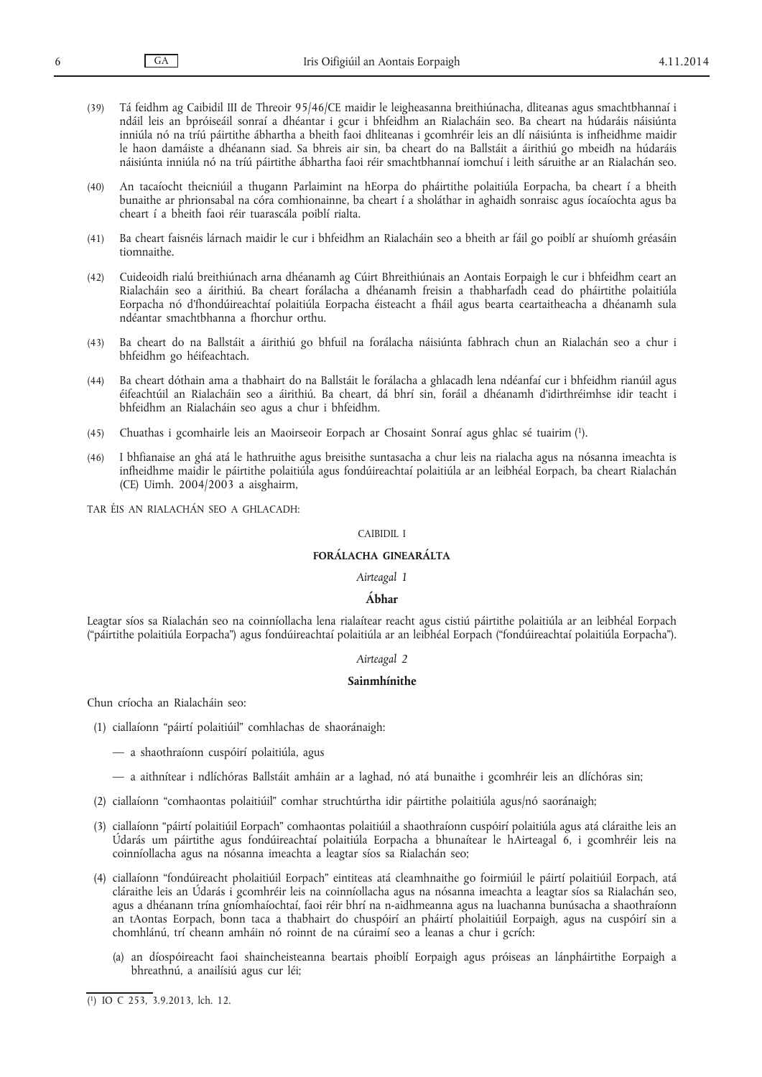- (39) Tá feidhm ag Caibidil III de Threoir 95/46/CE maidir le leigheasanna breithiúnacha, dliteanas agus smachtbhannaí i ndáil leis an bpróiseáil sonraí a dhéantar i gcur i bhfeidhm an Rialacháin seo. Ba cheart na húdaráis náisiúnta inniúla nó na tríú páirtithe ábhartha a bheith faoi dhliteanas i gcomhréir leis an dlí náisiúnta is infheidhme maidir le haon damáiste a dhéanann siad. Sa bhreis air sin, ba cheart do na Ballstáit a áirithiú go mbeidh na húdaráis náisiúnta inniúla nó na tríú páirtithe ábhartha faoi réir smachtbhannaí iomchuí i leith sáruithe ar an Rialachán seo.
- (40) An tacaíocht theicniúil a thugann Parlaimint na hEorpa do pháirtithe polaitiúla Eorpacha, ba cheart í a bheith bunaithe ar phrionsabal na córa comhionainne, ba cheart í a sholáthar in aghaidh sonraisc agus íocaíochta agus ba cheart í a bheith faoi réir tuarascála poiblí rialta.
- (41) Ba cheart faisnéis lárnach maidir le cur i bhfeidhm an Rialacháin seo a bheith ar fáil go poiblí ar shuíomh gréasáin tiomnaithe.
- (42) Cuideoidh rialú breithiúnach arna dhéanamh ag Cúirt Bhreithiúnais an Aontais Eorpaigh le cur i bhfeidhm ceart an Rialacháin seo a áirithiú. Ba cheart forálacha a dhéanamh freisin a thabharfadh cead do pháirtithe polaitiúla Eorpacha nó d'fhondúireachtaí polaitiúla Eorpacha éisteacht a fháil agus bearta ceartaitheacha a dhéanamh sula ndéantar smachtbhanna a fhorchur orthu.
- (43) Ba cheart do na Ballstáit a áirithiú go bhfuil na forálacha náisiúnta fabhrach chun an Rialachán seo a chur i bhfeidhm go héifeachtach.
- (44) Ba cheart dóthain ama a thabhairt do na Ballstáit le forálacha a ghlacadh lena ndéanfaí cur i bhfeidhm rianúil agus éifeachtúil an Rialacháin seo a áirithiú. Ba cheart, dá bhrí sin, foráil a dhéanamh d'idirthréimhse idir teacht i bhfeidhm an Rialacháin seo agus a chur i bhfeidhm.
- (45) Chuathas i gcomhairle leis an Maoirseoir Eorpach ar Chosaint Sonraí agus ghlac sé tuairim (1).
- (46) I bhfianaise an ghá atá le hathruithe agus breisithe suntasacha a chur leis na rialacha agus na nósanna imeachta is infheidhme maidir le páirtithe polaitiúla agus fondúireachtaí polaitiúla ar an leibhéal Eorpach, ba cheart Rialachán (CE) Uimh. 2004/2003 a aisghairm,

TAR ÉIS AN RIALACHÁN SEO A GHLACADH:

#### CAIBIDIL I

# **FORÁLACHA GINEARÁLTA**

## *Airteagal 1*

#### **Ábhar**

Leagtar síos sa Rialachán seo na coinníollacha lena rialaítear reacht agus cistiú páirtithe polaitiúla ar an leibhéal Eorpach ("páirtithe polaitiúla Eorpacha") agus fondúireachtaí polaitiúla ar an leibhéal Eorpach ("fondúireachtaí polaitiúla Eorpacha").

#### *Airteagal 2*

#### **Sainmhínithe**

Chun críocha an Rialacháin seo:

- (1) ciallaíonn "páirtí polaitiúil" comhlachas de shaoránaigh:
	- a shaothraíonn cuspóirí polaitiúla, agus
	- a aithnítear i ndlíchóras Ballstáit amháin ar a laghad, nó atá bunaithe i gcomhréir leis an dlíchóras sin;
- (2) ciallaíonn "comhaontas polaitiúil" comhar struchtúrtha idir páirtithe polaitiúla agus/nó saoránaigh;
- (3) ciallaíonn "páirtí polaitiúil Eorpach" comhaontas polaitiúil a shaothraíonn cuspóirí polaitiúla agus atá cláraithe leis an Údarás um páirtithe agus fondúireachtaí polaitiúla Eorpacha a bhunaítear le hAirteagal 6, i gcomhréir leis na coinníollacha agus na nósanna imeachta a leagtar síos sa Rialachán seo;
- (4) ciallaíonn "fondúireacht pholaitiúil Eorpach" eintiteas atá cleamhnaithe go foirmiúil le páirtí polaitiúil Eorpach, atá cláraithe leis an Údarás i gcomhréir leis na coinníollacha agus na nósanna imeachta a leagtar síos sa Rialachán seo, agus a dhéanann trína gníomhaíochtaí, faoi réir bhrí na n-aidhmeanna agus na luachanna bunúsacha a shaothraíonn an tAontas Eorpach, bonn taca a thabhairt do chuspóirí an pháirtí pholaitiúil Eorpaigh, agus na cuspóirí sin a chomhlánú, trí cheann amháin nó roinnt de na cúraimí seo a leanas a chur i gcrích:
	- (a) an díospóireacht faoi shaincheisteanna beartais phoiblí Eorpaigh agus próiseas an lánpháirtithe Eorpaigh a bhreathnú, a anailísiú agus cur léi;

<sup>(</sup> 1) IO C 253, 3.9.2013, lch. 12.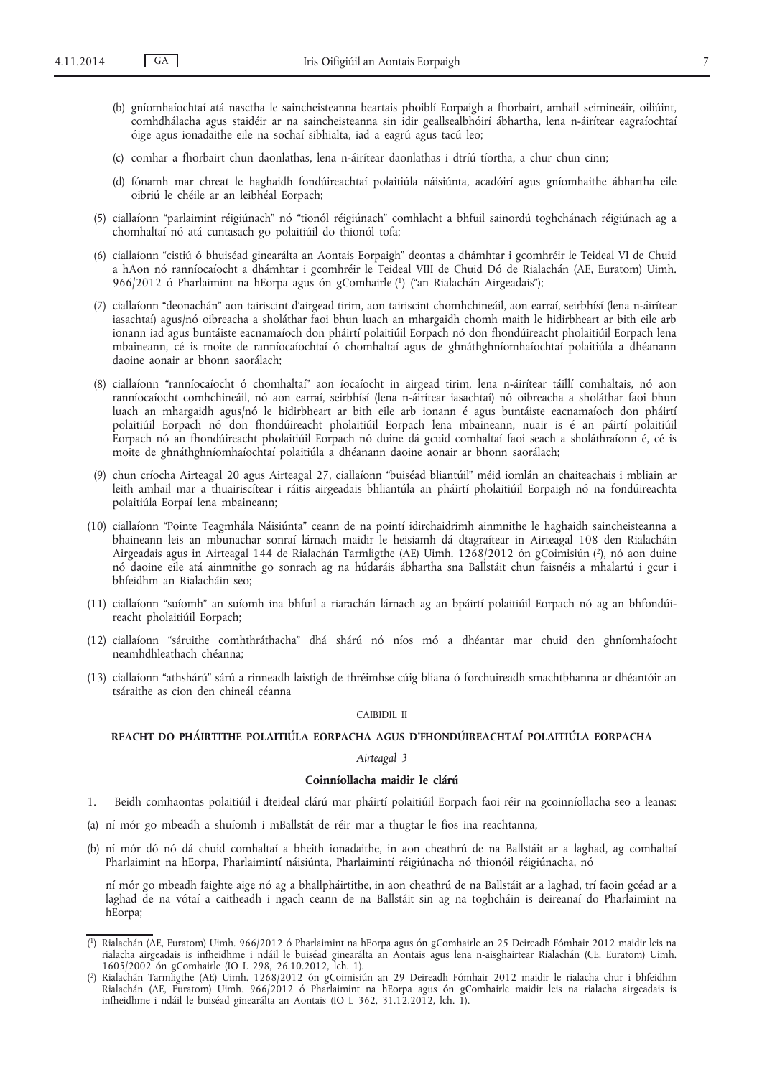- (b) gníomhaíochtaí atá nasctha le saincheisteanna beartais phoiblí Eorpaigh a fhorbairt, amhail seimineáir, oiliúint, comhdhálacha agus staidéir ar na saincheisteanna sin idir geallsealbhóirí ábhartha, lena n-áirítear eagraíochtaí óige agus ionadaithe eile na sochaí sibhialta, iad a eagrú agus tacú leo;
- (c) comhar a fhorbairt chun daonlathas, lena n-áirítear daonlathas i dtríú tíortha, a chur chun cinn;
- (d) fónamh mar chreat le haghaidh fondúireachtaí polaitiúla náisiúnta, acadóirí agus gníomhaithe ábhartha eile oibriú le chéile ar an leibhéal Eorpach;
- (5) ciallaíonn "parlaimint réigiúnach" nó "tionól réigiúnach" comhlacht a bhfuil sainordú toghchánach réigiúnach ag a chomhaltaí nó atá cuntasach go polaitiúil do thionól tofa;
- (6) ciallaíonn "cistiú ó bhuiséad ginearálta an Aontais Eorpaigh" deontas a dhámhtar i gcomhréir le Teideal VI de Chuid a hAon nó ranníocaíocht a dhámhtar i gcomhréir le Teideal VIII de Chuid Dó de Rialachán (AE, Euratom) Uimh. 966/2012 ó Pharlaimint na hEorpa agus ón gComhairle (1) ("an Rialachán Airgeadais");
- (7) ciallaíonn "deonachán" aon tairiscint d'airgead tirim, aon tairiscint chomhchineáil, aon earraí, seirbhísí (lena n-áirítear iasachtaí) agus/nó oibreacha a sholáthar faoi bhun luach an mhargaidh chomh maith le hidirbheart ar bith eile arb ionann iad agus buntáiste eacnamaíoch don pháirtí polaitiúil Eorpach nó don fhondúireacht pholaitiúil Eorpach lena mbaineann, cé is moite de ranníocaíochtaí ó chomhaltaí agus de ghnáthghníomhaíochtaí polaitiúla a dhéanann daoine aonair ar bhonn saorálach;
- (8) ciallaíonn "ranníocaíocht ó chomhaltaí" aon íocaíocht in airgead tirim, lena n-áirítear táillí comhaltais, nó aon ranníocaíocht comhchineáil, nó aon earraí, seirbhísí (lena n-áirítear iasachtaí) nó oibreacha a sholáthar faoi bhun luach an mhargaidh agus/nó le hidirbheart ar bith eile arb ionann é agus buntáiste eacnamaíoch don pháirtí polaitiúil Eorpach nó don fhondúireacht pholaitiúil Eorpach lena mbaineann, nuair is é an páirtí polaitiúil Eorpach nó an fhondúireacht pholaitiúil Eorpach nó duine dá gcuid comhaltaí faoi seach a sholáthraíonn é, cé is moite de ghnáthghníomhaíochtaí polaitiúla a dhéanann daoine aonair ar bhonn saorálach;
- (9) chun críocha Airteagal 20 agus Airteagal 27, ciallaíonn "buiséad bliantúil" méid iomlán an chaiteachais i mbliain ar leith amhail mar a thuairiscítear i ráitis airgeadais bhliantúla an pháirtí pholaitiúil Eorpaigh nó na fondúireachta polaitiúla Eorpaí lena mbaineann;
- (10) ciallaíonn "Pointe Teagmhála Náisiúnta" ceann de na pointí idirchaidrimh ainmnithe le haghaidh saincheisteanna a bhaineann leis an mbunachar sonraí lárnach maidir le heisiamh dá dtagraítear in Airteagal 108 den Rialacháin Airgeadais agus in Airteagal 144 de Rialachán Tarmligthe (AE) Uimh. 1268/2012 ón gCoimisiún (2), nó aon duine nó daoine eile atá ainmnithe go sonrach ag na húdaráis ábhartha sna Ballstáit chun faisnéis a mhalartú i gcur i bhfeidhm an Rialacháin seo;
- (11) ciallaíonn "suíomh" an suíomh ina bhfuil a riarachán lárnach ag an bpáirtí polaitiúil Eorpach nó ag an bhfondúireacht pholaitiúil Eorpach;
- (12) ciallaíonn "sáruithe comhthráthacha" dhá shárú nó níos mó a dhéantar mar chuid den ghníomhaíocht neamhdhleathach chéanna;
- (13) ciallaíonn "athshárú" sárú a rinneadh laistigh de thréimhse cúig bliana ó forchuireadh smachtbhanna ar dhéantóir an tsáraithe as cion den chineál céanna

## CAIBIDIL II

# **REACHT DO PHÁIRTITHE POLAITIÚLA EORPACHA AGUS D'FHONDÚIREACHTAÍ POLAITIÚLA EORPACHA**

## *Airteagal 3*

# **Coinníollacha maidir le clárú**

- 1. Beidh comhaontas polaitiúil i dteideal clárú mar pháirtí polaitiúil Eorpach faoi réir na gcoinníollacha seo a leanas:
- (a) ní mór go mbeadh a shuíomh i mBallstát de réir mar a thugtar le fios ina reachtanna,
- (b) ní mór dó nó dá chuid comhaltaí a bheith ionadaithe, in aon cheathrú de na Ballstáit ar a laghad, ag comhaltaí Pharlaimint na hEorpa, Pharlaimintí náisiúnta, Pharlaimintí réigiúnacha nó thionóil réigiúnacha, nó

ní mór go mbeadh faighte aige nó ag a bhallpháirtithe, in aon cheathrú de na Ballstáit ar a laghad, trí faoin gcéad ar a laghad de na vótaí a caitheadh i ngach ceann de na Ballstáit sin ag na toghcháin is deireanaí do Pharlaimint na hEorpa;

<sup>(</sup> 1) Rialachán (AE, Euratom) Uimh. 966/2012 ó Pharlaimint na hEorpa agus ón gComhairle an 25 Deireadh Fómhair 2012 maidir leis na rialacha airgeadais is infheidhme i ndáil le buiséad ginearálta an Aontais agus lena n-aisghairtear Rialachán (CE, Euratom) Uimh. 1605/2002 ón gComhairle (IO L 298, 26.10.2012, lch. 1).

<sup>(</sup> 2) Rialachán Tarmligthe (AE) Uimh. 1268/2012 ón gCoimisiún an 29 Deireadh Fómhair 2012 maidir le rialacha chur i bhfeidhm Rialachán (AE, Euratom) Uimh. 966/2012 ó Pharlaimint na hEorpa agus ón gComhairle maidir leis na rialacha airgeadais is infheidhme i ndáil le buiséad ginearálta an Aontais (IO L 362, 31.12.2012, lch. 1).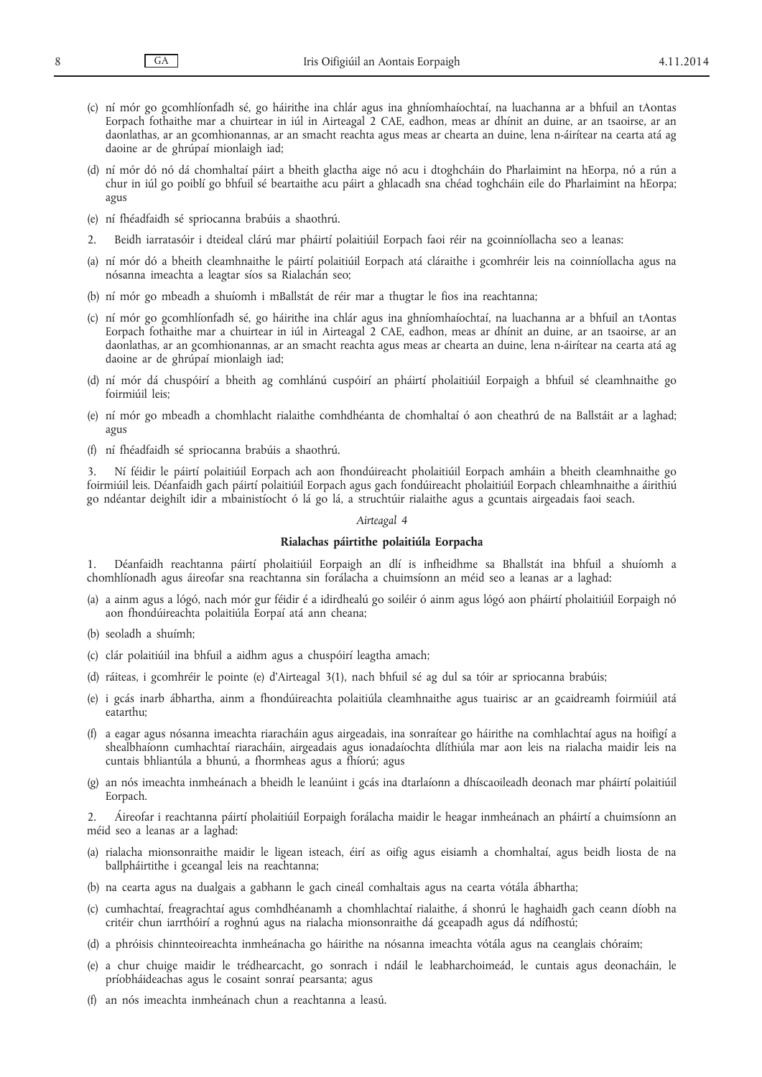- (c) ní mór go gcomhlíonfadh sé, go háirithe ina chlár agus ina ghníomhaíochtaí, na luachanna ar a bhfuil an tAontas Eorpach fothaithe mar a chuirtear in iúl in Airteagal 2 CAE, eadhon, meas ar dhínit an duine, ar an tsaoirse, ar an daonlathas, ar an gcomhionannas, ar an smacht reachta agus meas ar chearta an duine, lena n-áirítear na cearta atá ag daoine ar de ghrúpaí mionlaigh iad;
- (d) ní mór dó nó dá chomhaltaí páirt a bheith glactha aige nó acu i dtoghcháin do Pharlaimint na hEorpa, nó a rún a chur in iúl go poiblí go bhfuil sé beartaithe acu páirt a ghlacadh sna chéad toghcháin eile do Pharlaimint na hEorpa; agus
- (e) ní fhéadfaidh sé spriocanna brabúis a shaothrú.
- 2. Beidh iarratasóir i dteideal clárú mar pháirtí polaitiúil Eorpach faoi réir na gcoinníollacha seo a leanas:
- (a) ní mór dó a bheith cleamhnaithe le páirtí polaitiúil Eorpach atá cláraithe i gcomhréir leis na coinníollacha agus na nósanna imeachta a leagtar síos sa Rialachán seo;
- (b) ní mór go mbeadh a shuíomh i mBallstát de réir mar a thugtar le fios ina reachtanna;
- (c) ní mór go gcomhlíonfadh sé, go háirithe ina chlár agus ina ghníomhaíochtaí, na luachanna ar a bhfuil an tAontas Eorpach fothaithe mar a chuirtear in iúl in Airteagal 2 CAE, eadhon, meas ar dhínit an duine, ar an tsaoirse, ar an daonlathas, ar an gcomhionannas, ar an smacht reachta agus meas ar chearta an duine, lena n-áirítear na cearta atá ag daoine ar de ghrúpaí mionlaigh iad;
- (d) ní mór dá chuspóirí a bheith ag comhlánú cuspóirí an pháirtí pholaitiúil Eorpaigh a bhfuil sé cleamhnaithe go foirmiúil leis;
- (e) ní mór go mbeadh a chomhlacht rialaithe comhdhéanta de chomhaltaí ó aon cheathrú de na Ballstáit ar a laghad; agus
- (f) ní fhéadfaidh sé spriocanna brabúis a shaothrú.

3. Ní féidir le páirtí polaitiúil Eorpach ach aon fhondúireacht pholaitiúil Eorpach amháin a bheith cleamhnaithe go foirmiúil leis. Déanfaidh gach páirtí polaitiúil Eorpach agus gach fondúireacht pholaitiúil Eorpach chleamhnaithe a áirithiú go ndéantar deighilt idir a mbainistíocht ó lá go lá, a struchtúir rialaithe agus a gcuntais airgeadais faoi seach.

#### *Airteagal 4*

### **Rialachas páirtithe polaitiúla Eorpacha**

1. Déanfaidh reachtanna páirtí pholaitiúil Eorpaigh an dlí is infheidhme sa Bhallstát ina bhfuil a shuíomh a chomhlíonadh agus áireofar sna reachtanna sin forálacha a chuimsíonn an méid seo a leanas ar a laghad:

- (a) a ainm agus a lógó, nach mór gur féidir é a idirdhealú go soiléir ó ainm agus lógó aon pháirtí pholaitiúil Eorpaigh nó aon fhondúireachta polaitiúla Eorpaí atá ann cheana;
- (b) seoladh a shuímh;
- (c) clár polaitiúil ina bhfuil a aidhm agus a chuspóirí leagtha amach;
- (d) ráiteas, i gcomhréir le pointe (e) d'Airteagal 3(1), nach bhfuil sé ag dul sa tóir ar spriocanna brabúis;
- (e) i gcás inarb ábhartha, ainm a fhondúireachta polaitiúla cleamhnaithe agus tuairisc ar an gcaidreamh foirmiúil atá eatarthu;
- (f) a eagar agus nósanna imeachta riaracháin agus airgeadais, ina sonraítear go háirithe na comhlachtaí agus na hoifigí a shealbhaíonn cumhachtaí riaracháin, airgeadais agus ionadaíochta dlíthiúla mar aon leis na rialacha maidir leis na cuntais bhliantúla a bhunú, a fhormheas agus a fhíorú; agus
- (g) an nós imeachta inmheánach a bheidh le leanúint i gcás ina dtarlaíonn a dhíscaoileadh deonach mar pháirtí polaitiúil Eorpach.

2. Áireofar i reachtanna páirtí pholaitiúil Eorpaigh forálacha maidir le heagar inmheánach an pháirtí a chuimsíonn an méid seo a leanas ar a laghad:

- (a) rialacha mionsonraithe maidir le ligean isteach, éirí as oifig agus eisiamh a chomhaltaí, agus beidh liosta de na ballpháirtithe i gceangal leis na reachtanna;
- (b) na cearta agus na dualgais a gabhann le gach cineál comhaltais agus na cearta vótála ábhartha;
- (c) cumhachtaí, freagrachtaí agus comhdhéanamh a chomhlachtaí rialaithe, á shonrú le haghaidh gach ceann díobh na critéir chun iarrthóirí a roghnú agus na rialacha mionsonraithe dá gceapadh agus dá ndífhostú;
- (d) a phróisis chinnteoireachta inmheánacha go háirithe na nósanna imeachta vótála agus na ceanglais chóraim;
- (e) a chur chuige maidir le trédhearcacht, go sonrach i ndáil le leabharchoimeád, le cuntais agus deonacháin, le príobháideachas agus le cosaint sonraí pearsanta; agus
- (f) an nós imeachta inmheánach chun a reachtanna a leasú.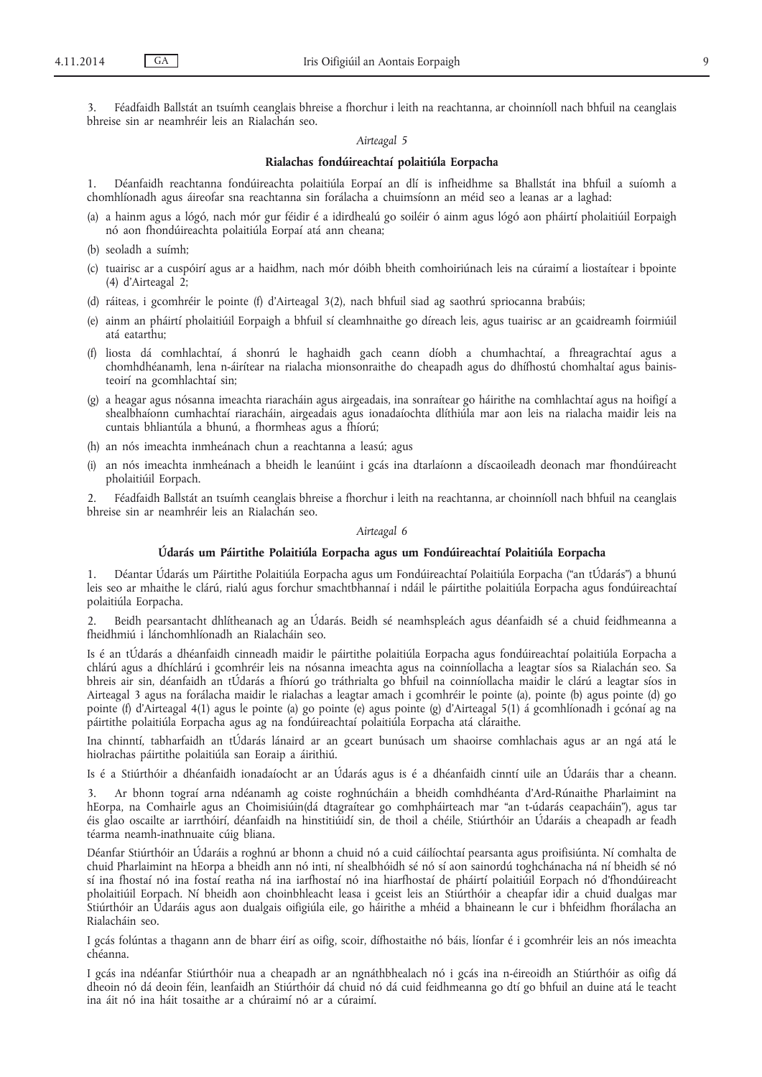3. Féadfaidh Ballstát an tsuímh ceanglais bhreise a fhorchur i leith na reachtanna, ar choinníoll nach bhfuil na ceanglais bhreise sin ar neamhréir leis an Rialachán seo.

## *Airteagal 5*

# **Rialachas fondúireachtaí polaitiúla Eorpacha**

1. Déanfaidh reachtanna fondúireachta polaitiúla Eorpaí an dlí is infheidhme sa Bhallstát ina bhfuil a suíomh a chomhlíonadh agus áireofar sna reachtanna sin forálacha a chuimsíonn an méid seo a leanas ar a laghad:

- (a) a hainm agus a lógó, nach mór gur féidir é a idirdhealú go soiléir ó ainm agus lógó aon pháirtí pholaitiúil Eorpaigh nó aon fhondúireachta polaitiúla Eorpaí atá ann cheana;
- (b) seoladh a suímh;
- (c) tuairisc ar a cuspóirí agus ar a haidhm, nach mór dóibh bheith comhoiriúnach leis na cúraimí a liostaítear i bpointe (4) d'Airteagal 2;
- (d) ráiteas, i gcomhréir le pointe (f) d'Airteagal 3(2), nach bhfuil siad ag saothrú spriocanna brabúis;
- (e) ainm an pháirtí pholaitiúil Eorpaigh a bhfuil sí cleamhnaithe go díreach leis, agus tuairisc ar an gcaidreamh foirmiúil atá eatarthu;
- (f) liosta dá comhlachtaí, á shonrú le haghaidh gach ceann díobh a chumhachtaí, a fhreagrachtaí agus a chomhdhéanamh, lena n-áirítear na rialacha mionsonraithe do cheapadh agus do dhífhostú chomhaltaí agus bainisteoirí na gcomhlachtaí sin;
- (g) a heagar agus nósanna imeachta riaracháin agus airgeadais, ina sonraítear go háirithe na comhlachtaí agus na hoifigí a shealbhaíonn cumhachtaí riaracháin, airgeadais agus ionadaíochta dlíthiúla mar aon leis na rialacha maidir leis na cuntais bhliantúla a bhunú, a fhormheas agus a fhíorú;
- (h) an nós imeachta inmheánach chun a reachtanna a leasú; agus
- (i) an nós imeachta inmheánach a bheidh le leanúint i gcás ina dtarlaíonn a díscaoileadh deonach mar fhondúireacht pholaitiúil Eorpach.

2. Féadfaidh Ballstát an tsuímh ceanglais bhreise a fhorchur i leith na reachtanna, ar choinníoll nach bhfuil na ceanglais bhreise sin ar neamhréir leis an Rialachán seo.

#### *Airteagal 6*

## **Údarás um Páirtithe Polaitiúla Eorpacha agus um Fondúireachtaí Polaitiúla Eorpacha**

1. Déantar Údarás um Páirtithe Polaitiúla Eorpacha agus um Fondúireachtaí Polaitiúla Eorpacha ("an tÚdarás") a bhunú leis seo ar mhaithe le clárú, rialú agus forchur smachtbhannaí i ndáil le páirtithe polaitiúla Eorpacha agus fondúireachtaí polaitiúla Eorpacha.

2. Beidh pearsantacht dhlítheanach ag an Údarás. Beidh sé neamhspleách agus déanfaidh sé a chuid feidhmeanna a fheidhmiú i lánchomhlíonadh an Rialacháin seo.

Is é an tÚdarás a dhéanfaidh cinneadh maidir le páirtithe polaitiúla Eorpacha agus fondúireachtaí polaitiúla Eorpacha a chlárú agus a dhíchlárú i gcomhréir leis na nósanna imeachta agus na coinníollacha a leagtar síos sa Rialachán seo. Sa bhreis air sin, déanfaidh an tÚdarás a fhíorú go tráthrialta go bhfuil na coinníollacha maidir le clárú a leagtar síos in Airteagal 3 agus na forálacha maidir le rialachas a leagtar amach i gcomhréir le pointe (a), pointe (b) agus pointe (d) go pointe (f) d'Airteagal 4(1) agus le pointe (a) go pointe (e) agus pointe (g) d'Airteagal 5(1) á gcomhlíonadh i gcónaí ag na páirtithe polaitiúla Eorpacha agus ag na fondúireachtaí polaitiúla Eorpacha atá cláraithe.

Ina chinntí, tabharfaidh an tÚdarás lánaird ar an gceart bunúsach um shaoirse comhlachais agus ar an ngá atá le hiolrachas páirtithe polaitiúla san Eoraip a áirithiú.

Is é a Stiúrthóir a dhéanfaidh ionadaíocht ar an Údarás agus is é a dhéanfaidh cinntí uile an Údaráis thar a cheann.

3. Ar bhonn tograí arna ndéanamh ag coiste roghnúcháin a bheidh comhdhéanta d'Ard-Rúnaithe Pharlaimint na hEorpa, na Comhairle agus an Choimisiúin(dá dtagraítear go comhpháirteach mar "an t-údarás ceapacháin"), agus tar éis glao oscailte ar iarrthóirí, déanfaidh na hinstitiúidí sin, de thoil a chéile, Stiúrthóir an Údaráis a cheapadh ar feadh téarma neamh-inathnuaite cúig bliana.

Déanfar Stiúrthóir an Údaráis a roghnú ar bhonn a chuid nó a cuid cáilíochtaí pearsanta agus proifisiúnta. Ní comhalta de chuid Pharlaimint na hEorpa a bheidh ann nó inti, ní shealbhóidh sé nó sí aon sainordú toghchánacha ná ní bheidh sé nó sí ina fhostaí nó ina fostaí reatha ná ina iarfhostaí nó ina hiarfhostaí de pháirtí polaitiúil Eorpach nó d'fhondúireacht pholaitiúil Eorpach. Ní bheidh aon choinbhleacht leasa i gceist leis an Stiúrthóir a cheapfar idir a chuid dualgas mar Stiúrthóir an Údaráis agus aon dualgais oifigiúla eile, go háirithe a mhéid a bhaineann le cur i bhfeidhm fhorálacha an Rialacháin seo.

I gcás folúntas a thagann ann de bharr éirí as oifig, scoir, dífhostaithe nó báis, líonfar é i gcomhréir leis an nós imeachta chéanna.

I gcás ina ndéanfar Stiúrthóir nua a cheapadh ar an ngnáthbhealach nó i gcás ina n-éireoidh an Stiúrthóir as oifig dá dheoin nó dá deoin féin, leanfaidh an Stiúrthóir dá chuid nó dá cuid feidhmeanna go dtí go bhfuil an duine atá le teacht ina áit nó ina háit tosaithe ar a chúraimí nó ar a cúraimí.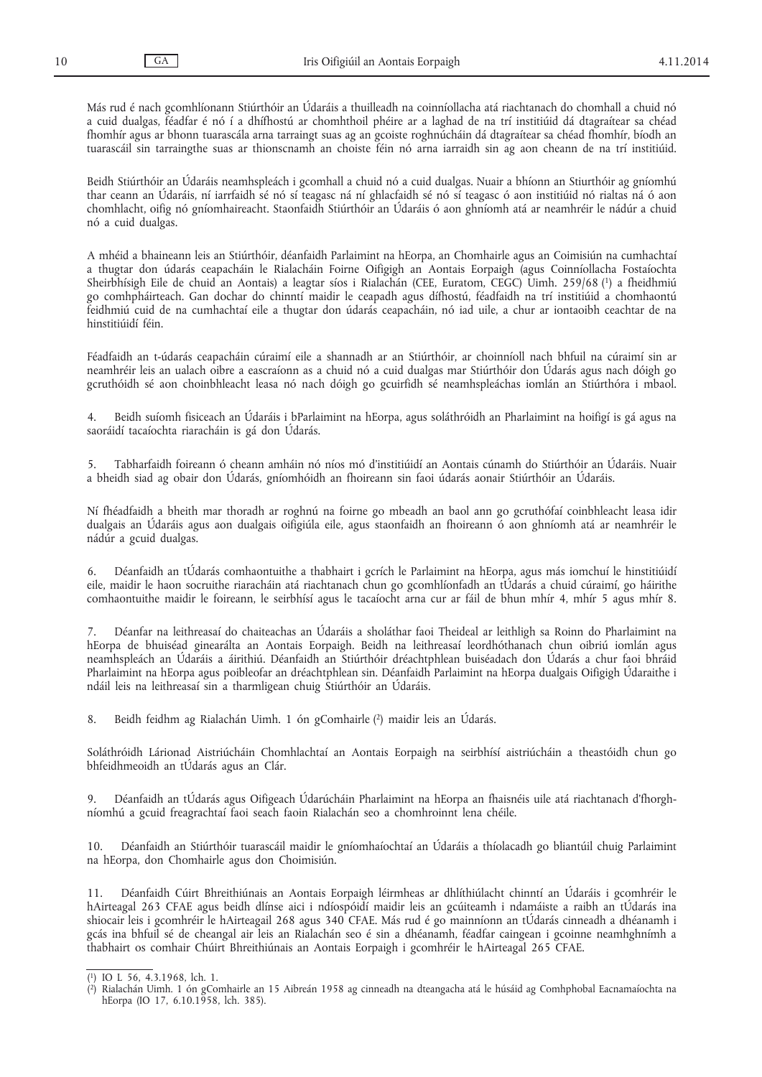Más rud é nach gcomhlíonann Stiúrthóir an Údaráis a thuilleadh na coinníollacha atá riachtanach do chomhall a chuid nó a cuid dualgas, féadfar é nó í a dhífhostú ar chomhthoil phéire ar a laghad de na trí institiúid dá dtagraítear sa chéad fhomhír agus ar bhonn tuarascála arna tarraingt suas ag an gcoiste roghnúcháin dá dtagraítear sa chéad fhomhír, bíodh an tuarascáil sin tarraingthe suas ar thionscnamh an choiste féin nó arna iarraidh sin ag aon cheann de na trí institiúid.

Beidh Stiúrthóir an Údaráis neamhspleách i gcomhall a chuid nó a cuid dualgas. Nuair a bhíonn an Stiurthóir ag gníomhú thar ceann an Údaráis, ní iarrfaidh sé nó sí teagasc ná ní ghlacfaidh sé nó sí teagasc ó aon institiúid nó rialtas ná ó aon chomhlacht, oifig nó gníomhaireacht. Staonfaidh Stiúrthóir an Údaráis ó aon ghníomh atá ar neamhréir le nádúr a chuid nó a cuid dualgas.

A mhéid a bhaineann leis an Stiúrthóir, déanfaidh Parlaimint na hEorpa, an Chomhairle agus an Coimisiún na cumhachtaí a thugtar don údarás ceapacháin le Rialacháin Foirne Oifigigh an Aontais Eorpaigh (agus Coinníollacha Fostaíochta Sheirbhísigh Eile de chuid an Aontais) a leagtar síos i Rialachán (CEE, Euratom, CEGC) Uimh. 259/68 (1) a fheidhmiú go comhpháirteach. Gan dochar do chinntí maidir le ceapadh agus dífhostú, féadfaidh na trí institiúid a chomhaontú feidhmiú cuid de na cumhachtaí eile a thugtar don údarás ceapacháin, nó iad uile, a chur ar iontaoibh ceachtar de na hinstitiúidí féin.

Féadfaidh an t-údarás ceapacháin cúraimí eile a shannadh ar an Stiúrthóir, ar choinníoll nach bhfuil na cúraimí sin ar neamhréir leis an ualach oibre a eascraíonn as a chuid nó a cuid dualgas mar Stiúrthóir don Údarás agus nach dóigh go gcruthóidh sé aon choinbhleacht leasa nó nach dóigh go gcuirfidh sé neamhspleáchas iomlán an Stiúrthóra i mbaol.

4. Beidh suíomh fisiceach an Údaráis i bParlaimint na hEorpa, agus soláthróidh an Pharlaimint na hoifigí is gá agus na saoráidí tacaíochta riaracháin is gá don Údarás.

5. Tabharfaidh foireann ó cheann amháin nó níos mó d'institiúidí an Aontais cúnamh do Stiúrthóir an Údaráis. Nuair a bheidh siad ag obair don Údarás, gníomhóidh an fhoireann sin faoi údarás aonair Stiúrthóir an Údaráis.

Ní fhéadfaidh a bheith mar thoradh ar roghnú na foirne go mbeadh an baol ann go gcruthófaí coinbhleacht leasa idir dualgais an Údaráis agus aon dualgais oifigiúla eile, agus staonfaidh an fhoireann ó aon ghníomh atá ar neamhréir le nádúr a gcuid dualgas.

6. Déanfaidh an tÚdarás comhaontuithe a thabhairt i gcrích le Parlaimint na hEorpa, agus más iomchuí le hinstitiúidí eile, maidir le haon socruithe riaracháin atá riachtanach chun go gcomhlíonfadh an tÚdarás a chuid cúraimí, go háirithe comhaontuithe maidir le foireann, le seirbhísí agus le tacaíocht arna cur ar fáil de bhun mhír 4, mhír 5 agus mhír 8.

7. Déanfar na leithreasaí do chaiteachas an Údaráis a sholáthar faoi Theideal ar leithligh sa Roinn do Pharlaimint na hEorpa de bhuiséad ginearálta an Aontais Eorpaigh. Beidh na leithreasaí leordhóthanach chun oibriú iomlán agus neamhspleách an Údaráis a áirithiú. Déanfaidh an Stiúrthóir dréachtphlean buiséadach don Údarás a chur faoi bhráid Pharlaimint na hEorpa agus poibleofar an dréachtphlean sin. Déanfaidh Parlaimint na hEorpa dualgais Oifigigh Údaraithe i ndáil leis na leithreasaí sin a tharmligean chuig Stiúrthóir an Údaráis.

8. Beidh feidhm ag Rialachán Uimh. 1 ón gComhairle (2) maidir leis an Údarás.

Soláthróidh Lárionad Aistriúcháin Chomhlachtaí an Aontais Eorpaigh na seirbhísí aistriúcháin a theastóidh chun go bhfeidhmeoidh an tÚdarás agus an Clár.

9. Déanfaidh an tÚdarás agus Oifigeach Údarúcháin Pharlaimint na hEorpa an fhaisnéis uile atá riachtanach d'fhorghníomhú a gcuid freagrachtaí faoi seach faoin Rialachán seo a chomhroinnt lena chéile.

10. Déanfaidh an Stiúrthóir tuarascáil maidir le gníomhaíochtaí an Údaráis a thíolacadh go bliantúil chuig Parlaimint na hEorpa, don Chomhairle agus don Choimisiún.

11. Déanfaidh Cúirt Bhreithiúnais an Aontais Eorpaigh léirmheas ar dhlíthiúlacht chinntí an Údaráis i gcomhréir le hAirteagal 263 CFAE agus beidh dlínse aici i ndíospóidí maidir leis an gcúiteamh i ndamáiste a raibh an tÚdarás ina shiocair leis i gcomhréir le hAirteagail 268 agus 340 CFAE. Más rud é go mainníonn an tÚdarás cinneadh a dhéanamh i gcás ina bhfuil sé de cheangal air leis an Rialachán seo é sin a dhéanamh, féadfar caingean i gcoinne neamhghnímh a thabhairt os comhair Chúirt Bhreithiúnais an Aontais Eorpaigh i gcomhréir le hAirteagal 265 CFAE.

<sup>(</sup> 1) IO L 56, 4.3.1968, lch. 1.

<sup>(</sup> 2) Rialachán Uimh. 1 ón gComhairle an 15 Aibreán 1958 ag cinneadh na dteangacha atá le húsáid ag Comhphobal Eacnamaíochta na hEorpa (IO 17, 6.10.1958, lch. 385).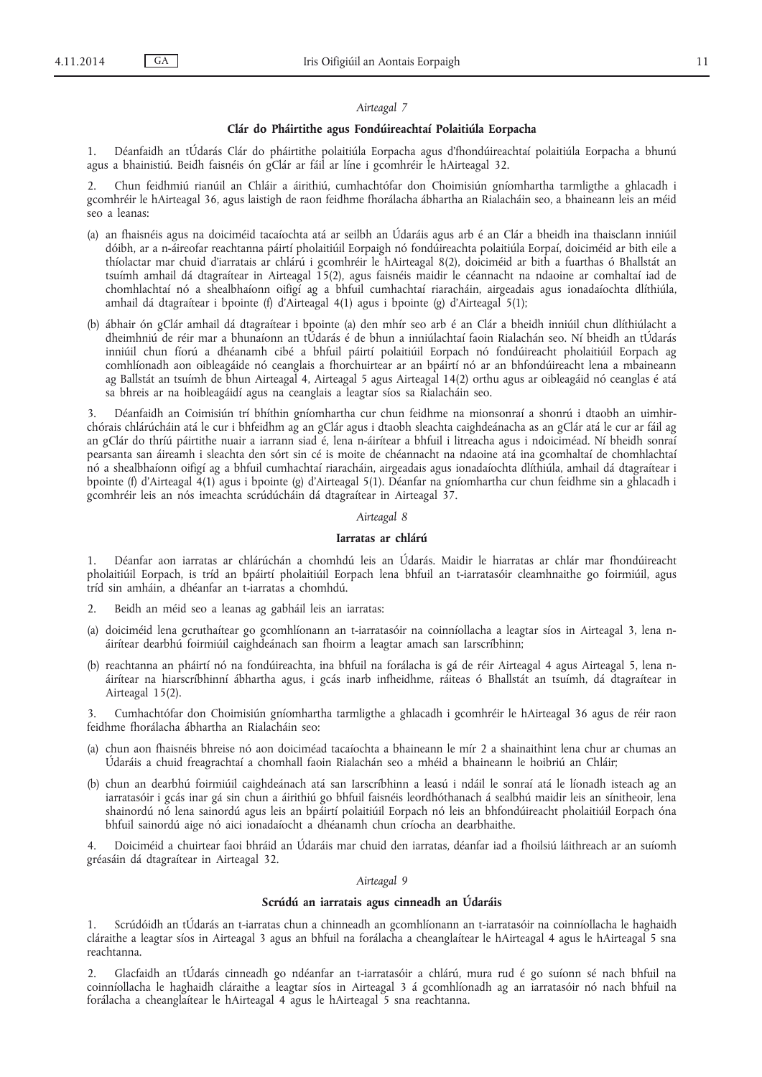#### *Airteagal 7*

#### **Clár do Pháirtithe agus Fondúireachtaí Polaitiúla Eorpacha**

1. Déanfaidh an tÚdarás Clár do pháirtithe polaitiúla Eorpacha agus d'fhondúireachtaí polaitiúla Eorpacha a bhunú agus a bhainistiú. Beidh faisnéis ón gClár ar fáil ar líne i gcomhréir le hAirteagal 32.

2. Chun feidhmiú rianúil an Chláir a áirithiú, cumhachtófar don Choimisiún gníomhartha tarmligthe a ghlacadh i gcomhréir le hAirteagal 36, agus laistigh de raon feidhme fhorálacha ábhartha an Rialacháin seo, a bhaineann leis an méid seo a leanas:

- (a) an fhaisnéis agus na doiciméid tacaíochta atá ar seilbh an Údaráis agus arb é an Clár a bheidh ina thaisclann inniúil dóibh, ar a n-áireofar reachtanna páirtí pholaitiúil Eorpaigh nó fondúireachta polaitiúla Eorpaí, doiciméid ar bith eile a thíolactar mar chuid d'iarratais ar chlárú i gcomhréir le hAirteagal 8(2), doiciméid ar bith a fuarthas ó Bhallstát an tsuímh amhail dá dtagraítear in Airteagal 15(2), agus faisnéis maidir le céannacht na ndaoine ar comhaltaí iad de chomhlachtaí nó a shealbhaíonn oifigí ag a bhfuil cumhachtaí riaracháin, airgeadais agus ionadaíochta dlíthiúla, amhail dá dtagraítear i bpointe (f) d'Airteagal 4(1) agus i bpointe (g) d'Airteagal 5(1);
- (b) ábhair ón gClár amhail dá dtagraítear i bpointe (a) den mhír seo arb é an Clár a bheidh inniúil chun dlíthiúlacht a dheimhniú de réir mar a bhunaíonn an tÚdarás é de bhun a inniúlachtaí faoin Rialachán seo. Ní bheidh an tÚdarás inniúil chun fíorú a dhéanamh cibé a bhfuil páirtí polaitiúil Eorpach nó fondúireacht pholaitiúil Eorpach ag comhlíonadh aon oibleagáide nó ceanglais a fhorchuirtear ar an bpáirtí nó ar an bhfondúireacht lena a mbaineann ag Ballstát an tsuímh de bhun Airteagal 4, Airteagal 5 agus Airteagal 14(2) orthu agus ar oibleagáid nó ceanglas é atá sa bhreis ar na hoibleagáidí agus na ceanglais a leagtar síos sa Rialacháin seo.

3. Déanfaidh an Coimisiún trí bhíthin gníomhartha cur chun feidhme na mionsonraí a shonrú i dtaobh an uimhirchórais chlárúcháin atá le cur i bhfeidhm ag an gClár agus i dtaobh sleachta caighdeánacha as an gClár atá le cur ar fáil ag an gClár do thríú páirtithe nuair a iarrann siad é, lena n-áirítear a bhfuil i litreacha agus i ndoiciméad. Ní bheidh sonraí pearsanta san áireamh i sleachta den sórt sin cé is moite de chéannacht na ndaoine atá ina gcomhaltaí de chomhlachtaí nó a shealbhaíonn oifigí ag a bhfuil cumhachtaí riaracháin, airgeadais agus ionadaíochta dlíthiúla, amhail dá dtagraítear i bpointe (f) d'Airteagal 4(1) agus i bpointe (g) d'Airteagal 5(1). Déanfar na gníomhartha cur chun feidhme sin a ghlacadh i gcomhréir leis an nós imeachta scrúdúcháin dá dtagraítear in Airteagal 37.

## *Airteagal 8*

## **Iarratas ar chlárú**

1. Déanfar aon iarratas ar chlárúchán a chomhdú leis an Údarás. Maidir le hiarratas ar chlár mar fhondúireacht pholaitiúil Eorpach, is tríd an bpáirtí pholaitiúil Eorpach lena bhfuil an t-iarratasóir cleamhnaithe go foirmiúil, agus tríd sin amháin, a dhéanfar an t-iarratas a chomhdú.

- 2. Beidh an méid seo a leanas ag gabháil leis an iarratas:
- (a) doiciméid lena gcruthaítear go gcomhlíonann an t-iarratasóir na coinníollacha a leagtar síos in Airteagal 3, lena náirítear dearbhú foirmiúil caighdeánach san fhoirm a leagtar amach san Iarscríbhinn;
- (b) reachtanna an pháirtí nó na fondúireachta, ina bhfuil na forálacha is gá de réir Airteagal 4 agus Airteagal 5, lena náirítear na hiarscríbhinní ábhartha agus, i gcás inarb infheidhme, ráiteas ó Bhallstát an tsuímh, dá dtagraítear in Airteagal 15(2).

3. Cumhachtófar don Choimisiún gníomhartha tarmligthe a ghlacadh i gcomhréir le hAirteagal 36 agus de réir raon feidhme fhorálacha ábhartha an Rialacháin seo:

- (a) chun aon fhaisnéis bhreise nó aon doiciméad tacaíochta a bhaineann le mír 2 a shainaithint lena chur ar chumas an Údaráis a chuid freagrachtaí a chomhall faoin Rialachán seo a mhéid a bhaineann le hoibriú an Chláir;
- (b) chun an dearbhú foirmiúil caighdeánach atá san Iarscríbhinn a leasú i ndáil le sonraí atá le líonadh isteach ag an iarratasóir i gcás inar gá sin chun a áirithiú go bhfuil faisnéis leordhóthanach á sealbhú maidir leis an sínitheoir, lena shainordú nó lena sainordú agus leis an bpáirtí polaitiúil Eorpach nó leis an bhfondúireacht pholaitiúil Eorpach óna bhfuil sainordú aige nó aici ionadaíocht a dhéanamh chun críocha an dearbhaithe.

4. Doiciméid a chuirtear faoi bhráid an Údaráis mar chuid den iarratas, déanfar iad a fhoilsiú láithreach ar an suíomh gréasáin dá dtagraítear in Airteagal 32.

#### *Airteagal 9*

## **Scrúdú an iarratais agus cinneadh an Údaráis**

1. Scrúdóidh an tÚdarás an t-iarratas chun a chinneadh an gcomhlíonann an t-iarratasóir na coinníollacha le haghaidh cláraithe a leagtar síos in Airteagal 3 agus an bhfuil na forálacha a cheanglaítear le hAirteagal 4 agus le hAirteagal 5 sna reachtanna.

2. Glacfaidh an tÚdarás cinneadh go ndéanfar an t-iarratasóir a chlárú, mura rud é go suíonn sé nach bhfuil na coinníollacha le haghaidh cláraithe a leagtar síos in Airteagal 3 á gcomhlíonadh ag an iarratasóir nó nach bhfuil na forálacha a cheanglaítear le hAirteagal 4 agus le hAirteagal 5 sna reachtanna.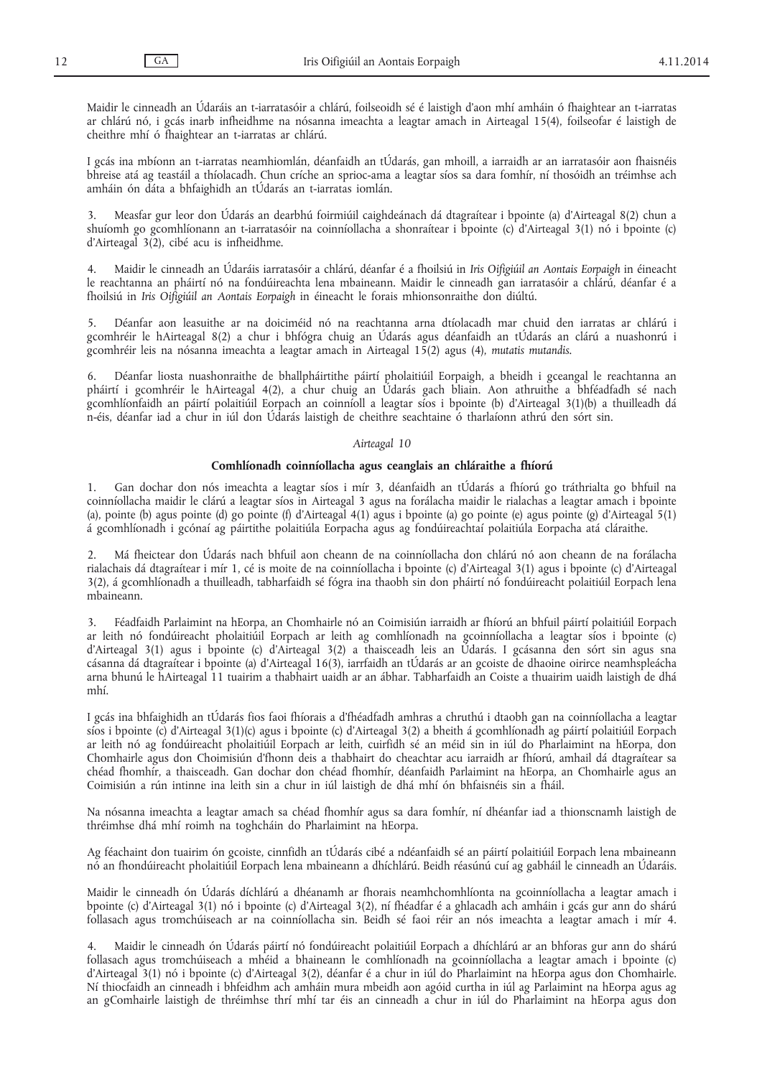Maidir le cinneadh an Údaráis an t-iarratasóir a chlárú, foilseoidh sé é laistigh d'aon mhí amháin ó fhaightear an t-iarratas ar chlárú nó, i gcás inarb infheidhme na nósanna imeachta a leagtar amach in Airteagal 15(4), foilseofar é laistigh de cheithre mhí ó fhaightear an t-iarratas ar chlárú.

I gcás ina mbíonn an t-iarratas neamhiomlán, déanfaidh an tÚdarás, gan mhoill, a iarraidh ar an iarratasóir aon fhaisnéis bhreise atá ag teastáil a thíolacadh. Chun críche an sprioc-ama a leagtar síos sa dara fomhír, ní thosóidh an tréimhse ach amháin ón dáta a bhfaighidh an tÚdarás an t-iarratas iomlán.

3. Measfar gur leor don Údarás an dearbhú foirmiúil caighdeánach dá dtagraítear i bpointe (a) d'Airteagal 8(2) chun a shuíomh go gcomhlíonann an t-iarratasóir na coinníollacha a shonraítear i bpointe (c) d'Airteagal 3(1) nó i bpointe (c) d'Airteagal 3(2), cibé acu is infheidhme.

4. Maidir le cinneadh an Údaráis iarratasóir a chlárú, déanfar é a fhoilsiú in *Iris Oifigiúil an Aontais Eorpaigh* in éineacht le reachtanna an pháirtí nó na fondúireachta lena mbaineann. Maidir le cinneadh gan iarratasóir a chlárú, déanfar é a fhoilsiú in *Iris Oifigiúil an Aontais Eorpaigh* in éineacht le forais mhionsonraithe don diúltú.

5. Déanfar aon leasuithe ar na doiciméid nó na reachtanna arna dtíolacadh mar chuid den iarratas ar chlárú i gcomhréir le hAirteagal 8(2) a chur i bhfógra chuig an Údarás agus déanfaidh an tÚdarás an clárú a nuashonrú i gcomhréir leis na nósanna imeachta a leagtar amach in Airteagal 15(2) agus (4), *mutatis mutandis*.

Déanfar liosta nuashonraithe de bhallpháirtithe páirtí pholaitiúil Eorpaigh, a bheidh i gceangal le reachtanna an pháirtí i gcomhréir le hAirteagal 4(2), a chur chuig an Údarás gach bliain. Aon athruithe a bhféadfadh sé nach gcomhlíonfaidh an páirtí polaitiúil Eorpach an coinníoll a leagtar síos i bpointe (b) d'Airteagal 3(1)(b) a thuilleadh dá n-éis, déanfar iad a chur in iúl don Údarás laistigh de cheithre seachtaine ó tharlaíonn athrú den sórt sin.

## *Airteagal 10*

#### **Comhlíonadh coinníollacha agus ceanglais an chláraithe a fhíorú**

1. Gan dochar don nós imeachta a leagtar síos i mír 3, déanfaidh an tÚdarás a fhíorú go tráthrialta go bhfuil na coinníollacha maidir le clárú a leagtar síos in Airteagal 3 agus na forálacha maidir le rialachas a leagtar amach i bpointe (a), pointe (b) agus pointe (d) go pointe (f) d'Airteagal 4(1) agus i bpointe (a) go pointe (e) agus pointe (g) d'Airteagal 5(1) á gcomhlíonadh i gcónaí ag páirtithe polaitiúla Eorpacha agus ag fondúireachtaí polaitiúla Eorpacha atá cláraithe.

2. Má fheictear don Údarás nach bhfuil aon cheann de na coinníollacha don chlárú nó aon cheann de na forálacha rialachais dá dtagraítear i mír 1, cé is moite de na coinníollacha i bpointe (c) d'Airteagal 3(1) agus i bpointe (c) d'Airteagal 3(2), á gcomhlíonadh a thuilleadh, tabharfaidh sé fógra ina thaobh sin don pháirtí nó fondúireacht polaitiúil Eorpach lena mbaineann.

3. Féadfaidh Parlaimint na hEorpa, an Chomhairle nó an Coimisiún iarraidh ar fhíorú an bhfuil páirtí polaitiúil Eorpach ar leith nó fondúireacht pholaitiúil Eorpach ar leith ag comhlíonadh na gcoinníollacha a leagtar síos i bpointe (c) d'Airteagal 3(1) agus i bpointe (c) d'Airteagal 3(2) a thaisceadh leis an Údarás. I gcásanna den sórt sin agus sna cásanna dá dtagraítear i bpointe (a) d'Airteagal 16(3), iarrfaidh an tÚdarás ar an gcoiste de dhaoine oirirce neamhspleácha arna bhunú le hAirteagal 11 tuairim a thabhairt uaidh ar an ábhar. Tabharfaidh an Coiste a thuairim uaidh laistigh de dhá mhí.

I gcás ina bhfaighidh an tÚdarás fios faoi fhíorais a d'fhéadfadh amhras a chruthú i dtaobh gan na coinníollacha a leagtar síos i bpointe (c) d'Airteagal 3(1)(c) agus i bpointe (c) d'Airteagal 3(2) a bheith á gcomhlíonadh ag páirtí polaitiúil Eorpach ar leith nó ag fondúireacht pholaitiúil Eorpach ar leith, cuirfidh sé an méid sin in iúl do Pharlaimint na hEorpa, don Chomhairle agus don Choimisiún d'fhonn deis a thabhairt do cheachtar acu iarraidh ar fhíorú, amhail dá dtagraítear sa chéad fhomhír, a thaisceadh. Gan dochar don chéad fhomhír, déanfaidh Parlaimint na hEorpa, an Chomhairle agus an Coimisiún a rún intinne ina leith sin a chur in iúl laistigh de dhá mhí ón bhfaisnéis sin a fháil.

Na nósanna imeachta a leagtar amach sa chéad fhomhír agus sa dara fomhír, ní dhéanfar iad a thionscnamh laistigh de thréimhse dhá mhí roimh na toghcháin do Pharlaimint na hEorpa.

Ag féachaint don tuairim ón gcoiste, cinnfidh an tÚdarás cibé a ndéanfaidh sé an páirtí polaitiúil Eorpach lena mbaineann nó an fhondúireacht pholaitiúil Eorpach lena mbaineann a dhíchlárú. Beidh réasúnú cuí ag gabháil le cinneadh an Údaráis.

Maidir le cinneadh ón Údarás díchlárú a dhéanamh ar fhorais neamhchomhlíonta na gcoinníollacha a leagtar amach i bpointe (c) d'Airteagal 3(1) nó i bpointe (c) d'Airteagal 3(2), ní fhéadfar é a ghlacadh ach amháin i gcás gur ann do shárú follasach agus tromchúiseach ar na coinníollacha sin. Beidh sé faoi réir an nós imeachta a leagtar amach i mír 4.

4. Maidir le cinneadh ón Údarás páirtí nó fondúireacht polaitiúil Eorpach a dhíchlárú ar an bhforas gur ann do shárú follasach agus tromchúiseach a mhéid a bhaineann le comhlíonadh na gcoinníollacha a leagtar amach i bpointe (c) d'Airteagal 3(1) nó i bpointe (c) d'Airteagal 3(2), déanfar é a chur in iúl do Pharlaimint na hEorpa agus don Chomhairle. Ní thiocfaidh an cinneadh i bhfeidhm ach amháin mura mbeidh aon agóid curtha in iúl ag Parlaimint na hEorpa agus ag an gComhairle laistigh de thréimhse thrí mhí tar éis an cinneadh a chur in iúl do Pharlaimint na hEorpa agus don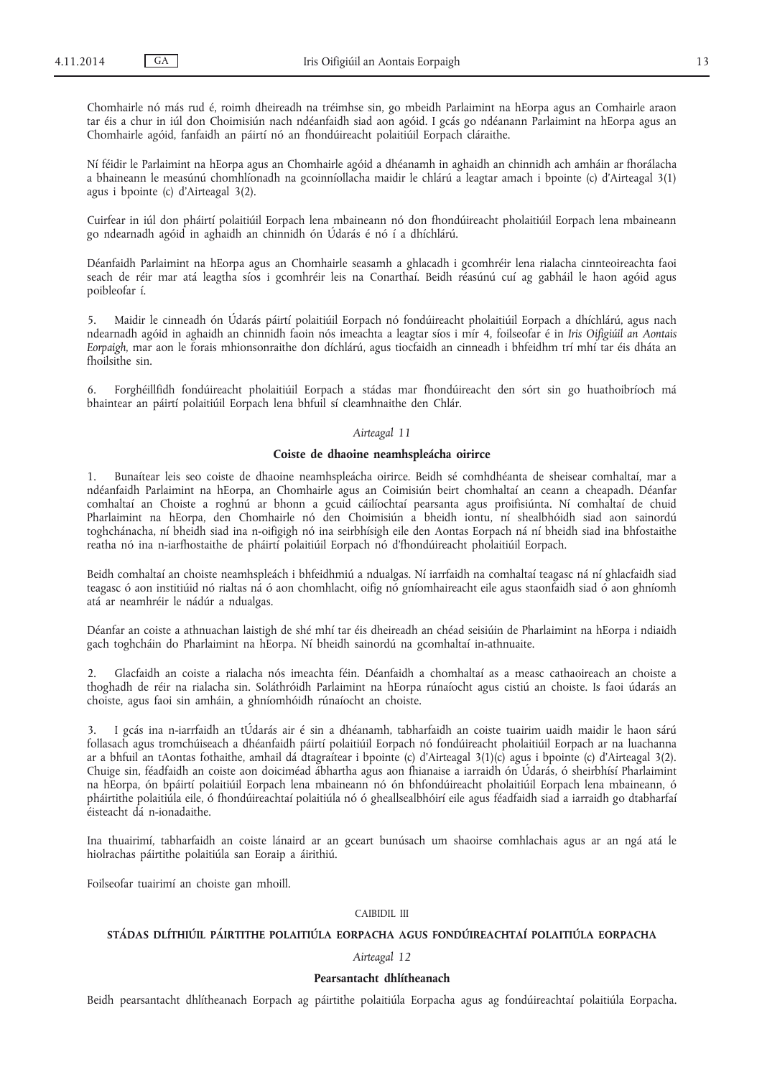Chomhairle nó más rud é, roimh dheireadh na tréimhse sin, go mbeidh Parlaimint na hEorpa agus an Comhairle araon tar éis a chur in iúl don Choimisiún nach ndéanfaidh siad aon agóid. I gcás go ndéanann Parlaimint na hEorpa agus an Chomhairle agóid, fanfaidh an páirtí nó an fhondúireacht polaitiúil Eorpach cláraithe.

Ní féidir le Parlaimint na hEorpa agus an Chomhairle agóid a dhéanamh in aghaidh an chinnidh ach amháin ar fhorálacha a bhaineann le measúnú chomhlíonadh na gcoinníollacha maidir le chlárú a leagtar amach i bpointe (c) d'Airteagal 3(1) agus i bpointe (c) d'Airteagal 3(2).

Cuirfear in iúl don pháirtí polaitiúil Eorpach lena mbaineann nó don fhondúireacht pholaitiúil Eorpach lena mbaineann go ndearnadh agóid in aghaidh an chinnidh ón Údarás é nó í a dhíchlárú.

Déanfaidh Parlaimint na hEorpa agus an Chomhairle seasamh a ghlacadh i gcomhréir lena rialacha cinnteoireachta faoi seach de réir mar atá leagtha síos i gcomhréir leis na Conarthaí. Beidh réasúnú cuí ag gabháil le haon agóid agus poibleofar í.

5. Maidir le cinneadh ón Údarás páirtí polaitiúil Eorpach nó fondúireacht pholaitiúil Eorpach a dhíchlárú, agus nach ndearnadh agóid in aghaidh an chinnidh faoin nós imeachta a leagtar síos i mír 4, foilseofar é in *Iris Oifigiúil an Aontais Eorpaigh*, mar aon le forais mhionsonraithe don díchlárú, agus tiocfaidh an cinneadh i bhfeidhm trí mhí tar éis dháta an fhoilsithe sin.

6. Forghéillfidh fondúireacht pholaitiúil Eorpach a stádas mar fhondúireacht den sórt sin go huathoibríoch má bhaintear an páirtí polaitiúil Eorpach lena bhfuil sí cleamhnaithe den Chlár.

# *Airteagal 11*

# **Coiste de dhaoine neamhspleácha oirirce**

1. Bunaítear leis seo coiste de dhaoine neamhspleácha oirirce. Beidh sé comhdhéanta de sheisear comhaltaí, mar a ndéanfaidh Parlaimint na hEorpa, an Chomhairle agus an Coimisiún beirt chomhaltaí an ceann a cheapadh. Déanfar comhaltaí an Choiste a roghnú ar bhonn a gcuid cáilíochtaí pearsanta agus proifisiúnta. Ní comhaltaí de chuid Pharlaimint na hEorpa, den Chomhairle nó den Choimisiún a bheidh iontu, ní shealbhóidh siad aon sainordú toghchánacha, ní bheidh siad ina n-oifigigh nó ina seirbhísigh eile den Aontas Eorpach ná ní bheidh siad ina bhfostaithe reatha nó ina n-iarfhostaithe de pháirtí polaitiúil Eorpach nó d'fhondúireacht pholaitiúil Eorpach.

Beidh comhaltaí an choiste neamhspleách i bhfeidhmiú a ndualgas. Ní iarrfaidh na comhaltaí teagasc ná ní ghlacfaidh siad teagasc ó aon institiúid nó rialtas ná ó aon chomhlacht, oifig nó gníomhaireacht eile agus staonfaidh siad ó aon ghníomh atá ar neamhréir le nádúr a ndualgas.

Déanfar an coiste a athnuachan laistigh de shé mhí tar éis dheireadh an chéad seisiúin de Pharlaimint na hEorpa i ndiaidh gach toghcháin do Pharlaimint na hEorpa. Ní bheidh sainordú na gcomhaltaí in-athnuaite.

2. Glacfaidh an coiste a rialacha nós imeachta féin. Déanfaidh a chomhaltaí as a measc cathaoireach an choiste a thoghadh de réir na rialacha sin. Soláthróidh Parlaimint na hEorpa rúnaíocht agus cistiú an choiste. Is faoi údarás an choiste, agus faoi sin amháin, a ghníomhóidh rúnaíocht an choiste.

3. I gcás ina n-iarrfaidh an tÚdarás air é sin a dhéanamh, tabharfaidh an coiste tuairim uaidh maidir le haon sárú follasach agus tromchúiseach a dhéanfaidh páirtí polaitiúil Eorpach nó fondúireacht pholaitiúil Eorpach ar na luachanna ar a bhfuil an tAontas fothaithe, amhail dá dtagraítear i bpointe (c) d'Airteagal 3(1)(c) agus i bpointe (c) d'Airteagal 3(2). Chuige sin, féadfaidh an coiste aon doiciméad ábhartha agus aon fhianaise a iarraidh ón Údarás, ó sheirbhísí Pharlaimint na hEorpa, ón bpáirtí polaitiúil Eorpach lena mbaineann nó ón bhfondúireacht pholaitiúil Eorpach lena mbaineann, ó pháirtithe polaitiúla eile, ó fhondúireachtaí polaitiúla nó ó gheallsealbhóirí eile agus féadfaidh siad a iarraidh go dtabharfaí éisteacht dá n-ionadaithe.

Ina thuairimí, tabharfaidh an coiste lánaird ar an gceart bunúsach um shaoirse comhlachais agus ar an ngá atá le hiolrachas páirtithe polaitiúla san Eoraip a áirithiú.

Foilseofar tuairimí an choiste gan mhoill.

#### CAIBIDIL III

# **STÁDAS DLÍTHIÚIL PÁIRTITHE POLAITIÚLA EORPACHA AGUS FONDÚIREACHTAÍ POLAITIÚLA EORPACHA**

## *Airteagal 12*

## **Pearsantacht dhlítheanach**

Beidh pearsantacht dhlítheanach Eorpach ag páirtithe polaitiúla Eorpacha agus ag fondúireachtaí polaitiúla Eorpacha.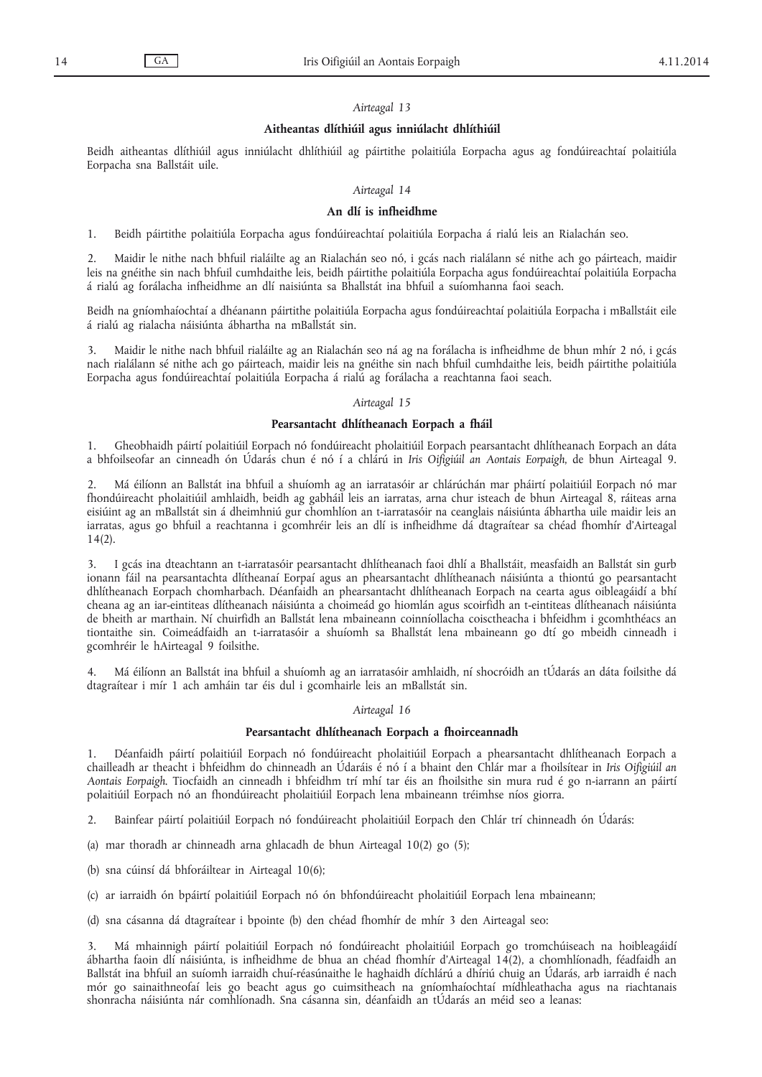#### *Airteagal 13*

## **Aitheantas dlíthiúil agus inniúlacht dhlíthiúil**

Beidh aitheantas dlíthiúil agus inniúlacht dhlíthiúil ag páirtithe polaitiúla Eorpacha agus ag fondúireachtaí polaitiúla Eorpacha sna Ballstáit uile.

## *Airteagal 14*

## **An dlí is infheidhme**

1. Beidh páirtithe polaitiúla Eorpacha agus fondúireachtaí polaitiúla Eorpacha á rialú leis an Rialachán seo.

2. Maidir le nithe nach bhfuil rialáilte ag an Rialachán seo nó, i gcás nach rialálann sé nithe ach go páirteach, maidir leis na gnéithe sin nach bhfuil cumhdaithe leis, beidh páirtithe polaitiúla Eorpacha agus fondúireachtaí polaitiúla Eorpacha á rialú ag forálacha infheidhme an dlí naisiúnta sa Bhallstát ina bhfuil a suíomhanna faoi seach.

Beidh na gníomhaíochtaí a dhéanann páirtithe polaitiúla Eorpacha agus fondúireachtaí polaitiúla Eorpacha i mBallstáit eile á rialú ag rialacha náisiúnta ábhartha na mBallstát sin.

3. Maidir le nithe nach bhfuil rialáilte ag an Rialachán seo ná ag na forálacha is infheidhme de bhun mhír 2 nó, i gcás nach rialálann sé nithe ach go páirteach, maidir leis na gnéithe sin nach bhfuil cumhdaithe leis, beidh páirtithe polaitiúla Eorpacha agus fondúireachtaí polaitiúla Eorpacha á rialú ag forálacha a reachtanna faoi seach.

#### *Airteagal 15*

## **Pearsantacht dhlítheanach Eorpach a fháil**

1. Gheobhaidh páirtí polaitiúil Eorpach nó fondúireacht pholaitiúil Eorpach pearsantacht dhlítheanach Eorpach an dáta a bhfoilseofar an cinneadh ón Údarás chun é nó í a chlárú in *Iris Oifigiúil an Aontais Eorpaigh*, de bhun Airteagal 9.

2. Má éilíonn an Ballstát ina bhfuil a shuíomh ag an iarratasóir ar chlárúchán mar pháirtí polaitiúil Eorpach nó mar fhondúireacht pholaitiúil amhlaidh, beidh ag gabháil leis an iarratas, arna chur isteach de bhun Airteagal 8, ráiteas arna eisiúint ag an mBallstát sin á dheimhniú gur chomhlíon an t-iarratasóir na ceanglais náisiúnta ábhartha uile maidir leis an iarratas, agus go bhfuil a reachtanna i gcomhréir leis an dlí is infheidhme dá dtagraítear sa chéad fhomhír d'Airteagal  $14(2)$ .

3. I gcás ina dteachtann an t-iarratasóir pearsantacht dhlítheanach faoi dhlí a Bhallstáit, measfaidh an Ballstát sin gurb ionann fáil na pearsantachta dlítheanaí Eorpaí agus an phearsantacht dhlítheanach náisiúnta a thiontú go pearsantacht dhlítheanach Eorpach chomharbach. Déanfaidh an phearsantacht dhlítheanach Eorpach na cearta agus oibleagáidí a bhí cheana ag an iar-eintiteas dlítheanach náisiúnta a choimeád go hiomlán agus scoirfidh an t-eintiteas dlítheanach náisiúnta de bheith ar marthain. Ní chuirfidh an Ballstát lena mbaineann coinníollacha coisctheacha i bhfeidhm i gcomhthéacs an tiontaithe sin. Coimeádfaidh an t-iarratasóir a shuíomh sa Bhallstát lena mbaineann go dtí go mbeidh cinneadh i gcomhréir le hAirteagal 9 foilsithe.

4. Má éilíonn an Ballstát ina bhfuil a shuíomh ag an iarratasóir amhlaidh, ní shocróidh an tÚdarás an dáta foilsithe dá dtagraítear i mír 1 ach amháin tar éis dul i gcomhairle leis an mBallstát sin.

## *Airteagal 16*

#### **Pearsantacht dhlítheanach Eorpach a fhoirceannadh**

1. Déanfaidh páirtí polaitiúil Eorpach nó fondúireacht pholaitiúil Eorpach a phearsantacht dhlítheanach Eorpach a chailleadh ar theacht i bhfeidhm do chinneadh an Údaráis é nó í a bhaint den Chlár mar a fhoilsítear in *Iris Oifigiúil an Aontais Eorpaigh*. Tiocfaidh an cinneadh i bhfeidhm trí mhí tar éis an fhoilsithe sin mura rud é go n-iarrann an páirtí polaitiúil Eorpach nó an fhondúireacht pholaitiúil Eorpach lena mbaineann tréimhse níos giorra.

2. Bainfear páirtí polaitiúil Eorpach nó fondúireacht pholaitiúil Eorpach den Chlár trí chinneadh ón Údarás:

- (a) mar thoradh ar chinneadh arna ghlacadh de bhun Airteagal 10(2) go (5);
- (b) sna cúinsí dá bhforáiltear in Airteagal 10(6);
- (c) ar iarraidh ón bpáirtí polaitiúil Eorpach nó ón bhfondúireacht pholaitiúil Eorpach lena mbaineann;
- (d) sna cásanna dá dtagraítear i bpointe (b) den chéad fhomhír de mhír 3 den Airteagal seo:

3. Má mhainnigh páirtí polaitiúil Eorpach nó fondúireacht pholaitiúil Eorpach go tromchúiseach na hoibleagáidí ábhartha faoin dlí náisiúnta, is infheidhme de bhua an chéad fhomhír d'Airteagal 14(2), a chomhlíonadh, féadfaidh an Ballstát ina bhfuil an suíomh iarraidh chuí-réasúnaithe le haghaidh díchlárú a dhíriú chuig an Údarás, arb iarraidh é nach mór go sainaithneofaí leis go beacht agus go cuimsitheach na gníomhaíochtaí mídhleathacha agus na riachtanais shonracha náisiúnta nár comhlíonadh. Sna cásanna sin, déanfaidh an tÚdarás an méid seo a leanas: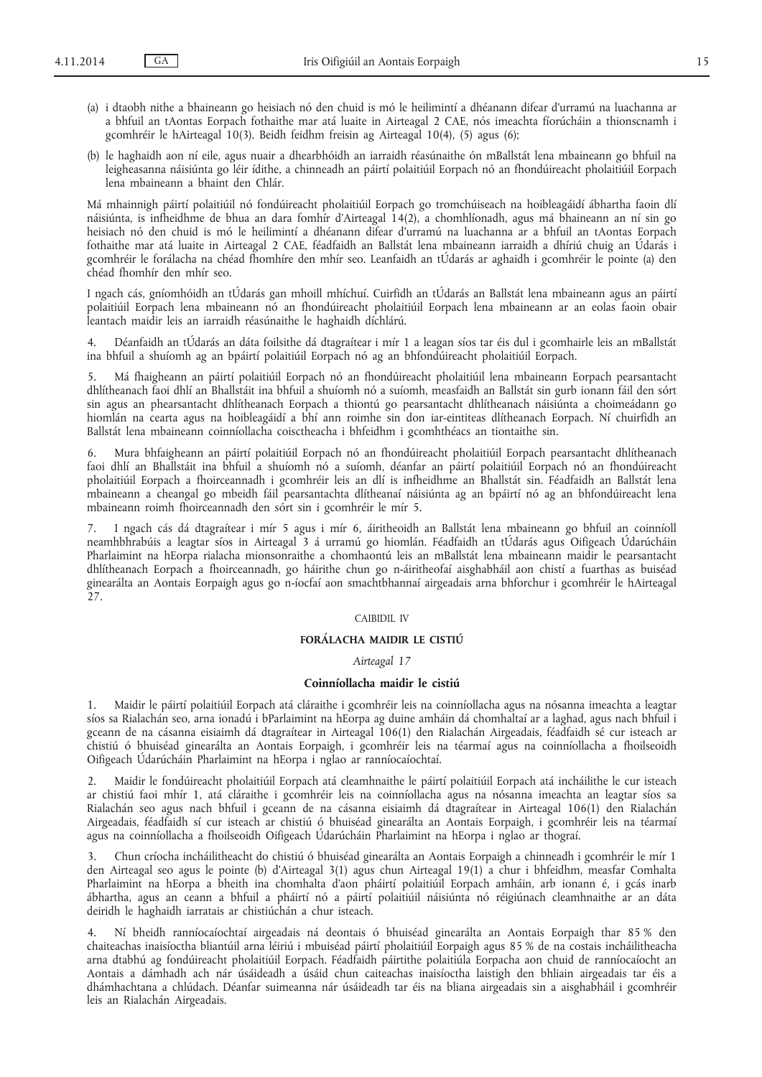- (a) i dtaobh nithe a bhaineann go heisiach nó den chuid is mó le heilimintí a dhéanann difear d'urramú na luachanna ar a bhfuil an tAontas Eorpach fothaithe mar atá luaite in Airteagal 2 CAE, nós imeachta fíorúcháin a thionscnamh i gcomhréir le hAirteagal 10(3). Beidh feidhm freisin ag Airteagal 10(4), (5) agus (6);
- (b) le haghaidh aon ní eile, agus nuair a dhearbhóidh an iarraidh réasúnaithe ón mBallstát lena mbaineann go bhfuil na leigheasanna náisiúnta go léir ídithe, a chinneadh an páirtí polaitiúil Eorpach nó an fhondúireacht pholaitiúil Eorpach lena mbaineann a bhaint den Chlár.

Má mhainnigh páirtí polaitiúil nó fondúireacht pholaitiúil Eorpach go tromchúiseach na hoibleagáidí ábhartha faoin dlí náisiúnta, is infheidhme de bhua an dara fomhír d'Airteagal 14(2), a chomhlíonadh, agus má bhaineann an ní sin go heisiach nó den chuid is mó le heilimintí a dhéanann difear d'urramú na luachanna ar a bhfuil an tAontas Eorpach fothaithe mar atá luaite in Airteagal 2 CAE, féadfaidh an Ballstát lena mbaineann iarraidh a dhíriú chuig an Údarás i gcomhréir le forálacha na chéad fhomhíre den mhír seo. Leanfaidh an tÚdarás ar aghaidh i gcomhréir le pointe (a) den chéad fhomhír den mhír seo.

I ngach cás, gníomhóidh an tÚdarás gan mhoill mhíchuí. Cuirfidh an tÚdarás an Ballstát lena mbaineann agus an páirtí polaitiúil Eorpach lena mbaineann nó an fhondúireacht pholaitiúil Eorpach lena mbaineann ar an eolas faoin obair leantach maidir leis an iarraidh réasúnaithe le haghaidh díchlárú.

4. Déanfaidh an tÚdarás an dáta foilsithe dá dtagraítear i mír 1 a leagan síos tar éis dul i gcomhairle leis an mBallstát ina bhfuil a shuíomh ag an bpáirtí polaitiúil Eorpach nó ag an bhfondúireacht pholaitiúil Eorpach.

5. Má fhaigheann an páirtí polaitiúil Eorpach nó an fhondúireacht pholaitiúil lena mbaineann Eorpach pearsantacht dhlítheanach faoi dhlí an Bhallstáit ina bhfuil a shuíomh nó a suíomh, measfaidh an Ballstát sin gurb ionann fáil den sórt sin agus an phearsantacht dhlítheanach Eorpach a thiontú go pearsantacht dhlítheanach náisiúnta a choimeádann go hiomlán na cearta agus na hoibleagáidí a bhí ann roimhe sin don iar-eintiteas dlítheanach Eorpach. Ní chuirfidh an Ballstát lena mbaineann coinníollacha coisctheacha i bhfeidhm i gcomhthéacs an tiontaithe sin.

6. Mura bhfaigheann an páirtí polaitiúil Eorpach nó an fhondúireacht pholaitiúil Eorpach pearsantacht dhlítheanach faoi dhlí an Bhallstáit ina bhfuil a shuíomh nó a suíomh, déanfar an páirtí polaitiúil Eorpach nó an fhondúireacht pholaitiúil Eorpach a fhoirceannadh i gcomhréir leis an dlí is infheidhme an Bhallstát sin. Féadfaidh an Ballstát lena mbaineann a cheangal go mbeidh fáil pearsantachta dlítheanaí náisiúnta ag an bpáirtí nó ag an bhfondúireacht lena mbaineann roimh fhoirceannadh den sórt sin i gcomhréir le mír 5.

7. I ngach cás dá dtagraítear i mír 5 agus i mír 6, áiritheoidh an Ballstát lena mbaineann go bhfuil an coinníoll neamhbhrabúis a leagtar síos in Airteagal 3 á urramú go hiomlán. Féadfaidh an tÚdarás agus Oifigeach Údarúcháin Pharlaimint na hEorpa rialacha mionsonraithe a chomhaontú leis an mBallstát lena mbaineann maidir le pearsantacht dhlítheanach Eorpach a fhoirceannadh, go háirithe chun go n-áiritheofaí aisghabháil aon chistí a fuarthas as buiséad ginearálta an Aontais Eorpaigh agus go n-íocfaí aon smachtbhannaí airgeadais arna bhforchur i gcomhréir le hAirteagal  $\frac{5}{27}$ .

## CAIBIDIL IV

# **FORÁLACHA MAIDIR LE CISTIÚ**

# *Airteagal 17*

#### **Coinníollacha maidir le cistiú**

1. Maidir le páirtí polaitiúil Eorpach atá cláraithe i gcomhréir leis na coinníollacha agus na nósanna imeachta a leagtar síos sa Rialachán seo, arna ionadú i bParlaimint na hEorpa ag duine amháin dá chomhaltaí ar a laghad, agus nach bhfuil i gceann de na cásanna eisiaimh dá dtagraítear in Airteagal 106(1) den Rialachán Airgeadais, féadfaidh sé cur isteach ar chistiú ó bhuiséad ginearálta an Aontais Eorpaigh, i gcomhréir leis na téarmaí agus na coinníollacha a fhoilseoidh Oifigeach Údarúcháin Pharlaimint na hEorpa i nglao ar ranníocaíochtaí.

2. Maidir le fondúireacht pholaitiúil Eorpach atá cleamhnaithe le páirtí polaitiúil Eorpach atá incháilithe le cur isteach ar chistiú faoi mhír 1, atá cláraithe i gcomhréir leis na coinníollacha agus na nósanna imeachta an leagtar síos sa Rialachán seo agus nach bhfuil i gceann de na cásanna eisiaimh dá dtagraítear in Airteagal 106(1) den Rialachán Airgeadais, féadfaidh sí cur isteach ar chistiú ó bhuiséad ginearálta an Aontais Eorpaigh, i gcomhréir leis na téarmaí agus na coinníollacha a fhoilseoidh Oifigeach Údarúcháin Pharlaimint na hEorpa i nglao ar thograí.

3. Chun críocha incháilitheacht do chistiú ó bhuiséad ginearálta an Aontais Eorpaigh a chinneadh i gcomhréir le mír 1 den Airteagal seo agus le pointe (b) d'Airteagal 3(1) agus chun Airteagal 19(1) a chur i bhfeidhm, measfar Comhalta Pharlaimint na hEorpa a bheith ina chomhalta d'aon pháirtí polaitiúil Eorpach amháin, arb ionann é, i gcás inarb ábhartha, agus an ceann a bhfuil a pháirtí nó a páirtí polaitiúil náisiúnta nó réigiúnach cleamhnaithe ar an dáta deiridh le haghaidh iarratais ar chistiúchán a chur isteach.

4. Ní bheidh ranníocaíochtaí airgeadais ná deontais ó bhuiséad ginearálta an Aontais Eorpaigh thar 85 % den chaiteachas inaisíoctha bliantúil arna léiriú i mbuiséad páirtí pholaitiúil Eorpaigh agus 85 % de na costais incháilitheacha arna dtabhú ag fondúireacht pholaitiúil Eorpach. Féadfaidh páirtithe polaitiúla Eorpacha aon chuid de ranníocaíocht an Aontais a dámhadh ach nár úsáideadh a úsáid chun caiteachas inaisíoctha laistigh den bhliain airgeadais tar éis a dhámhachtana a chlúdach. Déanfar suimeanna nár úsáideadh tar éis na bliana airgeadais sin a aisghabháil i gcomhréir leis an Rialachán Airgeadais.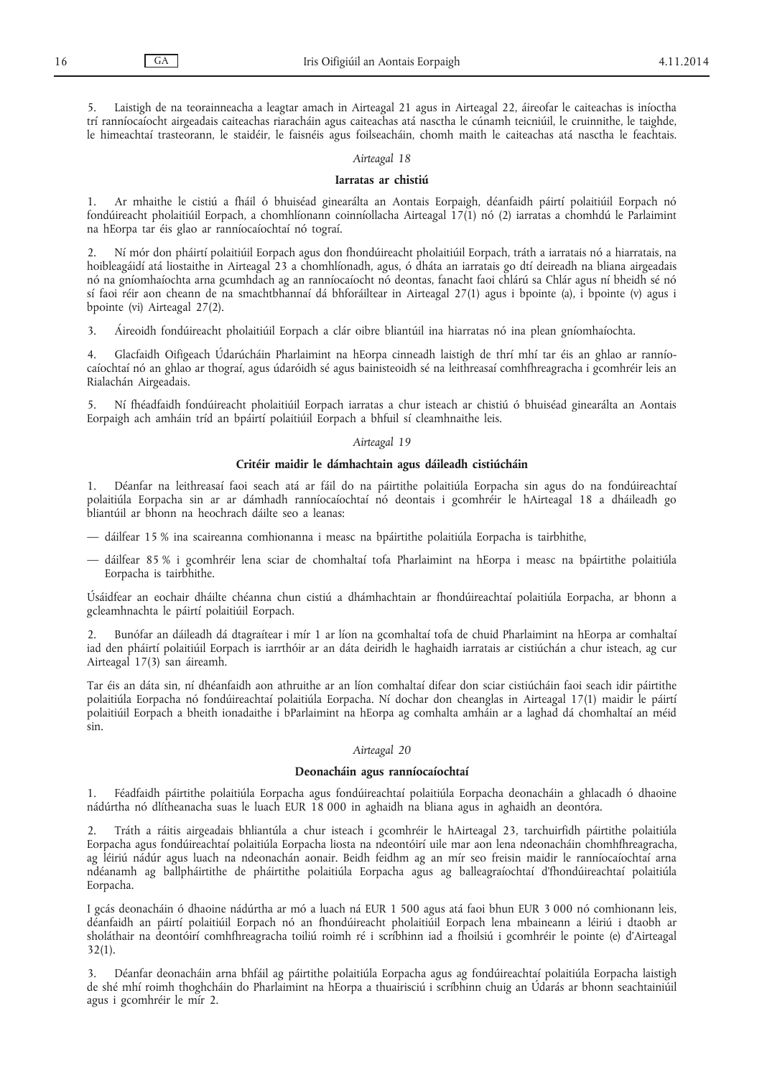5. Laistigh de na teorainneacha a leagtar amach in Airteagal 21 agus in Airteagal 22, áireofar le caiteachas is iníoctha trí ranníocaíocht airgeadais caiteachas riaracháin agus caiteachas atá nasctha le cúnamh teicniúil, le cruinnithe, le taighde, le himeachtaí trasteorann, le staidéir, le faisnéis agus foilseacháin, chomh maith le caiteachas atá nasctha le feachtais.

#### *Airteagal 18*

#### **Iarratas ar chistiú**

1. Ar mhaithe le cistiú a fháil ó bhuiséad ginearálta an Aontais Eorpaigh, déanfaidh páirtí polaitiúil Eorpach nó fondúireacht pholaitiúil Eorpach, a chomhlíonann coinníollacha Airteagal 17(1) nó (2) iarratas a chomhdú le Parlaimint na hEorpa tar éis glao ar ranníocaíochtaí nó tograí.

2. Ní mór don pháirtí polaitiúil Eorpach agus don fhondúireacht pholaitiúil Eorpach, tráth a iarratais nó a hiarratais, na hoibleagáidí atá liostaithe in Airteagal 23 a chomhlíonadh, agus, ó dháta an iarratais go dtí deireadh na bliana airgeadais nó na gníomhaíochta arna gcumhdach ag an ranníocaíocht nó deontas, fanacht faoi chlárú sa Chlár agus ní bheidh sé nó sí faoi réir aon cheann de na smachtbhannaí dá bhforáiltear in Airteagal 27(1) agus i bpointe (a), i bpointe (v) agus i bpointe (vi) Airteagal 27(2).

3. Áireoidh fondúireacht pholaitiúil Eorpach a clár oibre bliantúil ina hiarratas nó ina plean gníomhaíochta.

4. Glacfaidh Oifigeach Údarúcháin Pharlaimint na hEorpa cinneadh laistigh de thrí mhí tar éis an ghlao ar ranníocaíochtaí nó an ghlao ar thograí, agus údaróidh sé agus bainisteoidh sé na leithreasaí comhfhreagracha i gcomhréir leis an Rialachán Airgeadais.

5. Ní fhéadfaidh fondúireacht pholaitiúil Eorpach iarratas a chur isteach ar chistiú ó bhuiséad ginearálta an Aontais Eorpaigh ach amháin tríd an bpáirtí polaitiúil Eorpach a bhfuil sí cleamhnaithe leis.

#### *Airteagal 19*

#### **Critéir maidir le dámhachtain agus dáileadh cistiúcháin**

1. Déanfar na leithreasaí faoi seach atá ar fáil do na páirtithe polaitiúla Eorpacha sin agus do na fondúireachtaí polaitiúla Eorpacha sin ar ar dámhadh ranníocaíochtaí nó deontais i gcomhréir le hAirteagal 18 a dháileadh go bliantúil ar bhonn na heochrach dáilte seo a leanas:

- dáilfear 15 % ina scaireanna comhionanna i measc na bpáirtithe polaitiúla Eorpacha is tairbhithe,
- dáilfear 85 % i gcomhréir lena sciar de chomhaltaí tofa Pharlaimint na hEorpa i measc na bpáirtithe polaitiúla Eorpacha is tairbhithe.

Úsáidfear an eochair dháilte chéanna chun cistiú a dhámhachtain ar fhondúireachtaí polaitiúla Eorpacha, ar bhonn a gcleamhnachta le páirtí polaitiúil Eorpach.

2. Bunófar an dáileadh dá dtagraítear i mír 1 ar líon na gcomhaltaí tofa de chuid Pharlaimint na hEorpa ar comhaltaí iad den pháirtí polaitiúil Eorpach is iarrthóir ar an dáta deiridh le haghaidh iarratais ar cistiúchán a chur isteach, ag cur Airteagal 17(3) san áireamh.

Tar éis an dáta sin, ní dhéanfaidh aon athruithe ar an líon comhaltaí difear don sciar cistiúcháin faoi seach idir páirtithe polaitiúla Eorpacha nó fondúireachtaí polaitiúla Eorpacha. Ní dochar don cheanglas in Airteagal 17(1) maidir le páirtí polaitiúil Eorpach a bheith ionadaithe i bParlaimint na hEorpa ag comhalta amháin ar a laghad dá chomhaltaí an méid sin.

## *Airteagal 20*

## **Deonacháin agus ranníocaíochtaí**

1. Féadfaidh páirtithe polaitiúla Eorpacha agus fondúireachtaí polaitiúla Eorpacha deonacháin a ghlacadh ó dhaoine nádúrtha nó dlítheanacha suas le luach EUR 18 000 in aghaidh na bliana agus in aghaidh an deontóra.

2. Tráth a ráitis airgeadais bhliantúla a chur isteach i gcomhréir le hAirteagal 23, tarchuirfidh páirtithe polaitiúla Eorpacha agus fondúireachtaí polaitiúla Eorpacha liosta na ndeontóirí uile mar aon lena ndeonacháin chomhfhreagracha, ag léiriú nádúr agus luach na ndeonachán aonair. Beidh feidhm ag an mír seo freisin maidir le ranníocaíochtaí arna ndéanamh ag ballpháirtithe de pháirtithe polaitiúla Eorpacha agus ag balleagraíochtaí d'fhondúireachtaí polaitiúla Eorpacha.

I gcás deonacháin ó dhaoine nádúrtha ar mó a luach ná EUR 1 500 agus atá faoi bhun EUR 3 000 nó comhionann leis, déanfaidh an páirtí polaitiúil Eorpach nó an fhondúireacht pholaitiúil Eorpach lena mbaineann a léiriú i dtaobh ar sholáthair na deontóirí comhfhreagracha toiliú roimh ré i scríbhinn iad a fhoilsiú i gcomhréir le pointe (e) d'Airteagal  $32(1)$ .

3. Déanfar deonacháin arna bhfáil ag páirtithe polaitiúla Eorpacha agus ag fondúireachtaí polaitiúla Eorpacha laistigh de shé mhí roimh thoghcháin do Pharlaimint na hEorpa a thuairisciú i scríbhinn chuig an Údarás ar bhonn seachtainiúil agus i gcomhréir le mír 2.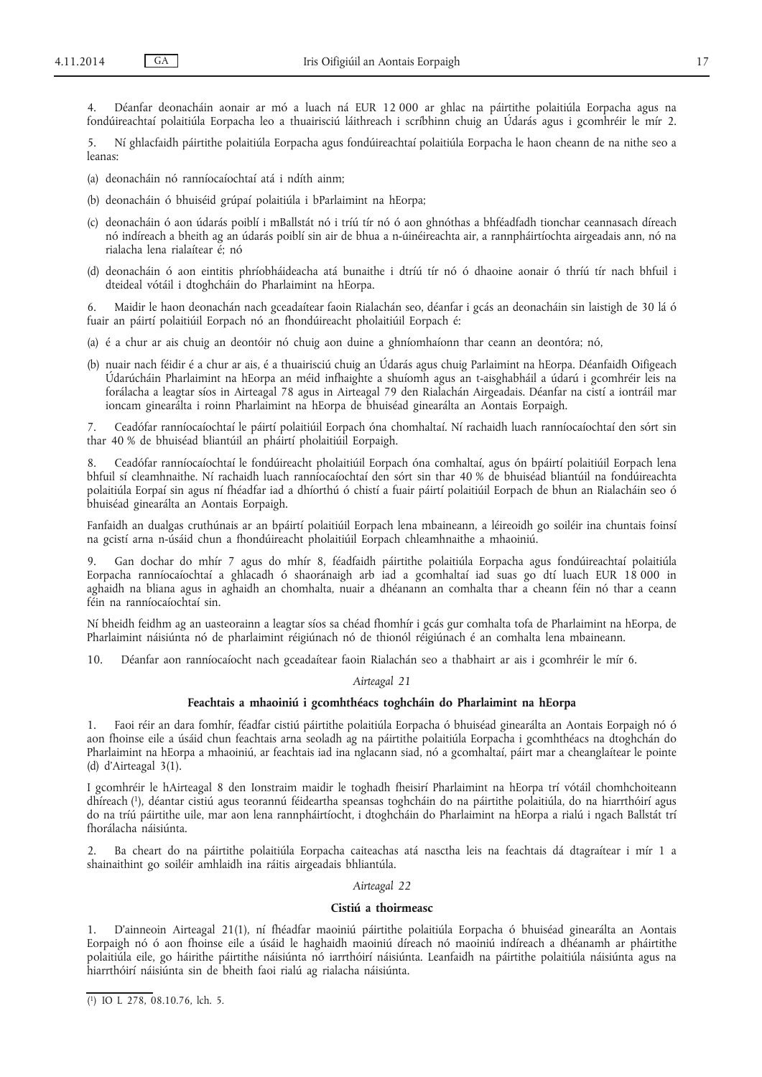4. Déanfar deonacháin aonair ar mó a luach ná EUR 12 000 ar ghlac na páirtithe polaitiúla Eorpacha agus na fondúireachtaí polaitiúla Eorpacha leo a thuairisciú láithreach i scríbhinn chuig an Údarás agus i gcomhréir le mír 2.

5. Ní ghlacfaidh páirtithe polaitiúla Eorpacha agus fondúireachtaí polaitiúla Eorpacha le haon cheann de na nithe seo a leanas:

- (a) deonacháin nó ranníocaíochtaí atá i ndíth ainm;
- (b) deonacháin ó bhuiséid grúpaí polaitiúla i bParlaimint na hEorpa;
- (c) deonacháin ó aon údarás poiblí i mBallstát nó i tríú tír nó ó aon ghnóthas a bhféadfadh tionchar ceannasach díreach nó indíreach a bheith ag an údarás poiblí sin air de bhua a n-úinéireachta air, a rannpháirtíochta airgeadais ann, nó na rialacha lena rialaítear é; nó
- (d) deonacháin ó aon eintitis phríobháideacha atá bunaithe i dtríú tír nó ó dhaoine aonair ó thríú tír nach bhfuil i dteideal vótáil i dtoghcháin do Pharlaimint na hEorpa.

6. Maidir le haon deonachán nach gceadaítear faoin Rialachán seo, déanfar i gcás an deonacháin sin laistigh de 30 lá ó fuair an páirtí polaitiúil Eorpach nó an fhondúireacht pholaitiúil Eorpach é:

- (a) é a chur ar ais chuig an deontóir nó chuig aon duine a ghníomhaíonn thar ceann an deontóra; nó,
- (b) nuair nach féidir é a chur ar ais, é a thuairisciú chuig an Údarás agus chuig Parlaimint na hEorpa. Déanfaidh Oifigeach Údarúcháin Pharlaimint na hEorpa an méid infhaighte a shuíomh agus an t-aisghabháil a údarú i gcomhréir leis na forálacha a leagtar síos in Airteagal 78 agus in Airteagal 79 den Rialachán Airgeadais. Déanfar na cistí a iontráil mar ioncam ginearálta i roinn Pharlaimint na hEorpa de bhuiséad ginearálta an Aontais Eorpaigh.

7. Ceadófar ranníocaíochtaí le páirtí polaitiúil Eorpach óna chomhaltaí. Ní rachaidh luach ranníocaíochtaí den sórt sin thar 40 % de bhuiséad bliantúil an pháirtí pholaitiúil Eorpaigh.

8. Ceadófar ranníocaíochtaí le fondúireacht pholaitiúil Eorpach óna comhaltaí, agus ón bpáirtí polaitiúil Eorpach lena bhfuil sí cleamhnaithe. Ní rachaidh luach ranníocaíochtaí den sórt sin thar 40 % de bhuiséad bliantúil na fondúireachta polaitiúla Eorpaí sin agus ní fhéadfar iad a dhíorthú ó chistí a fuair páirtí polaitiúil Eorpach de bhun an Rialacháin seo ó bhuiséad ginearálta an Aontais Eorpaigh.

Fanfaidh an dualgas cruthúnais ar an bpáirtí polaitiúil Eorpach lena mbaineann, a léireoidh go soiléir ina chuntais foinsí na gcistí arna n-úsáid chun a fhondúireacht pholaitiúil Eorpach chleamhnaithe a mhaoiniú.

9. Gan dochar do mhír 7 agus do mhír 8, féadfaidh páirtithe polaitiúla Eorpacha agus fondúireachtaí polaitiúla Eorpacha ranníocaíochtaí a ghlacadh ó shaoránaigh arb iad a gcomhaltaí iad suas go dtí luach EUR 18 000 in aghaidh na bliana agus in aghaidh an chomhalta, nuair a dhéanann an comhalta thar a cheann féin nó thar a ceann féin na ranníocaíochtaí sin.

Ní bheidh feidhm ag an uasteorainn a leagtar síos sa chéad fhomhír i gcás gur comhalta tofa de Pharlaimint na hEorpa, de Pharlaimint náisiúnta nó de pharlaimint réigiúnach nó de thionól réigiúnach é an comhalta lena mbaineann.

10. Déanfar aon ranníocaíocht nach gceadaítear faoin Rialachán seo a thabhairt ar ais i gcomhréir le mír 6.

# *Airteagal 21*

## **Feachtais a mhaoiniú i gcomhthéacs toghcháin do Pharlaimint na hEorpa**

1. Faoi réir an dara fomhír, féadfar cistiú páirtithe polaitiúla Eorpacha ó bhuiséad ginearálta an Aontais Eorpaigh nó ó aon fhoinse eile a úsáid chun feachtais arna seoladh ag na páirtithe polaitiúla Eorpacha i gcomhthéacs na dtoghchán do Pharlaimint na hEorpa a mhaoiniú, ar feachtais iad ina nglacann siad, nó a gcomhaltaí, páirt mar a cheanglaítear le pointe (d) d'Airteagal 3(1).

I gcomhréir le hAirteagal 8 den Ionstraim maidir le toghadh fheisirí Pharlaimint na hEorpa trí vótáil chomhchoiteann dhíreach (1), déantar cistiú agus teorannú féideartha speansas toghcháin do na páirtithe polaitiúla, do na hiarrthóirí agus do na tríú páirtithe uile, mar aon lena rannpháirtíocht, i dtoghcháin do Pharlaimint na hEorpa a rialú i ngach Ballstát trí fhorálacha náisiúnta.

2. Ba cheart do na páirtithe polaitiúla Eorpacha caiteachas atá nasctha leis na feachtais dá dtagraítear i mír 1 a shainaithint go soiléir amhlaidh ina ráitis airgeadais bhliantúla.

## *Airteagal 22*

#### **Cistiú a thoirmeasc**

1. D'ainneoin Airteagal 21(1), ní fhéadfar maoiniú páirtithe polaitiúla Eorpacha ó bhuiséad ginearálta an Aontais Eorpaigh nó ó aon fhoinse eile a úsáid le haghaidh maoiniú díreach nó maoiniú indíreach a dhéanamh ar pháirtithe polaitiúla eile, go háirithe páirtithe náisiúnta nó iarrthóirí náisiúnta. Leanfaidh na páirtithe polaitiúla náisiúnta agus na hiarrthóirí náisiúnta sin de bheith faoi rialú ag rialacha náisiúnta.

<sup>(</sup> 1) IO L 278, 08.10.76, lch. 5.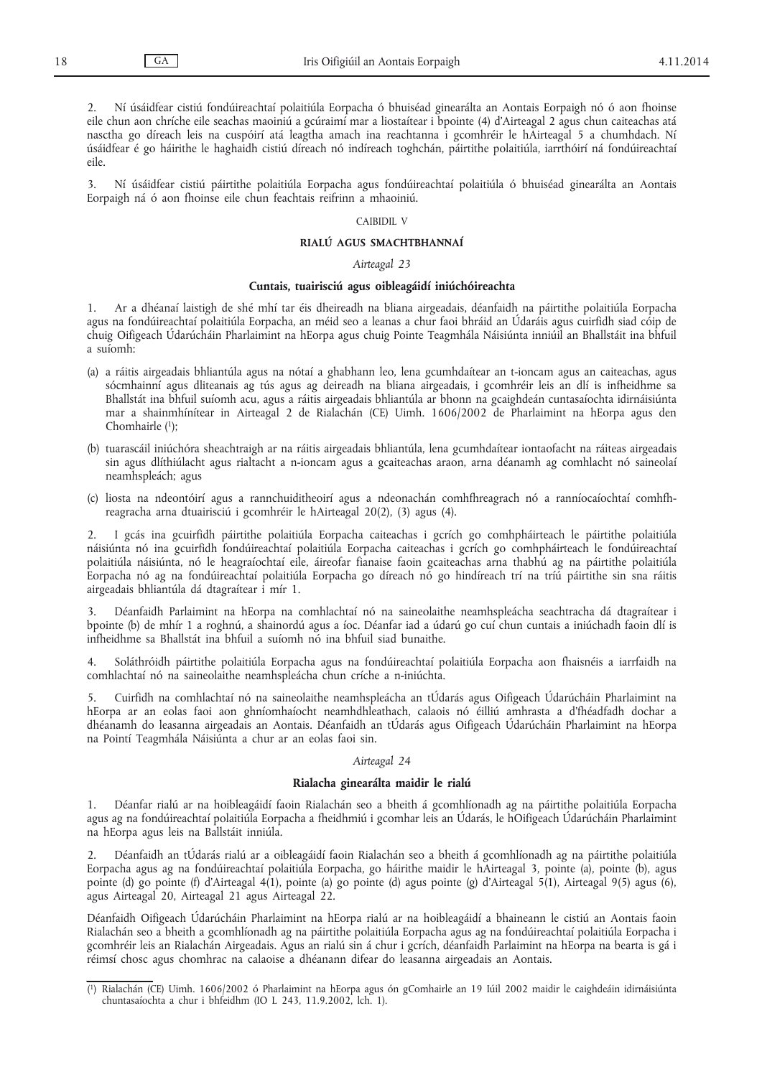2. Ní úsáidfear cistiú fondúireachtaí polaitiúla Eorpacha ó bhuiséad ginearálta an Aontais Eorpaigh nó ó aon fhoinse eile chun aon chríche eile seachas maoiniú a gcúraimí mar a liostaítear i bpointe (4) d'Airteagal 2 agus chun caiteachas atá nasctha go díreach leis na cuspóirí atá leagtha amach ina reachtanna i gcomhréir le hAirteagal 5 a chumhdach. Ní úsáidfear é go háirithe le haghaidh cistiú díreach nó indíreach toghchán, páirtithe polaitiúla, iarrthóirí ná fondúireachtaí eile.

3. Ní úsáidfear cistiú páirtithe polaitiúla Eorpacha agus fondúireachtaí polaitiúla ó bhuiséad ginearálta an Aontais Eorpaigh ná ó aon fhoinse eile chun feachtais reifrinn a mhaoiniú.

## CAIBIDIL V

## **RIALÚ AGUS SMACHTBHANNAÍ**

#### *Airteagal 23*

#### **Cuntais, tuairisciú agus oibleagáidí iniúchóireachta**

1. Ar a dhéanaí laistigh de shé mhí tar éis dheireadh na bliana airgeadais, déanfaidh na páirtithe polaitiúla Eorpacha agus na fondúireachtaí polaitiúla Eorpacha, an méid seo a leanas a chur faoi bhráid an Údaráis agus cuirfidh siad cóip de chuig Oifigeach Údarúcháin Pharlaimint na hEorpa agus chuig Pointe Teagmhála Náisiúnta inniúil an Bhallstáit ina bhfuil a suíomh:

- (a) a ráitis airgeadais bhliantúla agus na nótaí a ghabhann leo, lena gcumhdaítear an t-ioncam agus an caiteachas, agus sócmhainní agus dliteanais ag tús agus ag deireadh na bliana airgeadais, i gcomhréir leis an dlí is infheidhme sa Bhallstát ina bhfuil suíomh acu, agus a ráitis airgeadais bhliantúla ar bhonn na gcaighdeán cuntasaíochta idirnáisiúnta mar a shainmhínítear in Airteagal 2 de Rialachán (CE) Uimh. 1606/2002 de Pharlaimint na hEorpa agus den Chomhairle (1);
- (b) tuarascáil iniúchóra sheachtraigh ar na ráitis airgeadais bhliantúla, lena gcumhdaítear iontaofacht na ráiteas airgeadais sin agus dlíthiúlacht agus rialtacht a n-ioncam agus a gcaiteachas araon, arna déanamh ag comhlacht nó saineolaí neamhspleách; agus
- (c) liosta na ndeontóirí agus a rannchuiditheoirí agus a ndeonachán comhfhreagrach nó a ranníocaíochtaí comhfhreagracha arna dtuairisciú i gcomhréir le hAirteagal 20(2), (3) agus (4).

2. I gcás ina gcuirfidh páirtithe polaitiúla Eorpacha caiteachas i gcrích go comhpháirteach le páirtithe polaitiúla náisiúnta nó ina gcuirfidh fondúireachtaí polaitiúla Eorpacha caiteachas i gcrích go comhpháirteach le fondúireachtaí polaitiúla náisiúnta, nó le heagraíochtaí eile, áireofar fianaise faoin gcaiteachas arna thabhú ag na páirtithe polaitiúla Eorpacha nó ag na fondúireachtaí polaitiúla Eorpacha go díreach nó go hindíreach trí na tríú páirtithe sin sna ráitis airgeadais bhliantúla dá dtagraítear i mír 1.

3. Déanfaidh Parlaimint na hEorpa na comhlachtaí nó na saineolaithe neamhspleácha seachtracha dá dtagraítear i bpointe (b) de mhír 1 a roghnú, a shainordú agus a íoc. Déanfar iad a údarú go cuí chun cuntais a iniúchadh faoin dlí is infheidhme sa Bhallstát ina bhfuil a suíomh nó ina bhfuil siad bunaithe.

4. Soláthróidh páirtithe polaitiúla Eorpacha agus na fondúireachtaí polaitiúla Eorpacha aon fhaisnéis a iarrfaidh na comhlachtaí nó na saineolaithe neamhspleácha chun críche a n-iniúchta.

5. Cuirfidh na comhlachtaí nó na saineolaithe neamhspleácha an tÚdarás agus Oifigeach Údarúcháin Pharlaimint na hEorpa ar an eolas faoi aon ghníomhaíocht neamhdhleathach, calaois nó éilliú amhrasta a d'fhéadfadh dochar a dhéanamh do leasanna airgeadais an Aontais. Déanfaidh an tÚdarás agus Oifigeach Údarúcháin Pharlaimint na hEorpa na Pointí Teagmhála Náisiúnta a chur ar an eolas faoi sin.

#### *Airteagal 24*

## **Rialacha ginearálta maidir le rialú**

1. Déanfar rialú ar na hoibleagáidí faoin Rialachán seo a bheith á gcomhlíonadh ag na páirtithe polaitiúla Eorpacha agus ag na fondúireachtaí polaitiúla Eorpacha a fheidhmiú i gcomhar leis an Údarás, le hOifigeach Údarúcháin Pharlaimint na hEorpa agus leis na Ballstáit inniúla.

2. Déanfaidh an tÚdarás rialú ar a oibleagáidí faoin Rialachán seo a bheith á gcomhlíonadh ag na páirtithe polaitiúla Eorpacha agus ag na fondúireachtaí polaitiúla Eorpacha, go háirithe maidir le hAirteagal 3, pointe (a), pointe (b), agus pointe (d) go pointe (f) d'Airteagal 4(1), pointe (a) go pointe (d) agus pointe (g) d'Airteagal 5(1), Airteagal 9(5) agus (6), agus Airteagal 20, Airteagal 21 agus Airteagal 22.

Déanfaidh Oifigeach Údarúcháin Pharlaimint na hEorpa rialú ar na hoibleagáidí a bhaineann le cistiú an Aontais faoin Rialachán seo a bheith a gcomhlíonadh ag na páirtithe polaitiúla Eorpacha agus ag na fondúireachtaí polaitiúla Eorpacha i gcomhréir leis an Rialachán Airgeadais. Agus an rialú sin á chur i gcrích, déanfaidh Parlaimint na hEorpa na bearta is gá i réimsí chosc agus chomhrac na calaoise a dhéanann difear do leasanna airgeadais an Aontais.

<sup>(</sup> 1) Rialachán (CE) Uimh. 1606/2002 ó Pharlaimint na hEorpa agus ón gComhairle an 19 Iúil 2002 maidir le caighdeáin idirnáisiúnta chuntasaíochta a chur i bhfeidhm (IO L 243, 11.9.2002, lch. 1).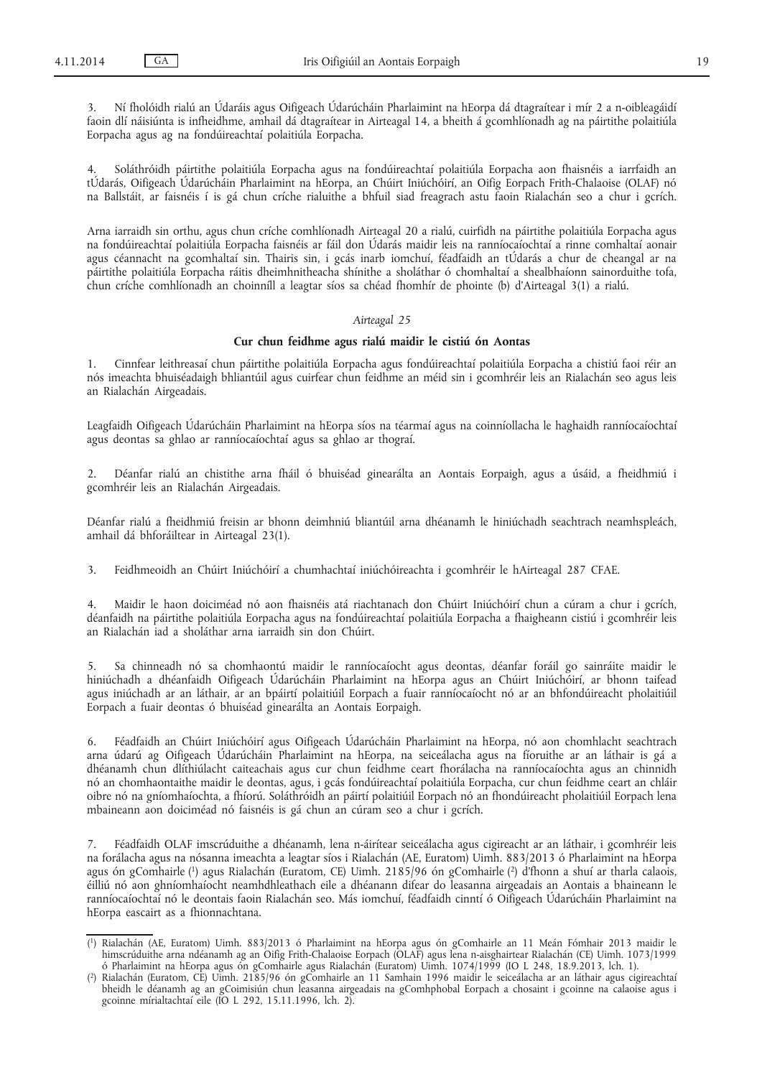3. Ní fholóidh rialú an Údaráis agus Oifigeach Údarúcháin Pharlaimint na hEorpa dá dtagraítear i mír 2 a n-oibleagáidí faoin dlí náisiúnta is infheidhme, amhail dá dtagraítear in Airteagal 14, a bheith á gcomhlíonadh ag na páirtithe polaitiúla Eorpacha agus ag na fondúireachtaí polaitiúla Eorpacha.

4. Soláthróidh páirtithe polaitiúla Eorpacha agus na fondúireachtaí polaitiúla Eorpacha aon fhaisnéis a iarrfaidh an tÚdarás, Oifigeach Údarúcháin Pharlaimint na hEorpa, an Chúirt Iniúchóirí, an Oifig Eorpach Frith-Chalaoise (OLAF) nó na Ballstáit, ar faisnéis í is gá chun críche rialuithe a bhfuil siad freagrach astu faoin Rialachán seo a chur i gcrích.

Arna iarraidh sin orthu, agus chun críche comhlíonadh Airteagal 20 a rialú, cuirfidh na páirtithe polaitiúla Eorpacha agus na fondúireachtaí polaitiúla Eorpacha faisnéis ar fáil don Údarás maidir leis na ranníocaíochtaí a rinne comhaltaí aonair agus céannacht na gcomhaltaí sin. Thairis sin, i gcás inarb iomchuí, féadfaidh an tÚdarás a chur de cheangal ar na páirtithe polaitiúla Eorpacha ráitis dheimhnitheacha shínithe a sholáthar ó chomhaltaí a shealbhaíonn sainorduithe tofa, chun críche comhlíonadh an choinníll a leagtar síos sa chéad fhomhír de phointe (b) d'Airteagal 3(1) a rialú.

# *Airteagal 25*

# **Cur chun feidhme agus rialú maidir le cistiú ón Aontas**

1. Cinnfear leithreasaí chun páirtithe polaitiúla Eorpacha agus fondúireachtaí polaitiúla Eorpacha a chistiú faoi réir an nós imeachta bhuiséadaigh bhliantúil agus cuirfear chun feidhme an méid sin i gcomhréir leis an Rialachán seo agus leis an Rialachán Airgeadais.

Leagfaidh Oifigeach Údarúcháin Pharlaimint na hEorpa síos na téarmaí agus na coinníollacha le haghaidh ranníocaíochtaí agus deontas sa ghlao ar ranníocaíochtaí agus sa ghlao ar thograí.

2. Déanfar rialú an chistithe arna fháil ó bhuiséad ginearálta an Aontais Eorpaigh, agus a úsáid, a fheidhmiú i gcomhréir leis an Rialachán Airgeadais.

Déanfar rialú a fheidhmiú freisin ar bhonn deimhniú bliantúil arna dhéanamh le hiniúchadh seachtrach neamhspleách, amhail dá bhforáiltear in Airteagal 23(1).

3. Feidhmeoidh an Chúirt Iniúchóirí a chumhachtaí iniúchóireachta i gcomhréir le hAirteagal 287 CFAE.

4. Maidir le haon doiciméad nó aon fhaisnéis atá riachtanach don Chúirt Iniúchóirí chun a cúram a chur i gcrích, déanfaidh na páirtithe polaitiúla Eorpacha agus na fondúireachtaí polaitiúla Eorpacha a fhaigheann cistiú i gcomhréir leis an Rialachán iad a sholáthar arna iarraidh sin don Chúirt.

Sa chinneadh nó sa chomhaontú maidir le ranníocaíocht agus deontas, déanfar foráil go sainráite maidir le hiniúchadh a dhéanfaidh Oifigeach Údarúcháin Pharlaimint na hEorpa agus an Chúirt Iniúchóirí, ar bhonn taifead agus iniúchadh ar an láthair, ar an bpáirtí polaitiúil Eorpach a fuair ranníocaíocht nó ar an bhfondúireacht pholaitiúil Eorpach a fuair deontas ó bhuiséad ginearálta an Aontais Eorpaigh.

6. Féadfaidh an Chúirt Iniúchóirí agus Oifigeach Údarúcháin Pharlaimint na hEorpa, nó aon chomhlacht seachtrach arna údarú ag Oifigeach Údarúcháin Pharlaimint na hEorpa, na seiceálacha agus na fíoruithe ar an láthair is gá a dhéanamh chun dlíthiúlacht caiteachais agus cur chun feidhme ceart fhorálacha na ranníocaíochta agus an chinnidh nó an chomhaontaithe maidir le deontas, agus, i gcás fondúireachtaí polaitiúla Eorpacha, cur chun feidhme ceart an chláir oibre nó na gníomhaíochta, a fhíorú. Soláthróidh an páirtí polaitiúil Eorpach nó an fhondúireacht pholaitiúil Eorpach lena mbaineann aon doiciméad nó faisnéis is gá chun an cúram seo a chur i gcrích.

7. Féadfaidh OLAF imscrúduithe a dhéanamh, lena n-áirítear seiceálacha agus cigireacht ar an láthair, i gcomhréir leis na forálacha agus na nósanna imeachta a leagtar síos i Rialachán (AE, Euratom) Uimh. 883/2013 ó Pharlaimint na hEorpa agus ón gComhairle (1) agus Rialachán (Euratom, CE) Uimh. 2185/96 ón gComhairle (2) d'fhonn a shuí ar tharla calaois, éilliú nó aon ghníomhaíocht neamhdhleathach eile a dhéanann difear do leasanna airgeadais an Aontais a bhaineann le ranníocaíochtaí nó le deontais faoin Rialachán seo. Más iomchuí, féadfaidh cinntí ó Oifigeach Údarúcháin Pharlaimint na hEorpa eascairt as a fhionnachtana.

<sup>(</sup> 1) Rialachán (AE, Euratom) Uimh. 883/2013 ó Pharlaimint na hEorpa agus ón gComhairle an 11 Meán Fómhair 2013 maidir le himscrúduithe arna ndéanamh ag an Oifig Frith-Chalaoise Eorpach (OLAF) agus lena n-aisghairtear Rialachán (CE) Uimh. 1073/1999 ó Pharlaimint na hEorpa agus ón gComhairle agus Rialachán (Euratom) Uimh. 1074/1999 (IO L 248, 18.9.2013, lch. 1).

<sup>(</sup> 2) Rialachán (Euratom, CE) Uimh. 2185/96 ón gComhairle an 11 Samhain 1996 maidir le seiceálacha ar an láthair agus cigireachtaí bheidh le déanamh ag an gCoimisiún chun leasanna airgeadais na gComhphobal Eorpach a chosaint i gcoinne na calaoise agus i gcoinne mírialtachtaí eile (IO L 292, 15.11.1996, lch. 2).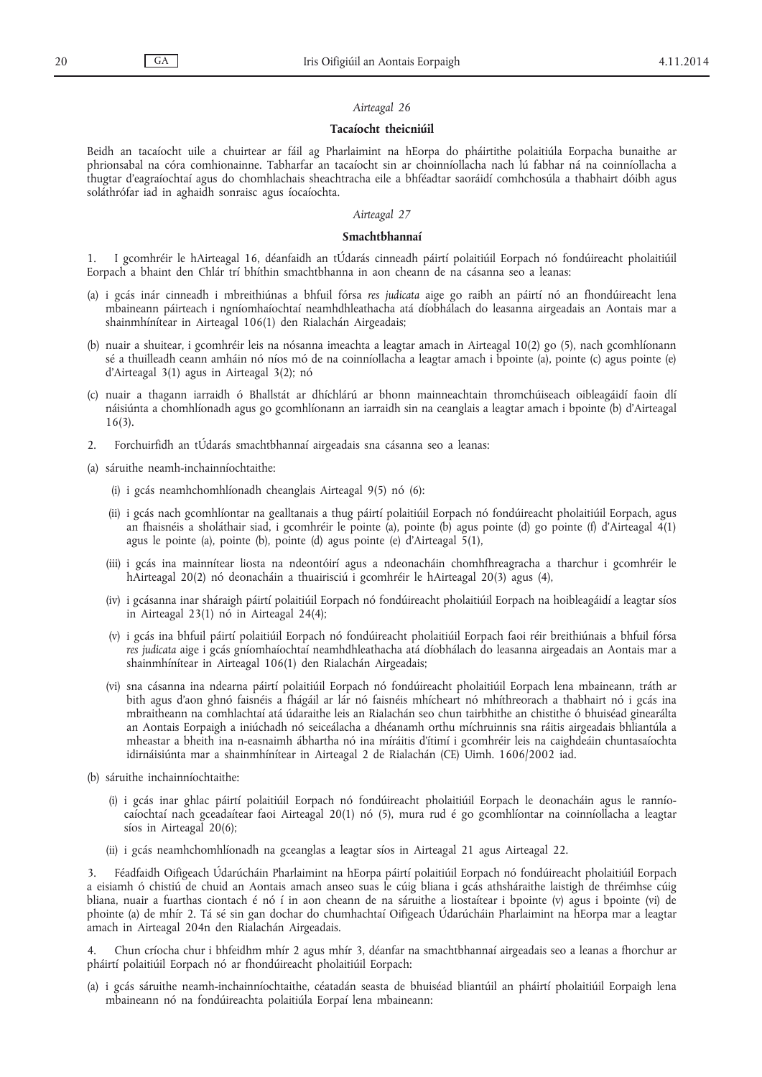## *Airteagal 26*

#### **Tacaíocht theicniúil**

Beidh an tacaíocht uile a chuirtear ar fáil ag Pharlaimint na hEorpa do pháirtithe polaitiúla Eorpacha bunaithe ar phrionsabal na córa comhionainne. Tabharfar an tacaíocht sin ar choinníollacha nach lú fabhar ná na coinníollacha a thugtar d'eagraíochtaí agus do chomhlachais sheachtracha eile a bhféadtar saoráidí comhchosúla a thabhairt dóibh agus soláthrófar iad in aghaidh sonraisc agus íocaíochta.

# *Airteagal 27*

#### **Smachtbhannaí**

1. I gcomhréir le hAirteagal 16, déanfaidh an tÚdarás cinneadh páirtí polaitiúil Eorpach nó fondúireacht pholaitiúil Eorpach a bhaint den Chlár trí bhíthin smachtbhanna in aon cheann de na cásanna seo a leanas:

- (a) i gcás inár cinneadh i mbreithiúnas a bhfuil fórsa *res judicata* aige go raibh an páirtí nó an fhondúireacht lena mbaineann páirteach i ngníomhaíochtaí neamhdhleathacha atá díobhálach do leasanna airgeadais an Aontais mar a shainmhínítear in Airteagal 106(1) den Rialachán Airgeadais;
- (b) nuair a shuitear, i gcomhréir leis na nósanna imeachta a leagtar amach in Airteagal 10(2) go (5), nach gcomhlíonann sé a thuilleadh ceann amháin nó níos mó de na coinníollacha a leagtar amach i bpointe (a), pointe (c) agus pointe (e) d'Airteagal 3(1) agus in Airteagal 3(2); nó
- (c) nuair a thagann iarraidh ó Bhallstát ar dhíchlárú ar bhonn mainneachtain thromchúiseach oibleagáidí faoin dlí náisiúnta a chomhlíonadh agus go gcomhlíonann an iarraidh sin na ceanglais a leagtar amach i bpointe (b) d'Airteagal 16(3).
- 2. Forchuirfidh an tÚdarás smachtbhannaí airgeadais sna cásanna seo a leanas:
- (a) sáruithe neamh-inchainníochtaithe:
	- (i) i gcás neamhchomhlíonadh cheanglais Airteagal 9(5) nó (6):
	- (ii) i gcás nach gcomhlíontar na gealltanais a thug páirtí polaitiúil Eorpach nó fondúireacht pholaitiúil Eorpach, agus an fhaisnéis a sholáthair siad, i gcomhréir le pointe (a), pointe (b) agus pointe (d) go pointe (f) d'Airteagal 4(1) agus le pointe (a), pointe (b), pointe (d) agus pointe (e) d'Airteagal 5(1),
	- (iii) i gcás ina mainnítear liosta na ndeontóirí agus a ndeonacháin chomhfhreagracha a tharchur i gcomhréir le hAirteagal 20(2) nó deonacháin a thuairisciú i gcomhréir le hAirteagal 20(3) agus (4),
	- (iv) i gcásanna inar sháraigh páirtí polaitiúil Eorpach nó fondúireacht pholaitiúil Eorpach na hoibleagáidí a leagtar síos in Airteagal 23(1) nó in Airteagal 24(4);
	- (v) i gcás ina bhfuil páirtí polaitiúil Eorpach nó fondúireacht pholaitiúil Eorpach faoi réir breithiúnais a bhfuil fórsa *res judicata* aige i gcás gníomhaíochtaí neamhdhleathacha atá díobhálach do leasanna airgeadais an Aontais mar a shainmhínítear in Airteagal 106(1) den Rialachán Airgeadais;
	- (vi) sna cásanna ina ndearna páirtí polaitiúil Eorpach nó fondúireacht pholaitiúil Eorpach lena mbaineann, tráth ar bith agus d'aon ghnó faisnéis a fhágáil ar lár nó faisnéis mhícheart nó mhíthreorach a thabhairt nó i gcás ina mbraitheann na comhlachtaí atá údaraithe leis an Rialachán seo chun tairbhithe an chistithe ó bhuiséad ginearálta an Aontais Eorpaigh a iniúchadh nó seiceálacha a dhéanamh orthu míchruinnis sna ráitis airgeadais bhliantúla a mheastar a bheith ina n-easnaimh ábhartha nó ina míráitis d'ítimí i gcomhréir leis na caighdeáin chuntasaíochta idirnáisiúnta mar a shainmhínítear in Airteagal 2 de Rialachán (CE) Uimh. 1606/2002 iad.
- (b) sáruithe inchainníochtaithe:
	- (i) i gcás inar ghlac páirtí polaitiúil Eorpach nó fondúireacht pholaitiúil Eorpach le deonacháin agus le ranníocaíochtaí nach gceadaítear faoi Airteagal 20(1) nó (5), mura rud é go gcomhlíontar na coinníollacha a leagtar síos in Airteagal 20(6);
	- (ii) i gcás neamhchomhlíonadh na gceanglas a leagtar síos in Airteagal 21 agus Airteagal 22.

3. Féadfaidh Oifigeach Údarúcháin Pharlaimint na hEorpa páirtí polaitiúil Eorpach nó fondúireacht pholaitiúil Eorpach a eisiamh ó chistiú de chuid an Aontais amach anseo suas le cúig bliana i gcás athsháraithe laistigh de thréimhse cúig bliana, nuair a fuarthas ciontach é nó í in aon cheann de na sáruithe a liostaítear i bpointe (v) agus i bpointe (vi) de phointe (a) de mhír 2. Tá sé sin gan dochar do chumhachtaí Oifigeach Údarúcháin Pharlaimint na hEorpa mar a leagtar amach in Airteagal 204n den Rialachán Airgeadais.

4. Chun críocha chur i bhfeidhm mhír 2 agus mhír 3, déanfar na smachtbhannaí airgeadais seo a leanas a fhorchur ar pháirtí polaitiúil Eorpach nó ar fhondúireacht pholaitiúil Eorpach:

(a) i gcás sáruithe neamh-inchainníochtaithe, céatadán seasta de bhuiséad bliantúil an pháirtí pholaitiúil Eorpaigh lena mbaineann nó na fondúireachta polaitiúla Eorpaí lena mbaineann: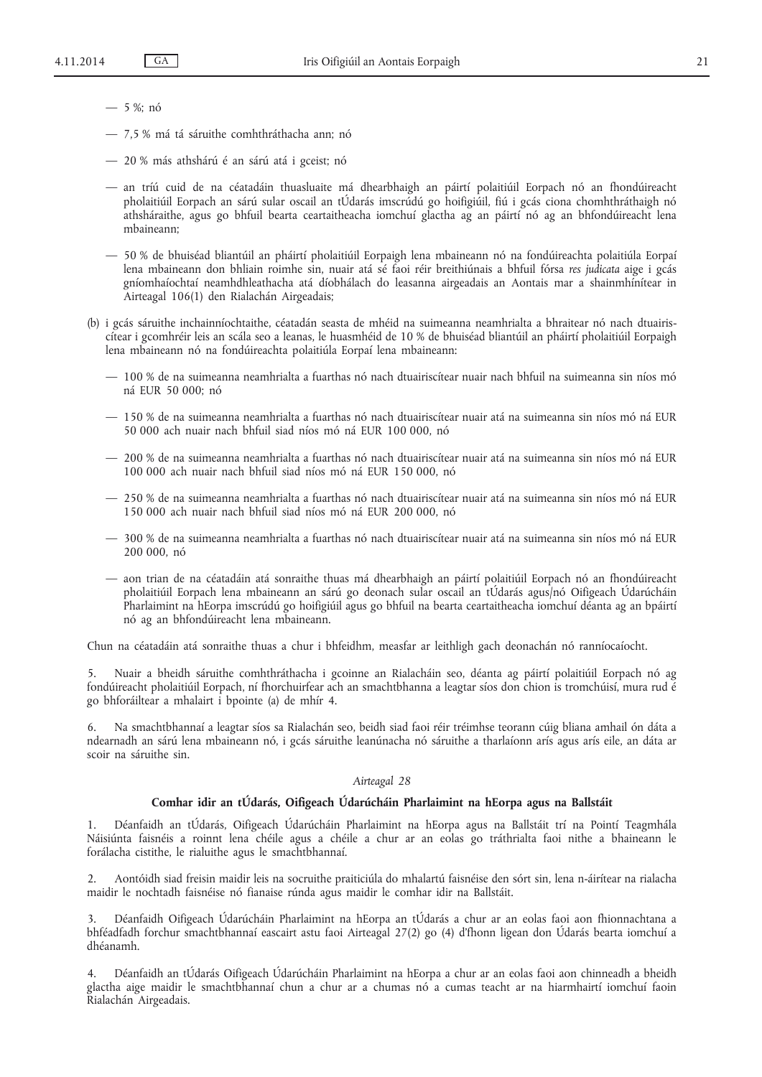— 5 %; nó

- 7,5 % má tá sáruithe comhthráthacha ann; nó
- 20 % más athshárú é an sárú atá i gceist; nó
- an tríú cuid de na céatadáin thuasluaite má dhearbhaigh an páirtí polaitiúil Eorpach nó an fhondúireacht pholaitiúil Eorpach an sárú sular oscail an tÚdarás imscrúdú go hoifigiúil, fiú i gcás ciona chomhthráthaigh nó athsháraithe, agus go bhfuil bearta ceartaitheacha iomchuí glactha ag an páirtí nó ag an bhfondúireacht lena mbaineann;
- 50 % de bhuiséad bliantúil an pháirtí pholaitiúil Eorpaigh lena mbaineann nó na fondúireachta polaitiúla Eorpaí lena mbaineann don bhliain roimhe sin, nuair atá sé faoi réir breithiúnais a bhfuil fórsa *res judicata* aige i gcás gníomhaíochtaí neamhdhleathacha atá díobhálach do leasanna airgeadais an Aontais mar a shainmhínítear in Airteagal 106(1) den Rialachán Airgeadais;
- (b) i gcás sáruithe inchainníochtaithe, céatadán seasta de mhéid na suimeanna neamhrialta a bhraitear nó nach dtuairiscítear i gcomhréir leis an scála seo a leanas, le huasmhéid de 10 % de bhuiséad bliantúil an pháirtí pholaitiúil Eorpaigh lena mbaineann nó na fondúireachta polaitiúla Eorpaí lena mbaineann:
	- 100 % de na suimeanna neamhrialta a fuarthas nó nach dtuairiscítear nuair nach bhfuil na suimeanna sin níos mó ná EUR 50 000; nó
	- 150 % de na suimeanna neamhrialta a fuarthas nó nach dtuairiscítear nuair atá na suimeanna sin níos mó ná EUR 50 000 ach nuair nach bhfuil siad níos mó ná EUR 100 000, nó
	- 200 % de na suimeanna neamhrialta a fuarthas nó nach dtuairiscítear nuair atá na suimeanna sin níos mó ná EUR 100 000 ach nuair nach bhfuil siad níos mó ná EUR 150 000, nó
	- 250 % de na suimeanna neamhrialta a fuarthas nó nach dtuairiscítear nuair atá na suimeanna sin níos mó ná EUR 150 000 ach nuair nach bhfuil siad níos mó ná EUR 200 000, nó
	- 300 % de na suimeanna neamhrialta a fuarthas nó nach dtuairiscítear nuair atá na suimeanna sin níos mó ná EUR 200 000, nó
	- aon trian de na céatadáin atá sonraithe thuas má dhearbhaigh an páirtí polaitiúil Eorpach nó an fhondúireacht pholaitiúil Eorpach lena mbaineann an sárú go deonach sular oscail an tÚdarás agus/nó Oifigeach Údarúcháin Pharlaimint na hEorpa imscrúdú go hoifigiúil agus go bhfuil na bearta ceartaitheacha iomchuí déanta ag an bpáirtí nó ag an bhfondúireacht lena mbaineann.

Chun na céatadáin atá sonraithe thuas a chur i bhfeidhm, measfar ar leithligh gach deonachán nó ranníocaíocht.

5. Nuair a bheidh sáruithe comhthráthacha i gcoinne an Rialacháin seo, déanta ag páirtí polaitiúil Eorpach nó ag fondúireacht pholaitiúil Eorpach, ní fhorchuirfear ach an smachtbhanna a leagtar síos don chion is tromchúisí, mura rud é go bhforáiltear a mhalairt i bpointe (a) de mhír 4.

6. Na smachtbhannaí a leagtar síos sa Rialachán seo, beidh siad faoi réir tréimhse teorann cúig bliana amhail ón dáta a ndearnadh an sárú lena mbaineann nó, i gcás sáruithe leanúnacha nó sáruithe a tharlaíonn arís agus arís eile, an dáta ar scoir na sáruithe sin.

#### *Airteagal 28*

# **Comhar idir an tÚdarás, Oifigeach Údarúcháin Pharlaimint na hEorpa agus na Ballstáit**

1. Déanfaidh an tÚdarás, Oifigeach Údarúcháin Pharlaimint na hEorpa agus na Ballstáit trí na Pointí Teagmhála Náisiúnta faisnéis a roinnt lena chéile agus a chéile a chur ar an eolas go tráthrialta faoi nithe a bhaineann le forálacha cistithe, le rialuithe agus le smachtbhannaí.

2. Aontóidh siad freisin maidir leis na socruithe praiticiúla do mhalartú faisnéise den sórt sin, lena n-áirítear na rialacha maidir le nochtadh faisnéise nó fianaise rúnda agus maidir le comhar idir na Ballstáit.

3. Déanfaidh Oifigeach Údarúcháin Pharlaimint na hEorpa an tÚdarás a chur ar an eolas faoi aon fhionnachtana a bhféadfadh forchur smachtbhannaí eascairt astu faoi Airteagal 27(2) go (4) d'fhonn ligean don Údarás bearta iomchuí a dhéanamh.

4. Déanfaidh an tÚdarás Oifigeach Údarúcháin Pharlaimint na hEorpa a chur ar an eolas faoi aon chinneadh a bheidh glactha aige maidir le smachtbhannaí chun a chur ar a chumas nó a cumas teacht ar na hiarmhairtí iomchuí faoin Rialachán Airgeadais.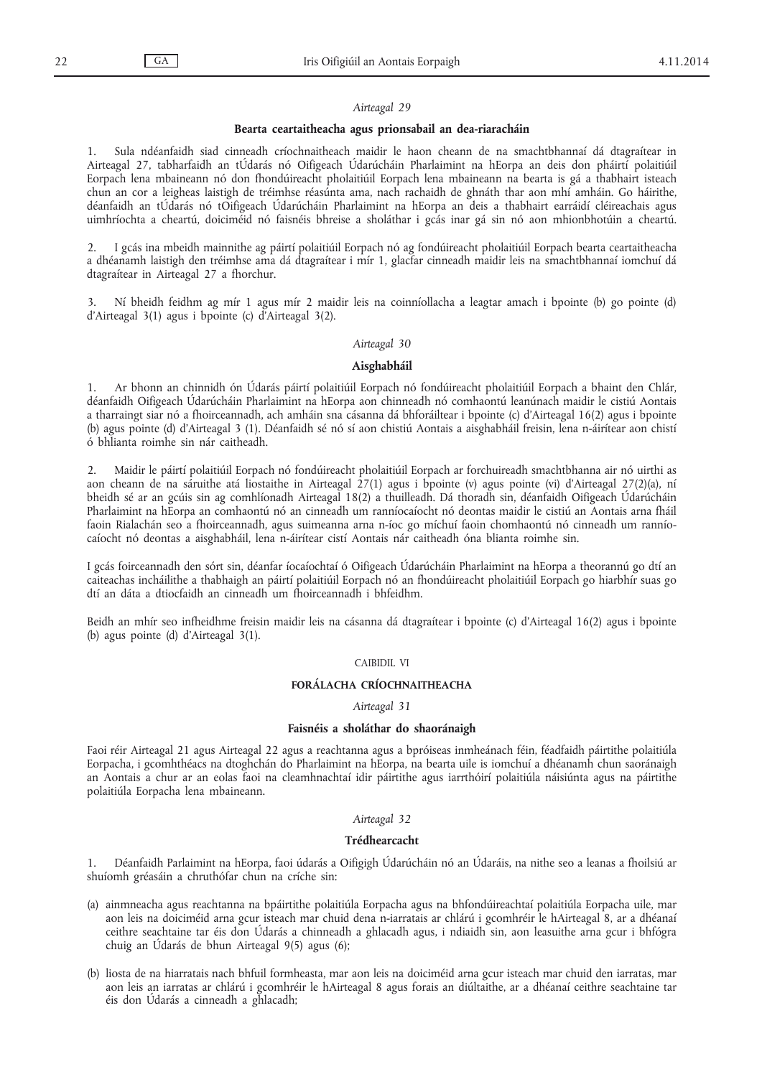#### *Airteagal 29*

#### **Bearta ceartaitheacha agus prionsabail an dea-riaracháin**

1. Sula ndéanfaidh siad cinneadh críochnaitheach maidir le haon cheann de na smachtbhannaí dá dtagraítear in Airteagal 27, tabharfaidh an tÚdarás nó Oifigeach Údarúcháin Pharlaimint na hEorpa an deis don pháirtí polaitiúil Eorpach lena mbaineann nó don fhondúireacht pholaitiúil Eorpach lena mbaineann na bearta is gá a thabhairt isteach chun an cor a leigheas laistigh de tréimhse réasúnta ama, nach rachaidh de ghnáth thar aon mhí amháin. Go háirithe, déanfaidh an tÚdarás nó tOifigeach Údarúcháin Pharlaimint na hEorpa an deis a thabhairt earráidí cléireachais agus uimhríochta a cheartú, doiciméid nó faisnéis bhreise a sholáthar i gcás inar gá sin nó aon mhionbhotúin a cheartú.

2. I gcás ina mbeidh mainnithe ag páirtí polaitiúil Eorpach nó ag fondúireacht pholaitiúil Eorpach bearta ceartaitheacha a dhéanamh laistigh den tréimhse ama dá dtagraítear i mír 1, glacfar cinneadh maidir leis na smachtbhannaí iomchuí dá dtagraítear in Airteagal 27 a fhorchur.

3. Ní bheidh feidhm ag mír 1 agus mír 2 maidir leis na coinníollacha a leagtar amach i bpointe (b) go pointe (d) d'Airteagal 3(1) agus i bpointe (c) d'Airteagal 3(2).

#### *Airteagal 30*

#### **Aisghabháil**

1. Ar bhonn an chinnidh ón Údarás páirtí polaitiúil Eorpach nó fondúireacht pholaitiúil Eorpach a bhaint den Chlár, déanfaidh Oifigeach Údarúcháin Pharlaimint na hEorpa aon chinneadh nó comhaontú leanúnach maidir le cistiú Aontais a tharraingt siar nó a fhoirceannadh, ach amháin sna cásanna dá bhforáiltear i bpointe (c) d'Airteagal 16(2) agus i bpointe (b) agus pointe (d) d'Airteagal 3 (1). Déanfaidh sé nó sí aon chistiú Aontais a aisghabháil freisin, lena n-áirítear aon chistí ó bhlianta roimhe sin nár caitheadh.

2. Maidir le páirtí polaitiúil Eorpach nó fondúireacht pholaitiúil Eorpach ar forchuireadh smachtbhanna air nó uirthi as aon cheann de na sáruithe atá liostaithe in Airteagal 27(1) agus i bpointe (v) agus pointe (vi) d'Airteagal 27(2)(a), ní bheidh sé ar an gcúis sin ag comhlíonadh Airteagal 18(2) a thuilleadh. Dá thoradh sin, déanfaidh Oifigeach Údarúcháin Pharlaimint na hEorpa an comhaontú nó an cinneadh um ranníocaíocht nó deontas maidir le cistiú an Aontais arna fháil faoin Rialachán seo a fhoirceannadh, agus suimeanna arna n-íoc go míchuí faoin chomhaontú nó cinneadh um ranníocaíocht nó deontas a aisghabháil, lena n-áirítear cistí Aontais nár caitheadh óna blianta roimhe sin.

I gcás foirceannadh den sórt sin, déanfar íocaíochtaí ó Oifigeach Údarúcháin Pharlaimint na hEorpa a theorannú go dtí an caiteachas incháilithe a thabhaigh an páirtí polaitiúil Eorpach nó an fhondúireacht pholaitiúil Eorpach go hiarbhír suas go dtí an dáta a dtiocfaidh an cinneadh um fhoirceannadh i bhfeidhm.

Beidh an mhír seo infheidhme freisin maidir leis na cásanna dá dtagraítear i bpointe (c) d'Airteagal 16(2) agus i bpointe (b) agus pointe (d) d'Airteagal 3(1).

## CAIBIDIL VI

## **FORÁLACHA CRÍOCHNAITHEACHA**

# *Airteagal 31*

#### **Faisnéis a sholáthar do shaoránaigh**

Faoi réir Airteagal 21 agus Airteagal 22 agus a reachtanna agus a bpróiseas inmheánach féin, féadfaidh páirtithe polaitiúla Eorpacha, i gcomhthéacs na dtoghchán do Pharlaimint na hEorpa, na bearta uile is iomchuí a dhéanamh chun saoránaigh an Aontais a chur ar an eolas faoi na cleamhnachtaí idir páirtithe agus iarrthóirí polaitiúla náisiúnta agus na páirtithe polaitiúla Eorpacha lena mbaineann.

# *Airteagal 32*

# **Trédhearcacht**

1. Déanfaidh Parlaimint na hEorpa, faoi údarás a Oifigigh Údarúcháin nó an Údaráis, na nithe seo a leanas a fhoilsiú ar shuíomh gréasáin a chruthófar chun na críche sin:

- (a) ainmneacha agus reachtanna na bpáirtithe polaitiúla Eorpacha agus na bhfondúireachtaí polaitiúla Eorpacha uile, mar aon leis na doiciméid arna gcur isteach mar chuid dena n-iarratais ar chlárú i gcomhréir le hAirteagal 8, ar a dhéanaí ceithre seachtaine tar éis don Údarás a chinneadh a ghlacadh agus, i ndiaidh sin, aon leasuithe arna gcur i bhfógra chuig an Údarás de bhun Airteagal 9(5) agus (6);
- (b) liosta de na hiarratais nach bhfuil formheasta, mar aon leis na doiciméid arna gcur isteach mar chuid den iarratas, mar aon leis an iarratas ar chlárú i gcomhréir le hAirteagal 8 agus forais an diúltaithe, ar a dhéanaí ceithre seachtaine tar éis don Údarás a cinneadh a ghlacadh;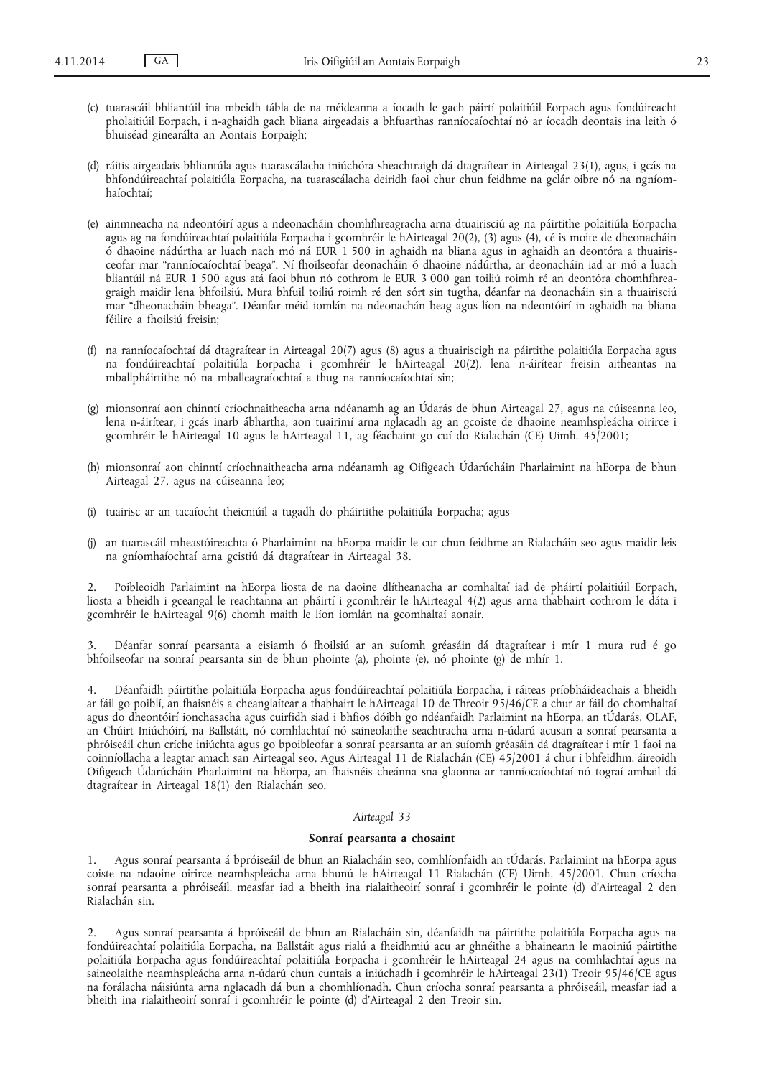- (c) tuarascáil bhliantúil ina mbeidh tábla de na méideanna a íocadh le gach páirtí polaitiúil Eorpach agus fondúireacht pholaitiúil Eorpach, i n-aghaidh gach bliana airgeadais a bhfuarthas ranníocaíochtaí nó ar íocadh deontais ina leith ó bhuiséad ginearálta an Aontais Eorpaigh;
- (d) ráitis airgeadais bhliantúla agus tuarascálacha iniúchóra sheachtraigh dá dtagraítear in Airteagal 23(1), agus, i gcás na bhfondúireachtaí polaitiúla Eorpacha, na tuarascálacha deiridh faoi chur chun feidhme na gclár oibre nó na ngníomhaíochtaí;
- (e) ainmneacha na ndeontóirí agus a ndeonacháin chomhfhreagracha arna dtuairisciú ag na páirtithe polaitiúla Eorpacha agus ag na fondúireachtaí polaitiúla Eorpacha i gcomhréir le hAirteagal 20(2), (3) agus (4), cé is moite de dheonacháin ó dhaoine nádúrtha ar luach nach mó ná EUR 1 500 in aghaidh na bliana agus in aghaidh an deontóra a thuairisceofar mar "ranníocaíochtaí beaga". Ní fhoilseofar deonacháin ó dhaoine nádúrtha, ar deonacháin iad ar mó a luach bliantúil ná EUR 1 500 agus atá faoi bhun nó cothrom le EUR 3 000 gan toiliú roimh ré an deontóra chomhfhreagraigh maidir lena bhfoilsiú. Mura bhfuil toiliú roimh ré den sórt sin tugtha, déanfar na deonacháin sin a thuairisciú mar "dheonacháin bheaga". Déanfar méid iomlán na ndeonachán beag agus líon na ndeontóirí in aghaidh na bliana féilire a fhoilsiú freisin;
- (f) na ranníocaíochtaí dá dtagraítear in Airteagal 20(7) agus (8) agus a thuairiscigh na páirtithe polaitiúla Eorpacha agus na fondúireachtaí polaitiúla Eorpacha i gcomhréir le hAirteagal 20(2), lena n-áirítear freisin aitheantas na mballpháirtithe nó na mballeagraíochtaí a thug na ranníocaíochtaí sin;
- (g) mionsonraí aon chinntí críochnaitheacha arna ndéanamh ag an Údarás de bhun Airteagal 27, agus na cúiseanna leo, lena n-áirítear, i gcás inarb ábhartha, aon tuairimí arna nglacadh ag an gcoiste de dhaoine neamhspleácha oirirce i gcomhréir le hAirteagal 10 agus le hAirteagal 11, ag féachaint go cuí do Rialachán (CE) Uimh. 45/2001;
- (h) mionsonraí aon chinntí críochnaitheacha arna ndéanamh ag Oifigeach Údarúcháin Pharlaimint na hEorpa de bhun Airteagal 27, agus na cúiseanna leo;
- (i) tuairisc ar an tacaíocht theicniúil a tugadh do pháirtithe polaitiúla Eorpacha; agus
- (j) an tuarascáil mheastóireachta ó Pharlaimint na hEorpa maidir le cur chun feidhme an Rialacháin seo agus maidir leis na gníomhaíochtaí arna gcistiú dá dtagraítear in Airteagal 38.

2. Poibleoidh Parlaimint na hEorpa liosta de na daoine dlítheanacha ar comhaltaí iad de pháirtí polaitiúil Eorpach, liosta a bheidh i gceangal le reachtanna an pháirtí i gcomhréir le hAirteagal 4(2) agus arna thabhairt cothrom le dáta i gcomhréir le hAirteagal 9(6) chomh maith le líon iomlán na gcomhaltaí aonair.

3. Déanfar sonraí pearsanta a eisiamh ó fhoilsiú ar an suíomh gréasáin dá dtagraítear i mír 1 mura rud é go bhfoilseofar na sonraí pearsanta sin de bhun phointe (a), phointe (e), nó phointe (g) de mhír 1.

4. Déanfaidh páirtithe polaitiúla Eorpacha agus fondúireachtaí polaitiúla Eorpacha, i ráiteas príobháideachais a bheidh ar fáil go poiblí, an fhaisnéis a cheanglaítear a thabhairt le hAirteagal 10 de Threoir 95/46/CE a chur ar fáil do chomhaltaí agus do dheontóirí ionchasacha agus cuirfidh siad i bhfios dóibh go ndéanfaidh Parlaimint na hEorpa, an tÚdarás, OLAF, an Chúirt Iniúchóirí, na Ballstáit, nó comhlachtaí nó saineolaithe seachtracha arna n-údarú acusan a sonraí pearsanta a phróiseáil chun críche iniúchta agus go bpoibleofar a sonraí pearsanta ar an suíomh gréasáin dá dtagraítear i mír 1 faoi na coinníollacha a leagtar amach san Airteagal seo. Agus Airteagal 11 de Rialachán (CE) 45/2001 á chur i bhfeidhm, áireoidh Oifigeach Údarúcháin Pharlaimint na hEorpa, an fhaisnéis cheánna sna glaonna ar ranníocaíochtaí nó tograí amhail dá dtagraítear in Airteagal 18(1) den Rialachán seo.

# *Airteagal 33*

#### **Sonraí pearsanta a chosaint**

1. Agus sonraí pearsanta á bpróiseáil de bhun an Rialacháin seo, comhlíonfaidh an tÚdarás, Parlaimint na hEorpa agus coiste na ndaoine oirirce neamhspleácha arna bhunú le hAirteagal 11 Rialachán (CE) Uimh. 45/2001. Chun críocha sonraí pearsanta a phróiseáil, measfar iad a bheith ina rialaitheoirí sonraí i gcomhréir le pointe (d) d'Airteagal 2 den Rialachán sin.

2. Agus sonraí pearsanta á bpróiseáil de bhun an Rialacháin sin, déanfaidh na páirtithe polaitiúla Eorpacha agus na fondúireachtaí polaitiúla Eorpacha, na Ballstáit agus rialú a fheidhmiú acu ar ghnéithe a bhaineann le maoiniú páirtithe polaitiúla Eorpacha agus fondúireachtaí polaitiúla Eorpacha i gcomhréir le hAirteagal 24 agus na comhlachtaí agus na saineolaithe neamhspleácha arna n-údarú chun cuntais a iniúchadh i gcomhréir le hAirteagal 23(1) Treoir 95/46/CE agus na forálacha náisiúnta arna nglacadh dá bun a chomhlíonadh. Chun críocha sonraí pearsanta a phróiseáil, measfar iad a bheith ina rialaitheoirí sonraí i gcomhréir le pointe (d) d'Airteagal 2 den Treoir sin.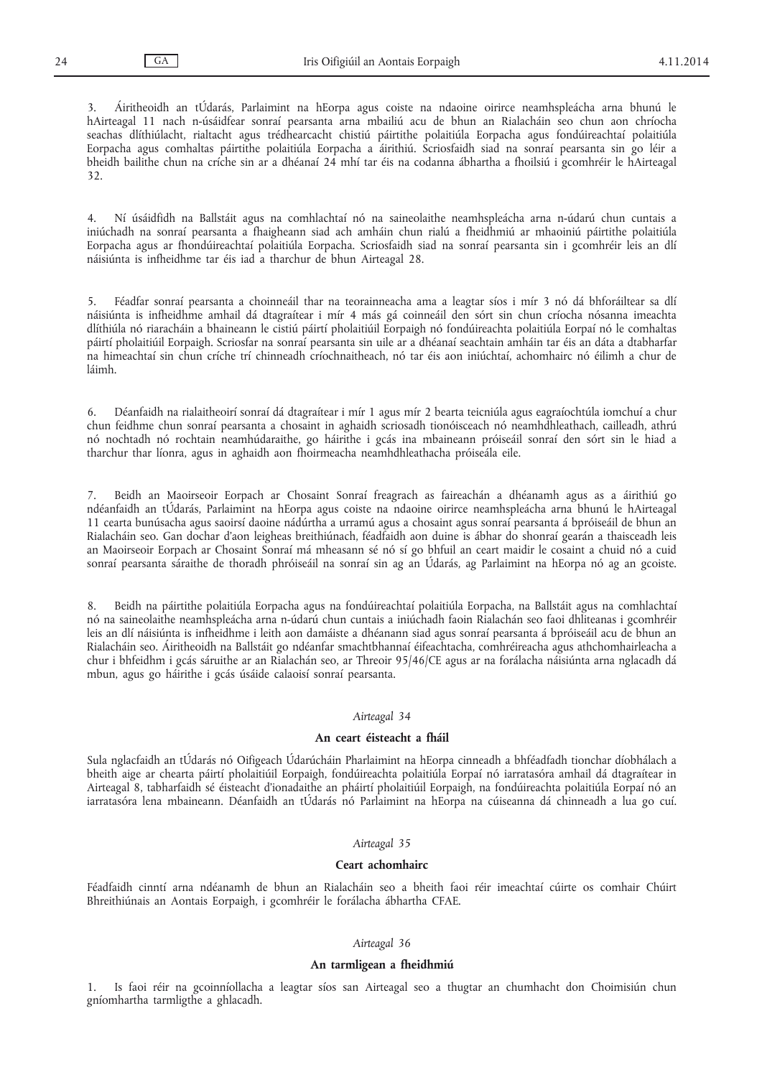3. Áiritheoidh an tÚdarás, Parlaimint na hEorpa agus coiste na ndaoine oirirce neamhspleácha arna bhunú le hAirteagal 11 nach n-úsáidfear sonraí pearsanta arna mbailiú acu de bhun an Rialacháin seo chun aon chríocha seachas dlíthiúlacht, rialtacht agus trédhearcacht chistiú páirtithe polaitiúla Eorpacha agus fondúireachtaí polaitiúla Eorpacha agus comhaltas páirtithe polaitiúla Eorpacha a áirithiú. Scriosfaidh siad na sonraí pearsanta sin go léir a bheidh bailithe chun na críche sin ar a dhéanaí 24 mhí tar éis na codanna ábhartha a fhoilsiú i gcomhréir le hAirteagal 32.

4. Ní úsáidfidh na Ballstáit agus na comhlachtaí nó na saineolaithe neamhspleácha arna n-údarú chun cuntais a iniúchadh na sonraí pearsanta a fhaigheann siad ach amháin chun rialú a fheidhmiú ar mhaoiniú páirtithe polaitiúla Eorpacha agus ar fhondúireachtaí polaitiúla Eorpacha. Scriosfaidh siad na sonraí pearsanta sin i gcomhréir leis an dlí náisiúnta is infheidhme tar éis iad a tharchur de bhun Airteagal 28.

5. Féadfar sonraí pearsanta a choinneáil thar na teorainneacha ama a leagtar síos i mír 3 nó dá bhforáiltear sa dlí náisiúnta is infheidhme amhail dá dtagraítear i mír 4 más gá coinneáil den sórt sin chun críocha nósanna imeachta dlíthiúla nó riaracháin a bhaineann le cistiú páirtí pholaitiúil Eorpaigh nó fondúireachta polaitiúla Eorpaí nó le comhaltas páirtí pholaitiúil Eorpaigh. Scriosfar na sonraí pearsanta sin uile ar a dhéanaí seachtain amháin tar éis an dáta a dtabharfar na himeachtaí sin chun críche trí chinneadh críochnaitheach, nó tar éis aon iniúchtaí, achomhairc nó éilimh a chur de láimh.

6. Déanfaidh na rialaitheoirí sonraí dá dtagraítear i mír 1 agus mír 2 bearta teicniúla agus eagraíochtúla iomchuí a chur chun feidhme chun sonraí pearsanta a chosaint in aghaidh scriosadh tionóisceach nó neamhdhleathach, cailleadh, athrú nó nochtadh nó rochtain neamhúdaraithe, go háirithe i gcás ina mbaineann próiseáil sonraí den sórt sin le hiad a tharchur thar líonra, agus in aghaidh aon fhoirmeacha neamhdhleathacha próiseála eile.

7. Beidh an Maoirseoir Eorpach ar Chosaint Sonraí freagrach as faireachán a dhéanamh agus as a áirithiú go ndéanfaidh an tÚdarás, Parlaimint na hEorpa agus coiste na ndaoine oirirce neamhspleácha arna bhunú le hAirteagal 11 cearta bunúsacha agus saoirsí daoine nádúrtha a urramú agus a chosaint agus sonraí pearsanta á bpróiseáil de bhun an Rialacháin seo. Gan dochar d'aon leigheas breithiúnach, féadfaidh aon duine is ábhar do shonraí gearán a thaisceadh leis an Maoirseoir Eorpach ar Chosaint Sonraí má mheasann sé nó sí go bhfuil an ceart maidir le cosaint a chuid nó a cuid sonraí pearsanta sáraithe de thoradh phróiseáil na sonraí sin ag an Údarás, ag Parlaimint na hEorpa nó ag an gcoiste.

8. Beidh na páirtithe polaitiúla Eorpacha agus na fondúireachtaí polaitiúla Eorpacha, na Ballstáit agus na comhlachtaí nó na saineolaithe neamhspleácha arna n-údarú chun cuntais a iniúchadh faoin Rialachán seo faoi dhliteanas i gcomhréir leis an dlí náisiúnta is infheidhme i leith aon damáiste a dhéanann siad agus sonraí pearsanta á bpróiseáil acu de bhun an Rialacháin seo. Áiritheoidh na Ballstáit go ndéanfar smachtbhannaí éifeachtacha, comhréireacha agus athchomhairleacha a chur i bhfeidhm i gcás sáruithe ar an Rialachán seo, ar Threoir 95/46/CE agus ar na forálacha náisiúnta arna nglacadh dá mbun, agus go háirithe i gcás úsáide calaoisí sonraí pearsanta.

#### *Airteagal 34*

#### **An ceart éisteacht a fháil**

Sula nglacfaidh an tÚdarás nó Oifigeach Údarúcháin Pharlaimint na hEorpa cinneadh a bhféadfadh tionchar díobhálach a bheith aige ar chearta páirtí pholaitiúil Eorpaigh, fondúireachta polaitiúla Eorpaí nó iarratasóra amhail dá dtagraítear in Airteagal 8, tabharfaidh sé éisteacht d'ionadaithe an pháirtí pholaitiúil Eorpaigh, na fondúireachta polaitiúla Eorpaí nó an iarratasóra lena mbaineann. Déanfaidh an tÚdarás nó Parlaimint na hEorpa na cúiseanna dá chinneadh a lua go cuí.

## *Airteagal 35*

## **Ceart achomhairc**

Féadfaidh cinntí arna ndéanamh de bhun an Rialacháin seo a bheith faoi réir imeachtaí cúirte os comhair Chúirt Bhreithiúnais an Aontais Eorpaigh, i gcomhréir le forálacha ábhartha CFAE.

#### *Airteagal 36*

## **An tarmligean a fheidhmiú**

1. Is faoi réir na gcoinníollacha a leagtar síos san Airteagal seo a thugtar an chumhacht don Choimisiún chun gníomhartha tarmligthe a ghlacadh.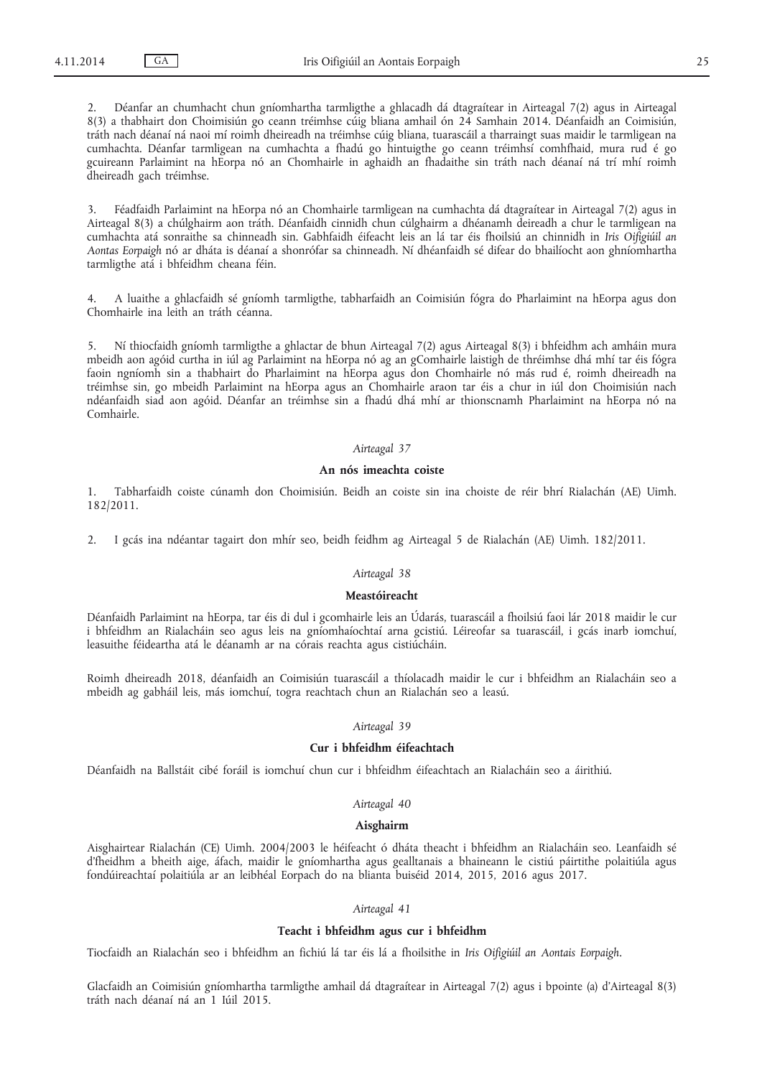2. Déanfar an chumhacht chun gníomhartha tarmligthe a ghlacadh dá dtagraítear in Airteagal 7(2) agus in Airteagal 8(3) a thabhairt don Choimisiún go ceann tréimhse cúig bliana amhail ón 24 Samhain 2014. Déanfaidh an Coimisiún, tráth nach déanaí ná naoi mí roimh dheireadh na tréimhse cúig bliana, tuarascáil a tharraingt suas maidir le tarmligean na cumhachta. Déanfar tarmligean na cumhachta a fhadú go hintuigthe go ceann tréimhsí comhfhaid, mura rud é go gcuireann Parlaimint na hEorpa nó an Chomhairle in aghaidh an fhadaithe sin tráth nach déanaí ná trí mhí roimh dheireadh gach tréimhse.

3. Féadfaidh Parlaimint na hEorpa nó an Chomhairle tarmligean na cumhachta dá dtagraítear in Airteagal 7(2) agus in Airteagal 8(3) a chúlghairm aon tráth. Déanfaidh cinnidh chun cúlghairm a dhéanamh deireadh a chur le tarmligean na cumhachta atá sonraithe sa chinneadh sin. Gabhfaidh éifeacht leis an lá tar éis fhoilsiú an chinnidh in *Iris Oifigiúil an Aontas Eorpaigh* nó ar dháta is déanaí a shonrófar sa chinneadh. Ní dhéanfaidh sé difear do bhailíocht aon ghníomhartha tarmligthe atá i bhfeidhm cheana féin.

4. A luaithe a ghlacfaidh sé gníomh tarmligthe, tabharfaidh an Coimisiún fógra do Pharlaimint na hEorpa agus don Chomhairle ina leith an tráth céanna.

5. Ní thiocfaidh gníomh tarmligthe a ghlactar de bhun Airteagal 7(2) agus Airteagal 8(3) i bhfeidhm ach amháin mura mbeidh aon agóid curtha in iúl ag Parlaimint na hEorpa nó ag an gComhairle laistigh de thréimhse dhá mhí tar éis fógra faoin ngníomh sin a thabhairt do Pharlaimint na hEorpa agus don Chomhairle nó más rud é, roimh dheireadh na tréimhse sin, go mbeidh Parlaimint na hEorpa agus an Chomhairle araon tar éis a chur in iúl don Choimisiún nach ndéanfaidh siad aon agóid. Déanfar an tréimhse sin a fhadú dhá mhí ar thionscnamh Pharlaimint na hEorpa nó na Comhairle.

## *Airteagal 37*

# **An nós imeachta coiste**

1. Tabharfaidh coiste cúnamh don Choimisiún. Beidh an coiste sin ina choiste de réir bhrí Rialachán (AE) Uimh. 182/2011.

2. I gcás ina ndéantar tagairt don mhír seo, beidh feidhm ag Airteagal 5 de Rialachán (AE) Uimh. 182/2011.

## *Airteagal 38*

#### **Meastóireacht**

Déanfaidh Parlaimint na hEorpa, tar éis di dul i gcomhairle leis an Údarás, tuarascáil a fhoilsiú faoi lár 2018 maidir le cur i bhfeidhm an Rialacháin seo agus leis na gníomhaíochtaí arna gcistiú. Léireofar sa tuarascáil, i gcás inarb iomchuí, leasuithe féideartha atá le déanamh ar na córais reachta agus cistiúcháin.

Roimh dheireadh 2018, déanfaidh an Coimisiún tuarascáil a thíolacadh maidir le cur i bhfeidhm an Rialacháin seo a mbeidh ag gabháil leis, más iomchuí, togra reachtach chun an Rialachán seo a leasú.

#### *Airteagal 39*

# **Cur i bhfeidhm éifeachtach**

Déanfaidh na Ballstáit cibé foráil is iomchuí chun cur i bhfeidhm éifeachtach an Rialacháin seo a áirithiú.

## *Airteagal 40*

## **Aisghairm**

Aisghairtear Rialachán (CE) Uimh. 2004/2003 le héifeacht ó dháta theacht i bhfeidhm an Rialacháin seo. Leanfaidh sé d'fheidhm a bheith aige, áfach, maidir le gníomhartha agus gealltanais a bhaineann le cistiú páirtithe polaitiúla agus fondúireachtaí polaitiúla ar an leibhéal Eorpach do na blianta buiséid 2014, 2015, 2016 agus 2017.

## *Airteagal 41*

# **Teacht i bhfeidhm agus cur i bhfeidhm**

Tiocfaidh an Rialachán seo i bhfeidhm an fichiú lá tar éis lá a fhoilsithe in *Iris Oifigiúil an Aontais Eorpaigh.*

Glacfaidh an Coimisiún gníomhartha tarmligthe amhail dá dtagraítear in Airteagal 7(2) agus i bpointe (a) d'Airteagal 8(3) tráth nach déanaí ná an 1 Iúil 2015.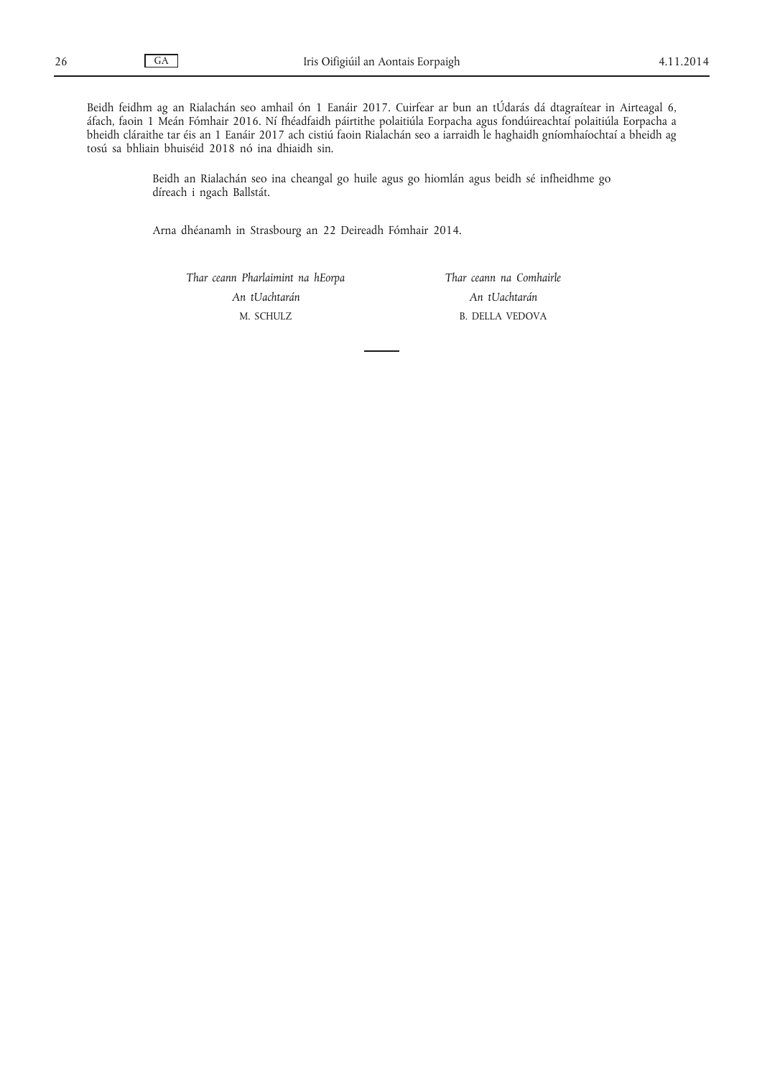Beidh feidhm ag an Rialachán seo amhail ón 1 Eanáir 2017. Cuirfear ar bun an tÚdarás dá dtagraítear in Airteagal 6, áfach, faoin 1 Meán Fómhair 2016. Ní fhéadfaidh páirtithe polaitiúla Eorpacha agus fondúireachtaí polaitiúla Eorpacha a bheidh cláraithe tar éis an 1 Eanáir 2017 ach cistiú faoin Rialachán seo a iarraidh le haghaidh gníomhaíochtaí a bheidh ag tosú sa bhliain bhuiséid 2018 nó ina dhiaidh sin.

> Beidh an Rialachán seo ina cheangal go huile agus go hiomlán agus beidh sé infheidhme go díreach i ngach Ballstát.

Arna dhéanamh in Strasbourg an 22 Deireadh Fómhair 2014.

*Thar ceann Pharlaimint na hEorpa An tUachtarán* M. SCHULZ

*Thar ceann na Comhairle An tUachtarán* B. DELLA VEDOVA